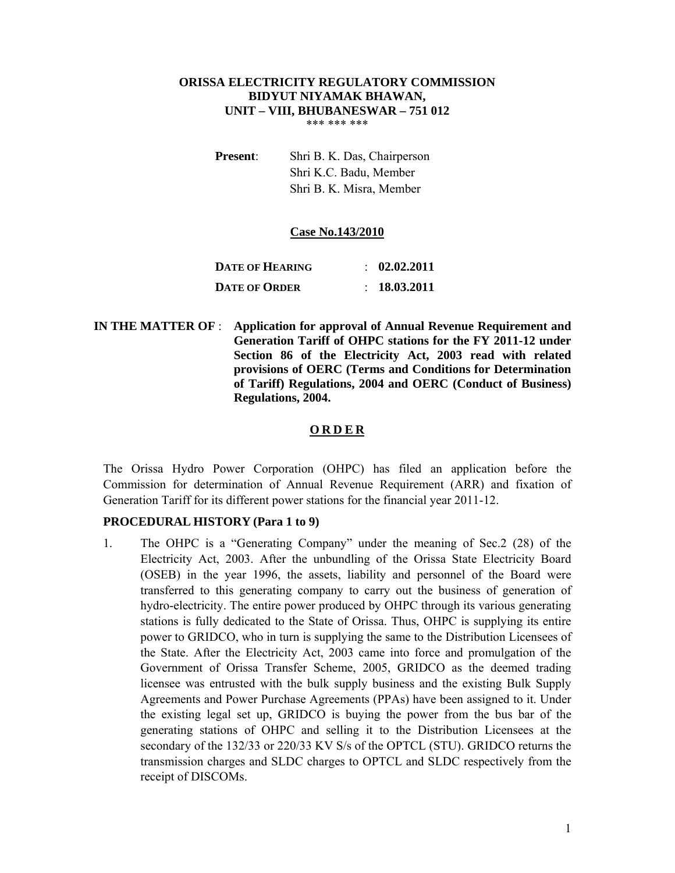#### **ORISSA ELECTRICITY REGULATORY COMMISSION BIDYUT NIYAMAK BHAWAN, UNIT – VIII, BHUBANESWAR – 751 012**  \*\*\* \*\*\* \*\*\*

**Present**: Shri B. K. Das, Chairperson Shri K.C. Badu, Member Shri B. K. Misra, Member

#### **Case No.143/2010**

| <b>DATE OF HEARING</b> | $\therefore$ 02.02.2011 |
|------------------------|-------------------------|
| <b>DATE OF ORDER</b>   | $\therefore$ 18.03.2011 |

 **IN THE MATTER OF** : **Application for approval of Annual Revenue Requirement and Generation Tariff of OHPC stations for the FY 2011-12 under Section 86 of the Electricity Act, 2003 read with related provisions of OERC (Terms and Conditions for Determination of Tariff) Regulations, 2004 and OERC (Conduct of Business) Regulations, 2004.** 

### **O R D E R**

The Orissa Hydro Power Corporation (OHPC) has filed an application before the Commission for determination of Annual Revenue Requirement (ARR) and fixation of Generation Tariff for its different power stations for the financial year 2011-12.

### **PROCEDURAL HISTORY (Para 1 to 9)**

1. The OHPC is a "Generating Company" under the meaning of Sec.2 (28) of the Electricity Act, 2003. After the unbundling of the Orissa State Electricity Board (OSEB) in the year 1996, the assets, liability and personnel of the Board were transferred to this generating company to carry out the business of generation of hydro-electricity. The entire power produced by OHPC through its various generating stations is fully dedicated to the State of Orissa. Thus, OHPC is supplying its entire power to GRIDCO, who in turn is supplying the same to the Distribution Licensees of the State. After the Electricity Act, 2003 came into force and promulgation of the Government of Orissa Transfer Scheme, 2005, GRIDCO as the deemed trading licensee was entrusted with the bulk supply business and the existing Bulk Supply Agreements and Power Purchase Agreements (PPAs) have been assigned to it. Under the existing legal set up, GRIDCO is buying the power from the bus bar of the generating stations of OHPC and selling it to the Distribution Licensees at the secondary of the 132/33 or 220/33 KV S/s of the OPTCL (STU). GRIDCO returns the transmission charges and SLDC charges to OPTCL and SLDC respectively from the receipt of DISCOMs.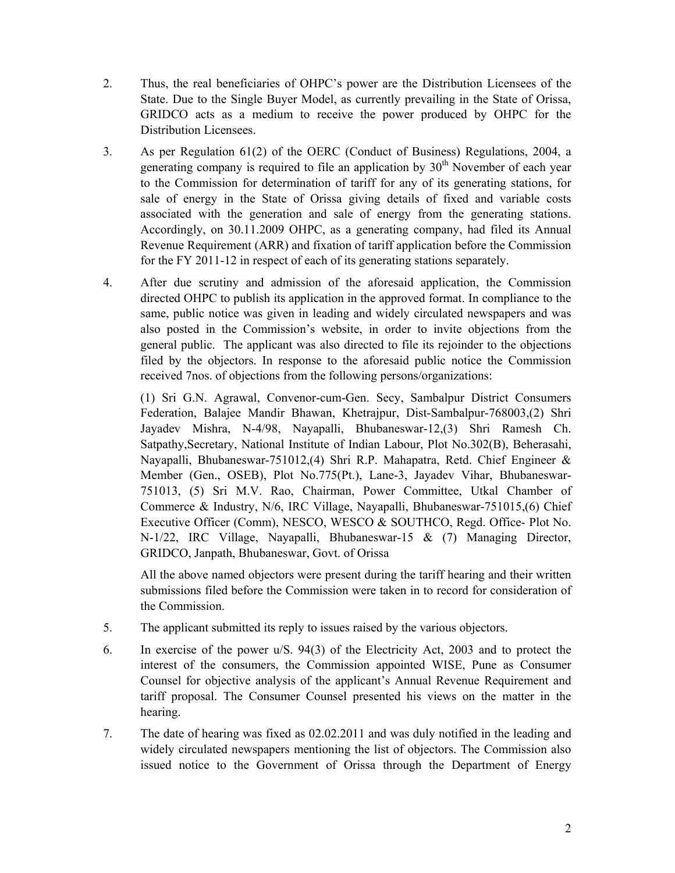- 2. Thus, the real beneficiaries of OHPC's power are the Distribution Licensees of the State. Due to the Single Buyer Model, as currently prevailing in the State of Orissa, GRIDCO acts as a medium to receive the power produced by OHPC for the Distribution Licensees.
- 3. As per Regulation 61(2) of the OERC (Conduct of Business) Regulations, 2004, a generating company is required to file an application by  $30<sup>th</sup>$  November of each year to the Commission for determination of tariff for any of its generating stations, for sale of energy in the State of Orissa giving details of fixed and variable costs associated with the generation and sale of energy from the generating stations. Accordingly, on 30.11.2009 OHPC, as a generating company, had filed its Annual Revenue Requirement (ARR) and fixation of tariff application before the Commission for the FY 2011-12 in respect of each of its generating stations separately.
- 4. After due scrutiny and admission of the aforesaid application, the Commission directed OHPC to publish its application in the approved format. In compliance to the same, public notice was given in leading and widely circulated newspapers and was also posted in the Commission's website, in order to invite objections from the general public. The applicant was also directed to file its rejoinder to the objections filed by the objectors. In response to the aforesaid public notice the Commission received 7nos. of objections from the following persons/organizations:

(1) Sri G.N. Agrawal, Convenor-cum-Gen. Secy, Sambalpur District Consumers Federation, Balajee Mandir Bhawan, Khetrajpur, Dist-Sambalpur-768003,(2) Shri Jayadev Mishra, N-4/98, Nayapalli, Bhubaneswar-12,(3) Shri Ramesh Ch. Satpathy,Secretary, National Institute of Indian Labour, Plot No.302(B), Beherasahi, Nayapalli, Bhubaneswar-751012,(4) Shri R.P. Mahapatra, Retd. Chief Engineer & Member (Gen., OSEB), Plot No.775(Pt.), Lane-3, Jayadev Vihar, Bhubaneswar-751013, (5) Sri M.V. Rao, Chairman, Power Committee, Utkal Chamber of Commerce & Industry, N/6, IRC Village, Nayapalli, Bhubaneswar-751015,(6) Chief Executive Officer (Comm), NESCO, WESCO & SOUTHCO, Regd. Office- Plot No. N-1/22, IRC Village, Nayapalli, Bhubaneswar-15 & (7) Managing Director, GRIDCO, Janpath, Bhubaneswar, Govt. of Orissa

All the above named objectors were present during the tariff hearing and their written submissions filed before the Commission were taken in to record for consideration of the Commission.

- 5. The applicant submitted its reply to issues raised by the various objectors.
- 6. In exercise of the power u/S. 94(3) of the Electricity Act, 2003 and to protect the interest of the consumers, the Commission appointed WISE, Pune as Consumer Counsel for objective analysis of the applicant's Annual Revenue Requirement and tariff proposal. The Consumer Counsel presented his views on the matter in the hearing.
- 7. The date of hearing was fixed as 02.02.2011 and was duly notified in the leading and widely circulated newspapers mentioning the list of objectors. The Commission also issued notice to the Government of Orissa through the Department of Energy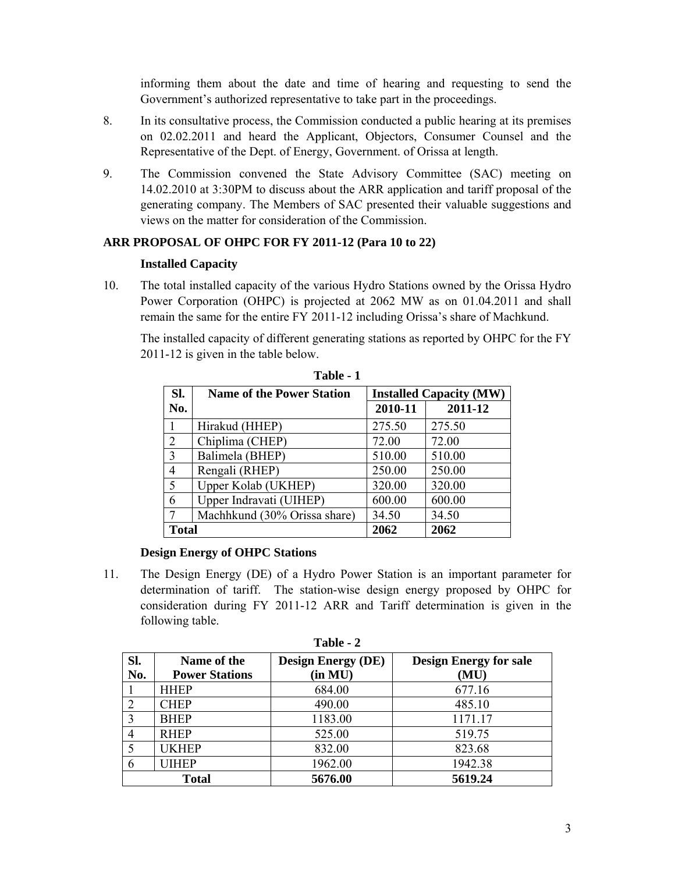informing them about the date and time of hearing and requesting to send the Government's authorized representative to take part in the proceedings.

- 8. In its consultative process, the Commission conducted a public hearing at its premises on 02.02.2011 and heard the Applicant, Objectors, Consumer Counsel and the Representative of the Dept. of Energy, Government. of Orissa at length.
- 9. The Commission convened the State Advisory Committee (SAC) meeting on 14.02.2010 at 3:30PM to discuss about the ARR application and tariff proposal of the generating company. The Members of SAC presented their valuable suggestions and views on the matter for consideration of the Commission.

# **ARR PROPOSAL OF OHPC FOR FY 2011-12 (Para 10 to 22)**

### **Installed Capacity**

10. The total installed capacity of the various Hydro Stations owned by the Orissa Hydro Power Corporation (OHPC) is projected at 2062 MW as on 01.04.2011 and shall remain the same for the entire FY 2011-12 including Orissa's share of Machkund.

The installed capacity of different generating stations as reported by OHPC for the FY 2011-12 is given in the table below.

| SI.          | <b>Name of the Power Station</b> |         | <b>Installed Capacity (MW)</b> |
|--------------|----------------------------------|---------|--------------------------------|
| No.          |                                  | 2010-11 | 2011-12                        |
| 1            | Hirakud (HHEP)                   | 275.50  | 275.50                         |
| 2            | Chiplima (CHEP)                  | 72.00   | 72.00                          |
| 3            | Balimela (BHEP)                  | 510.00  | 510.00                         |
| 4            | Rengali (RHEP)                   | 250.00  | 250.00                         |
| 5            | Upper Kolab (UKHEP)              | 320.00  | 320.00                         |
| 6            | Upper Indravati (UIHEP)          | 600.00  | 600.00                         |
| 7            | Machhkund (30% Orissa share)     | 34.50   | 34.50                          |
| <b>Total</b> |                                  | 2062    | 2062                           |

**Table - 1** 

### **Design Energy of OHPC Stations**

11. The Design Energy (DE) of a Hydro Power Station is an important parameter for determination of tariff. The station-wise design energy proposed by OHPC for consideration during FY 2011-12 ARR and Tariff determination is given in the following table.

| Sl. | Name of the           | <b>Design Energy (DE)</b> | <b>Design Energy for sale</b> |  |  |  |  |  |
|-----|-----------------------|---------------------------|-------------------------------|--|--|--|--|--|
| No. | <b>Power Stations</b> | (in MU)                   | (MU)                          |  |  |  |  |  |
|     | <b>HHEP</b>           | 684.00                    | 677.16                        |  |  |  |  |  |
|     | <b>CHEP</b>           | 490.00                    | 485.10                        |  |  |  |  |  |
|     | <b>BHEP</b>           | 1183.00                   | 1171.17                       |  |  |  |  |  |
|     | <b>RHEP</b>           | 525.00                    | 519.75                        |  |  |  |  |  |
|     | <b>UKHEP</b>          | 832.00                    | 823.68                        |  |  |  |  |  |
|     | <b>UIHEP</b>          | 1962.00                   | 1942.38                       |  |  |  |  |  |
|     | <b>Total</b>          | 5676.00                   | 5619.24                       |  |  |  |  |  |

**Table - 2**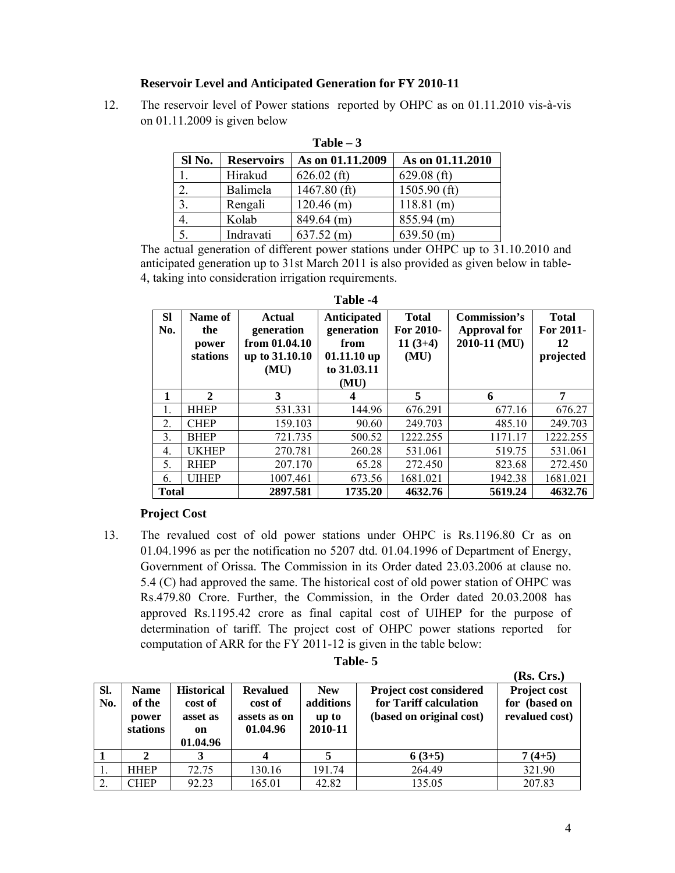### **Reservoir Level and Anticipated Generation for FY 2010-11**

12. The reservoir level of Power stations reported by OHPC as on 01.11.2010 vis-à-vis on 01.11.2009 is given below

| Sl No.           | <b>Reservoirs</b> | As on 01.11.2009 | As on 01.11.2010 |
|------------------|-------------------|------------------|------------------|
|                  | Hirakud           | $626.02$ (ft)    | $629.08$ (ft)    |
| 2.               | Balimela          | $1467.80$ (ft)   | $1505.90$ (ft)   |
| $\mathfrak{Z}$ . | Rengali           | $120.46$ (m)     | $118.81$ (m)     |
| $\overline{4}$ . | Kolab             | $849.64$ (m)     | $855.94$ (m)     |
| 5.               | Indravati         | $637.52$ (m)     | $639.50$ (m)     |

**Table – 3** 

The actual generation of different power stations under OHPC up to 31.10.2010 and anticipated generation up to 31st March 2011 is also provided as given below in table-4, taking into consideration irrigation requirements.

| <b>Sl</b><br>No. | Name of<br>the<br>power<br>stations | <b>Actual</b><br>generation<br>from 01.04.10<br>up to 31.10.10<br>(MU) | Anticipated<br>generation<br>from<br>$01.11.10$ up<br>to 31.03.11<br>(MU) | <b>Total</b><br>For 2010-<br>$11(3+4)$<br>(MU) | Commission's<br><b>Approval for</b><br>2010-11 (MU) | <b>Total</b><br>For 2011-<br>12<br>projected |
|------------------|-------------------------------------|------------------------------------------------------------------------|---------------------------------------------------------------------------|------------------------------------------------|-----------------------------------------------------|----------------------------------------------|
| 1                | $\mathbf{2}$                        | 3                                                                      | 4                                                                         | 5                                              | 6                                                   | 7                                            |
| 1.               | <b>HHEP</b>                         | 531.331                                                                | 144.96                                                                    | 676.291                                        | 677.16                                              | 676.27                                       |
| $\overline{2}$ . | <b>CHEP</b>                         | 159.103                                                                | 90.60                                                                     | 249.703                                        | 485.10                                              | 249.703                                      |
| 3.               | <b>BHEP</b>                         | 721.735                                                                | 500.52                                                                    | 1222.255                                       | 1171.17                                             | 1222.255                                     |
| 4.               | <b>UKHEP</b>                        | 270.781                                                                | 260.28                                                                    | 531.061                                        | 519.75                                              | 531.061                                      |
| 5.               | <b>RHEP</b>                         | 207.170                                                                | 65.28                                                                     | 272.450                                        | 823.68                                              | 272.450                                      |
| 6.               | <b>UIHEP</b>                        | 1007.461                                                               | 673.56                                                                    | 1681.021                                       | 1942.38                                             | 1681.021                                     |
| <b>Total</b>     |                                     | 2897.581                                                               | 1735.20                                                                   | 4632.76                                        | 5619.24                                             | 4632.76                                      |

**Table -4** 

# **Project Cost**

13. The revalued cost of old power stations under OHPC is Rs.1196.80 Cr as on 01.04.1996 as per the notification no 5207 dtd. 01.04.1996 of Department of Energy, Government of Orissa. The Commission in its Order dated 23.03.2006 at clause no. 5.4 (C) had approved the same. The historical cost of old power station of OHPC was Rs.479.80 Crore. Further, the Commission, in the Order dated 20.03.2008 has approved Rs.1195.42 crore as final capital cost of UIHEP for the purpose of determination of tariff. The project cost of OHPC power stations reported for computation of ARR for the FY 2011-12 is given in the table below:

| anıe |  |
|------|--|
|      |  |

|     |                             |                                       |                                     |                               |                                                    | (Rs. Crs.)                      |
|-----|-----------------------------|---------------------------------------|-------------------------------------|-------------------------------|----------------------------------------------------|---------------------------------|
| SI. | <b>Name</b>                 | <b>Historical</b>                     | <b>Revalued</b>                     | <b>New</b>                    | <b>Project cost considered</b>                     | Project cost                    |
| No. | of the<br>power<br>stations | cost of<br>asset as<br>on<br>01.04.96 | cost of<br>assets as on<br>01.04.96 | additions<br>up to<br>2010-11 | for Tariff calculation<br>(based on original cost) | for (based on<br>revalued cost) |
|     |                             | 3                                     | 4                                   |                               | $6(3+5)$                                           | $7(4+5)$                        |
|     | <b>HHEP</b>                 | 72.75                                 | 130.16                              | 191.74                        | 264.49                                             | 321.90                          |
|     | CHEP                        | 92.23                                 | 165.01                              | 42.82                         | 135.05                                             | 207.83                          |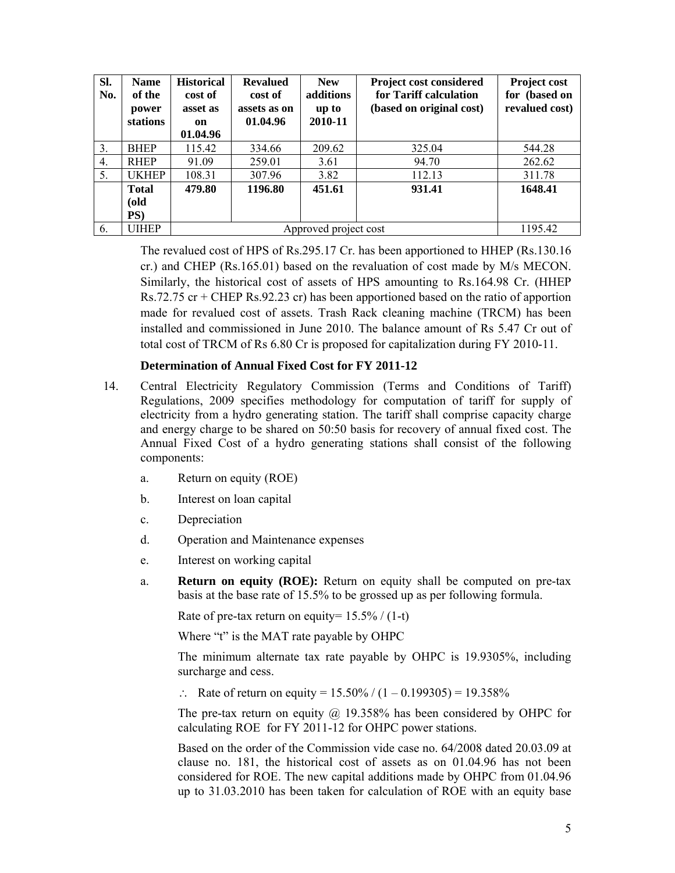| SI.<br>No. | <b>Name</b><br>of the<br>power<br>stations | <b>Historical</b><br>cost of<br>asset as<br>on<br>01.04.96 | <b>Revalued</b><br>cost of<br>assets as on<br>01.04.96 | <b>New</b><br>additions<br>up to<br>2010-11 | Project cost considered<br>for Tariff calculation<br>(based on original cost) | <b>Project cost</b><br>for (based on<br>revalued cost) |  |
|------------|--------------------------------------------|------------------------------------------------------------|--------------------------------------------------------|---------------------------------------------|-------------------------------------------------------------------------------|--------------------------------------------------------|--|
| 3.         | <b>BHEP</b>                                | 115.42                                                     | 334.66                                                 | 209.62                                      | 325.04                                                                        | 544.28                                                 |  |
| 4.         | <b>RHEP</b>                                | 91.09                                                      | 259.01                                                 | 3.61                                        | 94.70                                                                         | 262.62                                                 |  |
| 5.         | <b>UKHEP</b>                               | 108.31                                                     | 307.96                                                 | 3.82                                        | 112.13                                                                        | 311.78                                                 |  |
|            | <b>Total</b><br>(old<br>PS)                | 479.80                                                     | 1196.80                                                | 451.61                                      | 931.41                                                                        | 1648.41                                                |  |
| 6.         | UIHEP                                      |                                                            |                                                        | Approved project cost                       |                                                                               | 1195.42                                                |  |

The revalued cost of HPS of Rs.295.17 Cr. has been apportioned to HHEP (Rs.130.16 cr.) and CHEP (Rs.165.01) based on the revaluation of cost made by M/s MECON. Similarly, the historical cost of assets of HPS amounting to Rs.164.98 Cr. (HHEP Rs.72.75 cr + CHEP Rs.92.23 cr) has been apportioned based on the ratio of apportion made for revalued cost of assets. Trash Rack cleaning machine (TRCM) has been installed and commissioned in June 2010. The balance amount of Rs 5.47 Cr out of total cost of TRCM of Rs 6.80 Cr is proposed for capitalization during FY 2010-11.

### **Determination of Annual Fixed Cost for FY 2011-12**

- 14. Central Electricity Regulatory Commission (Terms and Conditions of Tariff) Regulations, 2009 specifies methodology for computation of tariff for supply of electricity from a hydro generating station. The tariff shall comprise capacity charge and energy charge to be shared on 50:50 basis for recovery of annual fixed cost. The Annual Fixed Cost of a hydro generating stations shall consist of the following components:
	- a. Return on equity (ROE)
	- b. Interest on loan capital
	- c. Depreciation
	- d. Operation and Maintenance expenses
	- e. Interest on working capital
	- a. **Return on equity (ROE):** Return on equity shall be computed on pre-tax basis at the base rate of 15.5% to be grossed up as per following formula.

Rate of pre-tax return on equity=  $15.5\%$  / (1-t)

Where "t" is the MAT rate payable by OHPC

The minimum alternate tax rate payable by OHPC is 19.9305%, including surcharge and cess.

∴ Rate of return on equity =  $15.50\frac{\cancel{0}}{1}$  (1 – 0.199305) = 19.358%

The pre-tax return on equity  $\omega$  19.358% has been considered by OHPC for calculating ROE for FY 2011-12 for OHPC power stations.

Based on the order of the Commission vide case no. 64/2008 dated 20.03.09 at clause no. 181, the historical cost of assets as on 01.04.96 has not been considered for ROE. The new capital additions made by OHPC from 01.04.96 up to 31.03.2010 has been taken for calculation of ROE with an equity base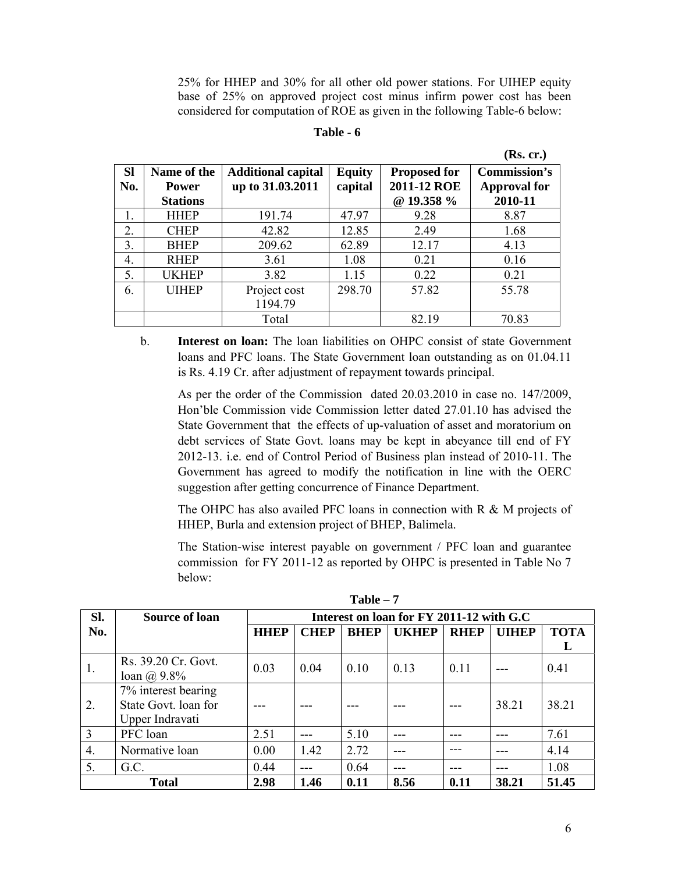25% for HHEP and 30% for all other old power stations. For UIHEP equity base of 25% on approved project cost minus infirm power cost has been considered for computation of ROE as given in the following Table-6 below:

#### **Table - 6**

|           |                 |                           |               |                     | (Rs. cr.)           |
|-----------|-----------------|---------------------------|---------------|---------------------|---------------------|
| <b>SI</b> | Name of the     | <b>Additional capital</b> | <b>Equity</b> | <b>Proposed for</b> | <b>Commission's</b> |
| No.       | <b>Power</b>    | up to 31.03.2011          | capital       | 2011-12 ROE         | <b>Approval for</b> |
|           | <b>Stations</b> |                           |               | @ 19.358 %          | 2010-11             |
| 1.        | <b>HHEP</b>     | 191.74                    | 47.97         | 9.28                | 8.87                |
| 2.        | <b>CHEP</b>     | 42.82                     | 12.85         | 2.49                | 1.68                |
| 3.        | <b>BHEP</b>     | 209.62                    | 62.89         | 12.17               | 4.13                |
| 4.        | <b>RHEP</b>     | 3.61                      | 1.08          | 0.21                | 0.16                |
| 5.        | UKHEP           | 3.82                      | 1.15          | 0.22                | 0.21                |
| 6.        | <b>UIHEP</b>    | Project cost              | 298.70        | 57.82               | 55.78               |
|           |                 | 1194.79                   |               |                     |                     |
|           |                 | Total                     |               | 82.19               | 70.83               |

b. **Interest on loan:** The loan liabilities on OHPC consist of state Government loans and PFC loans. The State Government loan outstanding as on 01.04.11 is Rs. 4.19 Cr. after adjustment of repayment towards principal.

As per the order of the Commission dated 20.03.2010 in case no. 147/2009, Hon'ble Commission vide Commission letter dated 27.01.10 has advised the State Government that the effects of up-valuation of asset and moratorium on debt services of State Govt. loans may be kept in abeyance till end of FY 2012-13. i.e. end of Control Period of Business plan instead of 2010-11. The Government has agreed to modify the notification in line with the OERC suggestion after getting concurrence of Finance Department.

The OHPC has also availed PFC loans in connection with R & M projects of HHEP, Burla and extension project of BHEP, Balimela.

The Station-wise interest payable on government / PFC loan and guarantee commission for FY 2011-12 as reported by OHPC is presented in Table No 7 below:

| Sl.            | <b>Source of loan</b> | Interest on loan for FY 2011-12 with G.C |             |             |              |             |              |             |
|----------------|-----------------------|------------------------------------------|-------------|-------------|--------------|-------------|--------------|-------------|
| No.            |                       | <b>HHEP</b>                              | <b>CHEP</b> | <b>BHEP</b> | <b>UKHEP</b> | <b>RHEP</b> | <b>UIHEP</b> | <b>TOTA</b> |
|                |                       |                                          |             |             |              |             |              |             |
| 1.             | Rs. 39.20 Cr. Govt.   | 0.03                                     | 0.04        | 0.10        | 0.13         | 0.11        |              | 0.41        |
|                | loan $\omega$ 9.8%    |                                          |             |             |              |             |              |             |
|                | 7% interest bearing   |                                          |             |             |              |             |              |             |
| 2.             | State Govt. loan for  |                                          |             |             |              |             | 38.21        | 38.21       |
|                | Upper Indravati       |                                          |             |             |              |             |              |             |
| $\overline{3}$ | PFC loan              | 2.51                                     |             | 5.10        |              |             |              | 7.61        |
| 4.             | Normative loan        | 0.00                                     | 1.42        | 2.72        |              |             |              | 4.14        |
| 5.             | G.C.                  | 0.44                                     |             | 0.64        |              |             |              | 1.08        |
|                | <b>Total</b>          | 2.98                                     | 1.46        | 0.11        | 8.56         | 0.11        | 38.21        | 51.45       |

**Table – 7**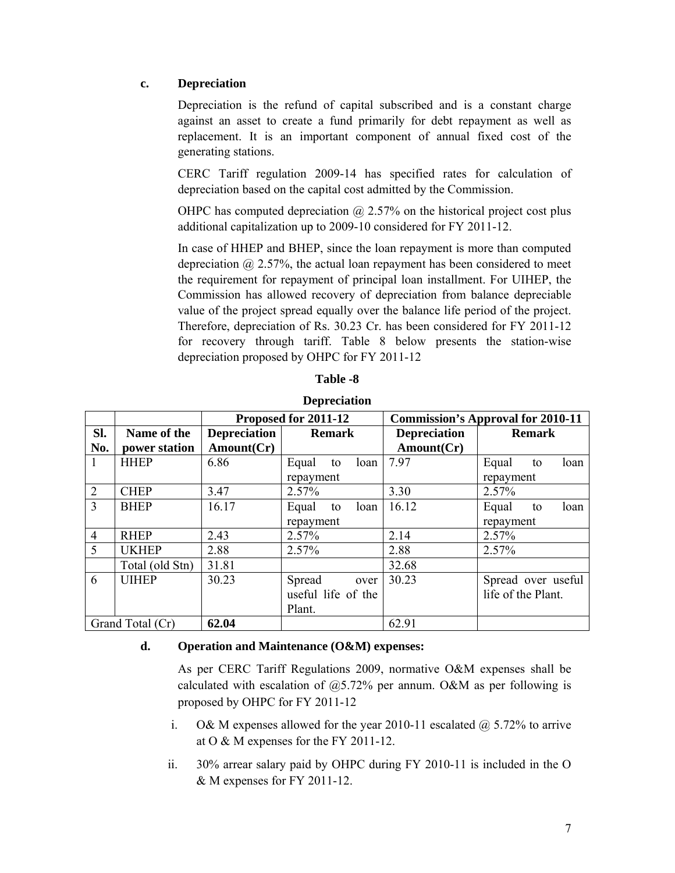### **c. Depreciation**

Depreciation is the refund of capital subscribed and is a constant charge against an asset to create a fund primarily for debt repayment as well as replacement. It is an important component of annual fixed cost of the generating stations.

CERC Tariff regulation 2009-14 has specified rates for calculation of depreciation based on the capital cost admitted by the Commission.

OHPC has computed depreciation  $\omega$  2.57% on the historical project cost plus additional capitalization up to 2009-10 considered for FY 2011-12.

In case of HHEP and BHEP, since the loan repayment is more than computed depreciation  $(a)$  2.57%, the actual loan repayment has been considered to meet the requirement for repayment of principal loan installment. For UIHEP, the Commission has allowed recovery of depreciation from balance depreciable value of the project spread equally over the balance life period of the project. Therefore, depreciation of Rs. 30.23 Cr. has been considered for FY 2011-12 for recovery through tariff. Table 8 below presents the station-wise depreciation proposed by OHPC for FY 2011-12

|                |                  |                     | Proposed for 2011-12 |                     | <b>Commission's Approval for 2010-11</b> |  |  |
|----------------|------------------|---------------------|----------------------|---------------------|------------------------------------------|--|--|
| Sl.            | Name of the      | <b>Depreciation</b> | <b>Remark</b>        | <b>Depreciation</b> | <b>Remark</b>                            |  |  |
| No.            | power station    | Amount(Cr)          |                      | Amount(Cr)          |                                          |  |  |
| $\mathbf{1}$   | <b>HHEP</b>      | 6.86                | Equal<br>loan<br>to  | 7.97                | Equal<br>loan<br>to                      |  |  |
|                |                  |                     | repayment            |                     | repayment                                |  |  |
| 2              | <b>CHEP</b>      | 3.47                | 2.57%                | 3.30                | 2.57%                                    |  |  |
| 3              | <b>BHEP</b>      | 16.17               | Equal<br>loan<br>to  | 16.12               | Equal<br>loan<br>to                      |  |  |
|                |                  |                     | repayment            |                     | repayment                                |  |  |
| $\overline{4}$ | <b>RHEP</b>      | 2.43                | 2.57%                | 2.14                | 2.57%                                    |  |  |
| 5              | <b>UKHEP</b>     | 2.88                | 2.57%                | 2.88                | 2.57%                                    |  |  |
|                | Total (old Stn)  | 31.81               |                      | 32.68               |                                          |  |  |
| 6              | <b>UIHEP</b>     | 30.23               | Spread<br>over       | 30.23               | Spread over useful                       |  |  |
|                |                  |                     | useful life of the   |                     | life of the Plant.                       |  |  |
|                |                  |                     | Plant.               |                     |                                          |  |  |
|                | Grand Total (Cr) | 62.04               |                      | 62.91               |                                          |  |  |

**Depreciation** 

#### **d. Operation and Maintenance (O&M) expenses:**

As per CERC Tariff Regulations 2009, normative O&M expenses shall be calculated with escalation of  $(20, 5.72)$ % per annum. O&M as per following is proposed by OHPC for FY 2011-12

- i. O& M expenses allowed for the year 2010-11 escalated  $\omega$  5.72% to arrive at O & M expenses for the FY 2011-12.
- ii. 30% arrear salary paid by OHPC during FY 2010-11 is included in the O & M expenses for FY 2011-12.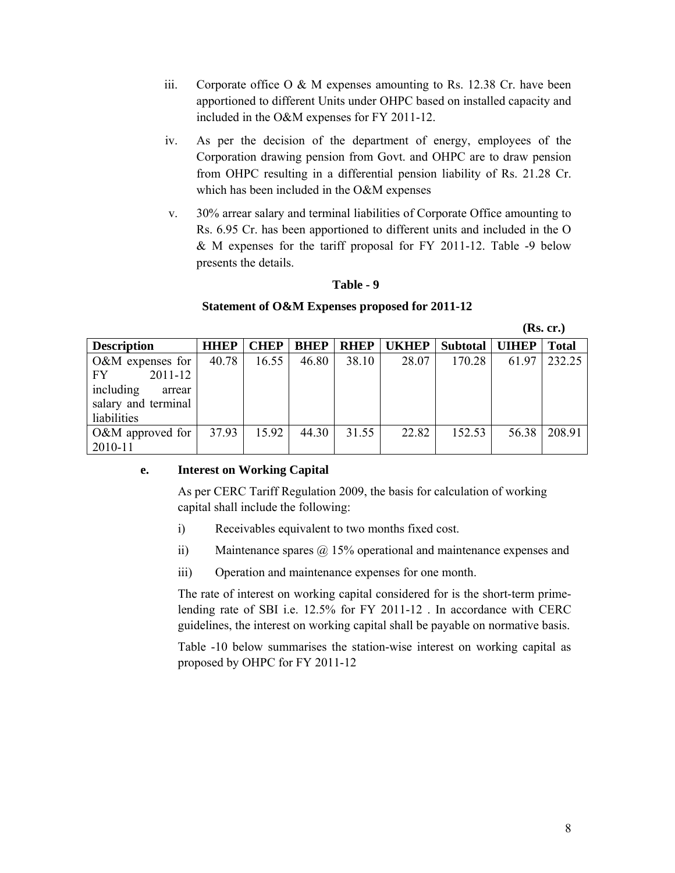- iii. Corporate office  $O & M$  expenses amounting to Rs. 12.38 Cr. have been apportioned to different Units under OHPC based on installed capacity and included in the O&M expenses for FY 2011-12.
- iv. As per the decision of the department of energy, employees of the Corporation drawing pension from Govt. and OHPC are to draw pension from OHPC resulting in a differential pension liability of Rs. 21.28 Cr. which has been included in the O&M expenses
- v. 30% arrear salary and terminal liabilities of Corporate Office amounting to Rs. 6.95 Cr. has been apportioned to different units and included in the O & M expenses for the tariff proposal for FY 2011-12. Table -9 below presents the details.

### **Table - 9**

### **Statement of O&M Expenses proposed for 2011-12**

 **(Rs. cr.)** 

| <b>Description</b>  | <b>HHEP</b> | <b>CHEP</b> | <b>BHEP</b> | <b>RHEP</b> | <b>UKHEP</b> | Subtotal   UIHEP |       | <b>Total</b> |
|---------------------|-------------|-------------|-------------|-------------|--------------|------------------|-------|--------------|
| $O\&M$ expenses for | 40.78       | 16.55       | 46.80       | 38.10       | 28.07        | 170.28           | 61.97 | 232.25       |
| $2011 - 12$<br>FY.  |             |             |             |             |              |                  |       |              |
| including<br>arrear |             |             |             |             |              |                  |       |              |
| salary and terminal |             |             |             |             |              |                  |       |              |
| liabilities         |             |             |             |             |              |                  |       |              |
| $O\&M$ approved for | 37.93       | 15.92       | 44.30       | 31.55       | 22.82        | 152.53           | 56.38 | 208.91       |
| 2010-11             |             |             |             |             |              |                  |       |              |

### **e. Interest on Working Capital**

As per CERC Tariff Regulation 2009, the basis for calculation of working capital shall include the following:

- i) Receivables equivalent to two months fixed cost.
- ii) Maintenance spares @ 15% operational and maintenance expenses and
- iii) Operation and maintenance expenses for one month.

The rate of interest on working capital considered for is the short-term primelending rate of SBI i.e. 12.5% for FY 2011-12 . In accordance with CERC guidelines, the interest on working capital shall be payable on normative basis.

Table -10 below summarises the station-wise interest on working capital as proposed by OHPC for FY 2011-12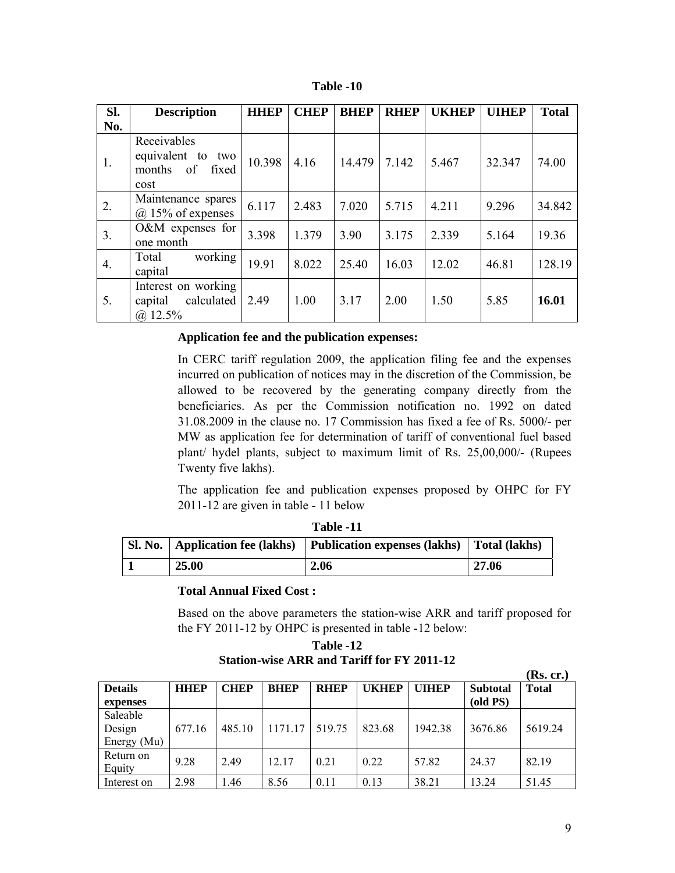| Table | -10 |
|-------|-----|
|-------|-----|

| SI. | <b>Description</b>                                             | <b>HHEP</b> | <b>CHEP</b> | <b>BHEP</b> | <b>RHEP</b> | <b>UKHEP</b> | <b>UIHEP</b> | <b>Total</b> |
|-----|----------------------------------------------------------------|-------------|-------------|-------------|-------------|--------------|--------------|--------------|
| No. |                                                                |             |             |             |             |              |              |              |
| 1.  | Receivables<br>equivalent to two<br>months of<br>fixed<br>cost | 10.398      | 4.16        | 14.479      | 7.142       | 5.467        | 32.347       | 74.00        |
| 2.  | Maintenance spares<br>$(a)$ 15% of expenses                    | 6.117       | 2.483       | 7.020       | 5.715       | 4.211        | 9.296        | 34.842       |
| 3.  | $O&M$ expenses for<br>one month                                | 3.398       | 1.379       | 3.90        | 3.175       | 2.339        | 5.164        | 19.36        |
| 4.  | working<br>Total<br>capital                                    | 19.91       | 8.022       | 25.40       | 16.03       | 12.02        | 46.81        | 128.19       |
| 5.  | Interest on working<br>calculated<br>capital<br>$(a)$ 12.5%    | 2.49        | 1.00        | 3.17        | 2.00        | 1.50         | 5.85         | 16.01        |

### **Application fee and the publication expenses:**

In CERC tariff regulation 2009, the application filing fee and the expenses incurred on publication of notices may in the discretion of the Commission, be allowed to be recovered by the generating company directly from the beneficiaries. As per the Commission notification no. 1992 on dated 31.08.2009 in the clause no. 17 Commission has fixed a fee of Rs. 5000/- per MW as application fee for determination of tariff of conventional fuel based plant/ hydel plants, subject to maximum limit of Rs. 25,00,000/- (Rupees Twenty five lakhs).

The application fee and publication expenses proposed by OHPC for FY 2011-12 are given in table - 11 below

|       | ---------                                                                        |       |
|-------|----------------------------------------------------------------------------------|-------|
|       | Sl. No.   Application fee (lakhs)   Publication expenses (lakhs)   Total (lakhs) |       |
| 25.00 | 2.06                                                                             | 27.06 |

# **Table -11**

#### **Total Annual Fixed Cost :**

Based on the above parameters the station-wise ARR and tariff proposed for the FY 2011-12 by OHPC is presented in table -12 below:

| Table -12                                         |
|---------------------------------------------------|
| <b>Station-wise ARR and Tariff for FY 2011-12</b> |

|                |             |             |             |             |              |              |                 | (Rs. cr.)    |
|----------------|-------------|-------------|-------------|-------------|--------------|--------------|-----------------|--------------|
| <b>Details</b> | <b>HHEP</b> | <b>CHEP</b> | <b>BHEP</b> | <b>RHEP</b> | <b>UKHEP</b> | <b>UIHEP</b> | <b>Subtotal</b> | <b>Total</b> |
| expenses       |             |             |             |             |              |              | (old PS)        |              |
| Saleable       |             |             |             |             |              |              |                 |              |
| Design         | 677.16      | 485.10      | 1171.17     | 519.75      | 823.68       | 1942.38      | 3676.86         | 5619.24      |
| Energy (Mu)    |             |             |             |             |              |              |                 |              |
| Return on      |             | 2.49        | 12.17       |             | 0.22         | 57.82        | 24.37           | 82.19        |
| Equity         | 9.28        |             |             | 0.21        |              |              |                 |              |
| Interest on    | 2.98        | 1.46        | 8.56        | 0.11        | 0.13         | 38.21        | 13.24           | 51.45        |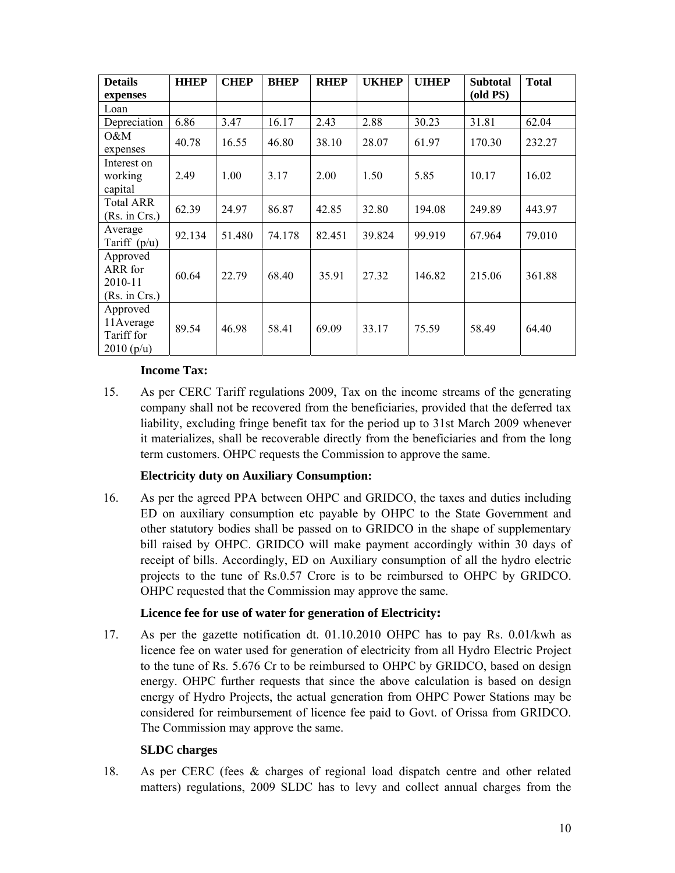| <b>Details</b><br>expenses                        | <b>HHEP</b> | <b>CHEP</b> | <b>BHEP</b> | <b>RHEP</b> | <b>UKHEP</b> | <b>UIHEP</b> | <b>Subtotal</b><br>(old PS) | <b>Total</b> |
|---------------------------------------------------|-------------|-------------|-------------|-------------|--------------|--------------|-----------------------------|--------------|
| Loan                                              |             |             |             |             |              |              |                             |              |
| Depreciation                                      | 6.86        | 3.47        | 16.17       | 2.43        | 2.88         | 30.23        | 31.81                       | 62.04        |
| 0&M<br>expenses                                   | 40.78       | 16.55       | 46.80       | 38.10       | 28.07        | 61.97        | 170.30                      | 232.27       |
| Interest on<br>working<br>capital                 | 2.49        | 1.00        | 3.17        | 2.00        | 1.50         | 5.85         | 10.17                       | 16.02        |
| <b>Total ARR</b><br>(Rs. in Crs.)                 | 62.39       | 24.97       | 86.87       | 42.85       | 32.80        | 194.08       | 249.89                      | 443.97       |
| Average<br>Tariff $(p/u)$                         | 92.134      | 51.480      | 74.178      | 82.451      | 39.824       | 99.919       | 67.964                      | 79.010       |
| Approved<br>ARR for<br>2010-11<br>(Rs. in Crs.)   | 60.64       | 22.79       | 68.40       | 35.91       | 27.32        | 146.82       | 215.06                      | 361.88       |
| Approved<br>11 Average<br>Tariff for<br>2010(p/u) | 89.54       | 46.98       | 58.41       | 69.09       | 33.17        | 75.59        | 58.49                       | 64.40        |

### **Income Tax:**

15. As per CERC Tariff regulations 2009, Tax on the income streams of the generating company shall not be recovered from the beneficiaries, provided that the deferred tax liability, excluding fringe benefit tax for the period up to 31st March 2009 whenever it materializes, shall be recoverable directly from the beneficiaries and from the long term customers. OHPC requests the Commission to approve the same.

### **Electricity duty on Auxiliary Consumption:**

16. As per the agreed PPA between OHPC and GRIDCO, the taxes and duties including ED on auxiliary consumption etc payable by OHPC to the State Government and other statutory bodies shall be passed on to GRIDCO in the shape of supplementary bill raised by OHPC. GRIDCO will make payment accordingly within 30 days of receipt of bills. Accordingly, ED on Auxiliary consumption of all the hydro electric projects to the tune of Rs.0.57 Crore is to be reimbursed to OHPC by GRIDCO. OHPC requested that the Commission may approve the same.

# **Licence fee for use of water for generation of Electricity:**

17. As per the gazette notification dt. 01.10.2010 OHPC has to pay Rs. 0.01/kwh as licence fee on water used for generation of electricity from all Hydro Electric Project to the tune of Rs. 5.676 Cr to be reimbursed to OHPC by GRIDCO, based on design energy. OHPC further requests that since the above calculation is based on design energy of Hydro Projects, the actual generation from OHPC Power Stations may be considered for reimbursement of licence fee paid to Govt. of Orissa from GRIDCO. The Commission may approve the same.

### **SLDC charges**

18. As per CERC (fees & charges of regional load dispatch centre and other related matters) regulations, 2009 SLDC has to levy and collect annual charges from the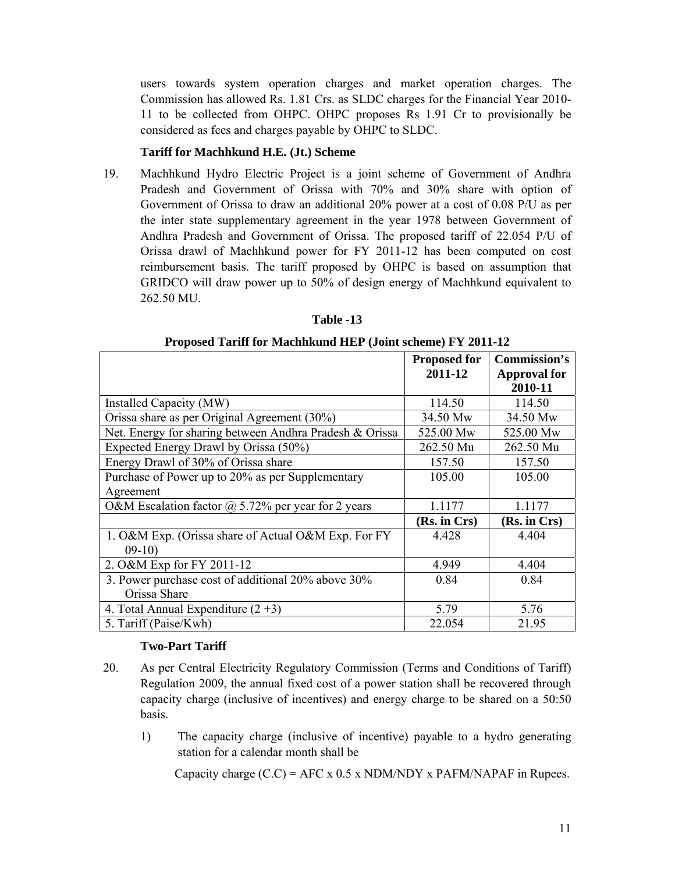users towards system operation charges and market operation charges. The Commission has allowed Rs. 1.81 Crs. as SLDC charges for the Financial Year 2010- 11 to be collected from OHPC. OHPC proposes Rs 1.91 Cr to provisionally be considered as fees and charges payable by OHPC to SLDC.

#### **Tariff for Machhkund H.E. (Jt.) Scheme**

19. Machhkund Hydro Electric Project is a joint scheme of Government of Andhra Pradesh and Government of Orissa with 70% and 30% share with option of Government of Orissa to draw an additional 20% power at a cost of 0.08 P/U as per the inter state supplementary agreement in the year 1978 between Government of Andhra Pradesh and Government of Orissa. The proposed tariff of 22.054 P/U of Orissa drawl of Machhkund power for FY 2011-12 has been computed on cost reimbursement basis. The tariff proposed by OHPC is based on assumption that GRIDCO will draw power up to 50% of design energy of Machhkund equivalent to 262.50 MU.

|                                                           | <b>Proposed for</b> | Commission's        |
|-----------------------------------------------------------|---------------------|---------------------|
|                                                           | 2011-12             | <b>Approval for</b> |
|                                                           |                     | 2010-11             |
| Installed Capacity (MW)                                   | 114.50              | 114.50              |
| Orissa share as per Original Agreement (30%)              | 34.50 Mw            | 34.50 Mw            |
| Net. Energy for sharing between Andhra Pradesh & Orissa   | 525.00 Mw           | 525.00 Mw           |
| Expected Energy Drawl by Orissa (50%)                     | 262.50 Mu           | 262.50 Mu           |
| Energy Drawl of 30% of Orissa share                       | 157.50              | 157.50              |
| Purchase of Power up to 20% as per Supplementary          | 105.00              | 105.00              |
| Agreement                                                 |                     |                     |
| O&M Escalation factor $\omega$ 5.72% per year for 2 years | 1.1177              | 1.1177              |
|                                                           | (Rs. in Crs)        | (Rs. in Crs)        |
| 1. O&M Exp. (Orissa share of Actual O&M Exp. For FY       | 4.428               | 4.404               |
| $09-10$                                                   |                     |                     |
| 2. O&M Exp for FY 2011-12                                 | 4.949               | 4.404               |
| 3. Power purchase cost of additional 20% above 30%        | 0.84                | 0.84                |
| Orissa Share                                              |                     |                     |
| 4. Total Annual Expenditure $(2+3)$                       | 5.79                | 5.76                |
| 5. Tariff (Paise/Kwh)                                     | 22.054              | 21.95               |

#### **Table -13**

#### **Proposed Tariff for Machhkund HEP (Joint scheme) FY 2011-12**

### **Two-Part Tariff**

- 20. As per Central Electricity Regulatory Commission (Terms and Conditions of Tariff) Regulation 2009, the annual fixed cost of a power station shall be recovered through capacity charge (inclusive of incentives) and energy charge to be shared on a 50:50 basis.
	- 1) The capacity charge (inclusive of incentive) payable to a hydro generating station for a calendar month shall be

Capacity charge  $(C.C) = AFC \times 0.5 \times NDM/NDY \times PAFM/NAPAF$  in Rupees.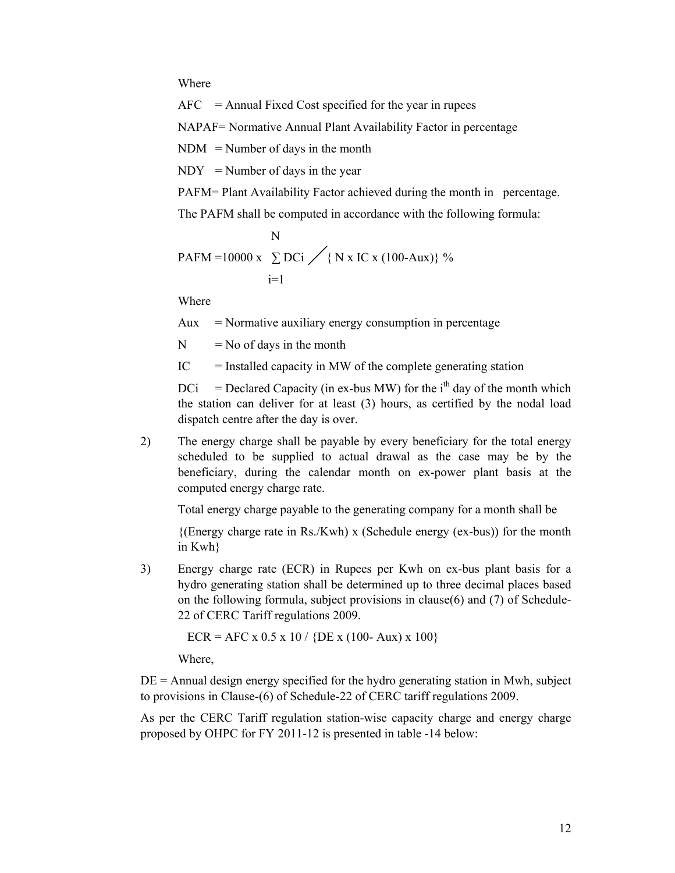Where

 $AFC = Annual Fixed Cost specified for the year in rupees$ 

NAPAF= Normative Annual Plant Availability Factor in percentage

 $NDM = Number of days in the month$ 

 $NDY = Number of days in the year$ 

PAFM= Plant Availability Factor achieved during the month in percentage.

The PAFM shall be computed in accordance with the following formula:

$$
N
$$
  
PAFM = 10000 x  $\sum$  DCi  $/ \{ N x IC x (100-Aux) \}$ %  
i=1

Where

 $Aux$  = Normative auxiliary energy consumption in percentage

 $N = No$  of days in the month

 $IC =$  Installed capacity in MW of the complete generating station

 $DCi = Declared Capacity (in ex-bus MW) for the i<sup>th</sup> day of the month which$ the station can deliver for at least (3) hours, as certified by the nodal load dispatch centre after the day is over.

2) The energy charge shall be payable by every beneficiary for the total energy scheduled to be supplied to actual drawal as the case may be by the beneficiary, during the calendar month on ex-power plant basis at the computed energy charge rate.

Total energy charge payable to the generating company for a month shall be

 ${(\text{Energy charge rate in Rs./Kwh)} \times (\text{Scheduled energy (ex-bus))} \text{ for the month}}$ in Kwh}

3) Energy charge rate (ECR) in Rupees per Kwh on ex-bus plant basis for a hydro generating station shall be determined up to three decimal places based on the following formula, subject provisions in clause(6) and (7) of Schedule-22 of CERC Tariff regulations 2009.

 $ECR = AFC \times 0.5 \times 10 / \{DE \times (100 - Aux) \times 100\}$ 

Where,

 $DE =$  Annual design energy specified for the hydro generating station in Mwh, subject to provisions in Clause-(6) of Schedule-22 of CERC tariff regulations 2009.

As per the CERC Tariff regulation station-wise capacity charge and energy charge proposed by OHPC for FY 2011-12 is presented in table -14 below: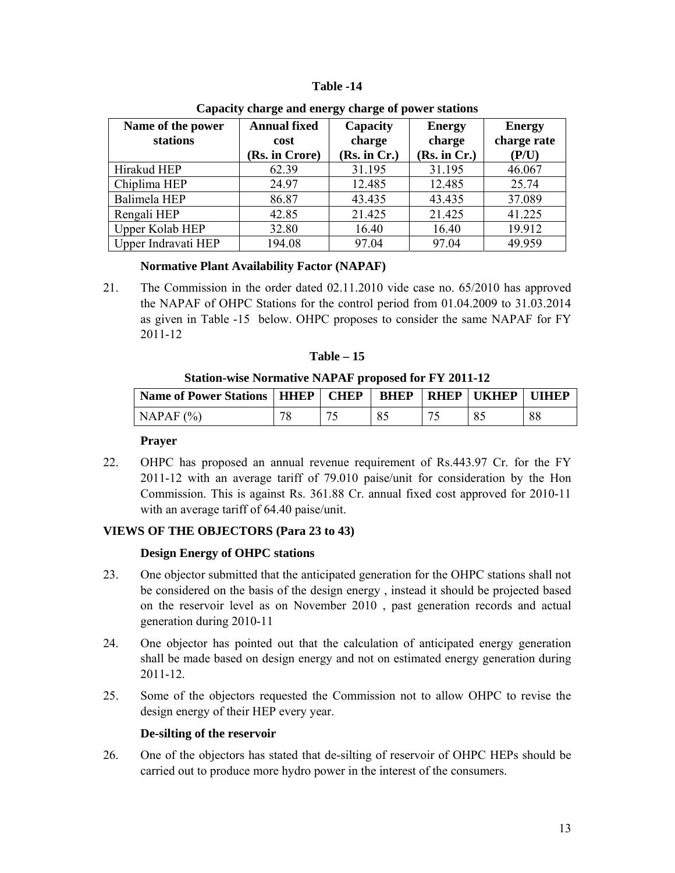#### **Table -14**

| Name of the power<br>stations | <b>Annual fixed</b><br>cost<br>(Rs. in Crore) | Capacity<br>charge<br>(Rs. in Cr.) | <b>Energy</b><br>charge<br>(Rs. in Cr.) | <b>Energy</b><br>charge rate<br>(P/U) |
|-------------------------------|-----------------------------------------------|------------------------------------|-----------------------------------------|---------------------------------------|
| Hirakud HEP                   | 62.39                                         | 31.195                             | 31.195                                  | 46.067                                |
| Chiplima HEP                  | 24.97                                         | 12.485                             | 12.485                                  | 25.74                                 |
| Balimela HEP                  | 86.87                                         | 43.435                             | 43.435                                  | 37.089                                |
| Rengali HEP                   | 42.85                                         | 21.425                             | 21.425                                  | 41.225                                |
| <b>Upper Kolab HEP</b>        | 32.80                                         | 16.40                              | 16.40                                   | 19.912                                |
| Upper Indravati HEP           | 194.08                                        | 97.04                              | 97.04                                   | 49.959                                |

**Capacity charge and energy charge of power stations**

### **Normative Plant Availability Factor (NAPAF)**

21. The Commission in the order dated 02.11.2010 vide case no. 65/2010 has approved the NAPAF of OHPC Stations for the control period from 01.04.2009 to 31.03.2014 as given in Table -15 below. OHPC proposes to consider the same NAPAF for FY 2011-12

| l ablı<br>۳ |  |
|-------------|--|
|-------------|--|

**Station-wise Normative NAPAF proposed for FY 2011-12** 

| <b>Name of Power Stations   HHEP  </b> | <b>CHEP</b> | <b>BHEP</b> | <b>RHEP UKHEP UIHEP</b> |    |
|----------------------------------------|-------------|-------------|-------------------------|----|
| NAPAF (%)                              |             | 85          |                         | 88 |

### **Prayer**

22. OHPC has proposed an annual revenue requirement of Rs.443.97 Cr. for the FY 2011-12 with an average tariff of 79.010 paise/unit for consideration by the Hon Commission. This is against Rs. 361.88 Cr. annual fixed cost approved for 2010-11 with an average tariff of 64.40 paise/unit.

# **VIEWS OF THE OBJECTORS (Para 23 to 43)**

### **Design Energy of OHPC stations**

- 23. One objector submitted that the anticipated generation for the OHPC stations shall not be considered on the basis of the design energy , instead it should be projected based on the reservoir level as on November 2010 , past generation records and actual generation during 2010-11
- 24. One objector has pointed out that the calculation of anticipated energy generation shall be made based on design energy and not on estimated energy generation during 2011-12.
- 25. Some of the objectors requested the Commission not to allow OHPC to revise the design energy of their HEP every year.

### **De-silting of the reservoir**

26. One of the objectors has stated that de-silting of reservoir of OHPC HEPs should be carried out to produce more hydro power in the interest of the consumers.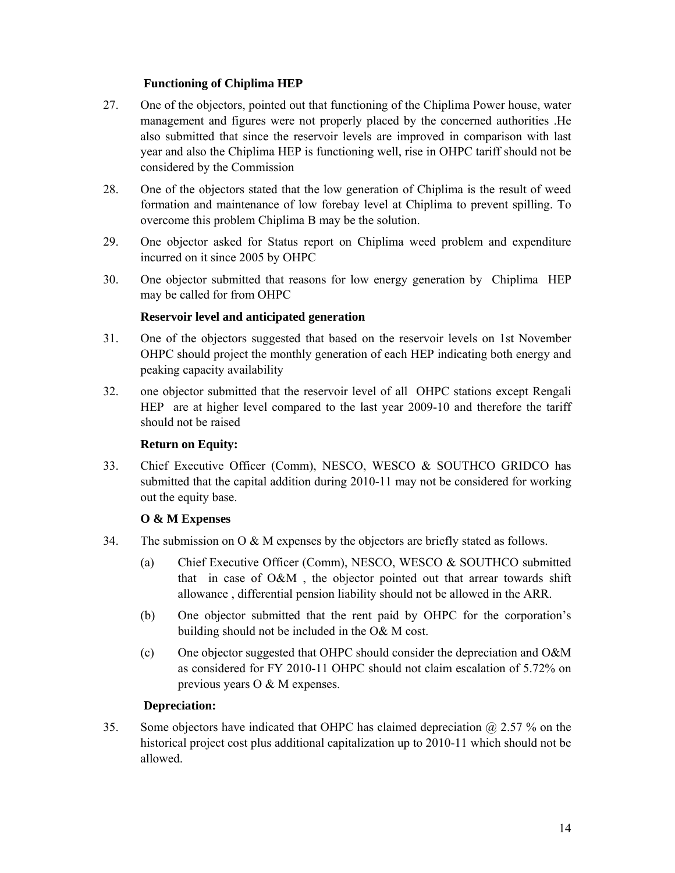### **Functioning of Chiplima HEP**

- 27. One of the objectors, pointed out that functioning of the Chiplima Power house, water management and figures were not properly placed by the concerned authorities .He also submitted that since the reservoir levels are improved in comparison with last year and also the Chiplima HEP is functioning well, rise in OHPC tariff should not be considered by the Commission
- 28. One of the objectors stated that the low generation of Chiplima is the result of weed formation and maintenance of low forebay level at Chiplima to prevent spilling. To overcome this problem Chiplima B may be the solution.
- 29. One objector asked for Status report on Chiplima weed problem and expenditure incurred on it since 2005 by OHPC
- 30. One objector submitted that reasons for low energy generation by Chiplima HEP may be called for from OHPC

### **Reservoir level and anticipated generation**

- 31. One of the objectors suggested that based on the reservoir levels on 1st November OHPC should project the monthly generation of each HEP indicating both energy and peaking capacity availability
- 32. one objector submitted that the reservoir level of all OHPC stations except Rengali HEP are at higher level compared to the last year 2009-10 and therefore the tariff should not be raised

### **Return on Equity:**

33. Chief Executive Officer (Comm), NESCO, WESCO & SOUTHCO GRIDCO has submitted that the capital addition during 2010-11 may not be considered for working out the equity base.

# **O & M Expenses**

- 34. The submission on  $\overline{O} \& M$  expenses by the objectors are briefly stated as follows.
	- (a) Chief Executive Officer (Comm), NESCO, WESCO & SOUTHCO submitted that in case of O&M , the objector pointed out that arrear towards shift allowance , differential pension liability should not be allowed in the ARR.
	- (b) One objector submitted that the rent paid by OHPC for the corporation's building should not be included in the O& M cost.
	- (c) One objector suggested that OHPC should consider the depreciation and O&M as considered for FY 2010-11 OHPC should not claim escalation of 5.72% on previous years O & M expenses.

# **Depreciation:**

35. Some objectors have indicated that OHPC has claimed depreciation @ 2.57 % on the historical project cost plus additional capitalization up to 2010-11 which should not be allowed.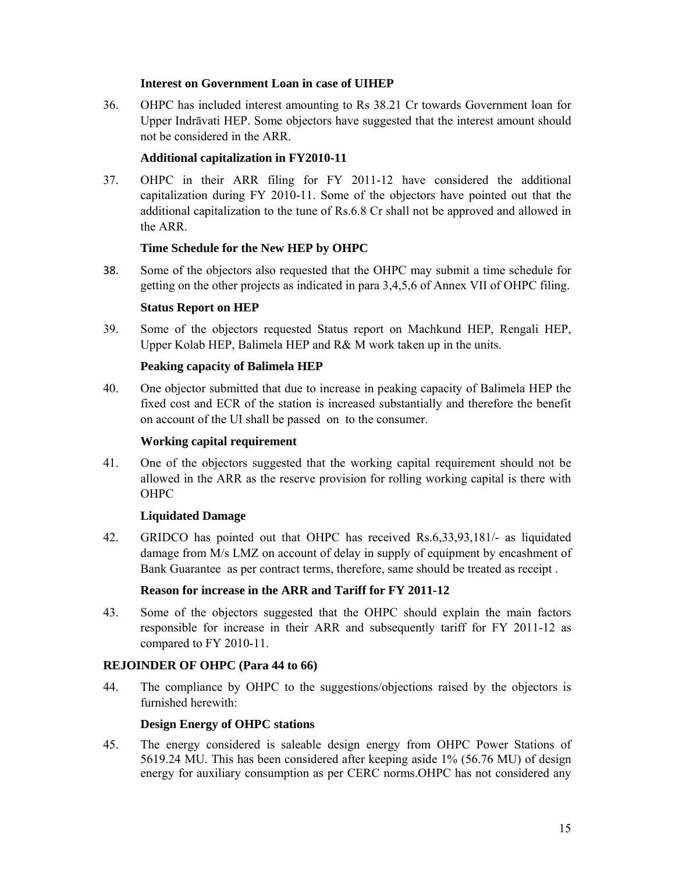### **Interest on Government Loan in case of UIHEP**

36. OHPC has included interest amounting to Rs 38.21 Cr towards Government loan for Upper Indrāvati HEP. Some objectors have suggested that the interest amount should not be considered in the ARR.

# **Additional capitalization in FY2010-11**

37. OHPC in their ARR filing for FY 2011-12 have considered the additional capitalization during FY 2010-11. Some of the objectors have pointed out that the additional capitalization to the tune of Rs.6.8 Cr shall not be approved and allowed in the ARR.

# **Time Schedule for the New HEP by OHPC**

38. Some of the objectors also requested that the OHPC may submit a time schedule for getting on the other projects as indicated in para 3,4,5,6 of Annex VII of OHPC filing.

# **Status Report on HEP**

39. Some of the objectors requested Status report on Machkund HEP, Rengali HEP, Upper Kolab HEP, Balimela HEP and R& M work taken up in the units.

# **Peaking capacity of Balimela HEP**

40. One objector submitted that due to increase in peaking capacity of Balimela HEP the fixed cost and ECR of the station is increased substantially and therefore the benefit on account of the UI shall be passed on to the consumer.

### **Working capital requirement**

41. One of the objectors suggested that the working capital requirement should not be allowed in the ARR as the reserve provision for rolling working capital is there with OHPC

# **Liquidated Damage**

42. GRIDCO has pointed out that OHPC has received Rs.6,33,93,181/- as liquidated damage from M/s LMZ on account of delay in supply of equipment by encashment of Bank Guarantee as per contract terms, therefore, same should be treated as receipt .

# **Reason for increase in the ARR and Tariff for FY 2011-12**

43. Some of the objectors suggested that the OHPC should explain the main factors responsible for increase in their ARR and subsequently tariff for FY 2011-12 as compared to FY 2010-11.

# **REJOINDER OF OHPC (Para 44 to 66)**

44. The compliance by OHPC to the suggestions/objections raised by the objectors is furnished herewith:

### **Design Energy of OHPC stations**

45. The energy considered is saleable design energy from OHPC Power Stations of 5619.24 MU. This has been considered after keeping aside 1% (56.76 MU) of design energy for auxiliary consumption as per CERC norms.OHPC has not considered any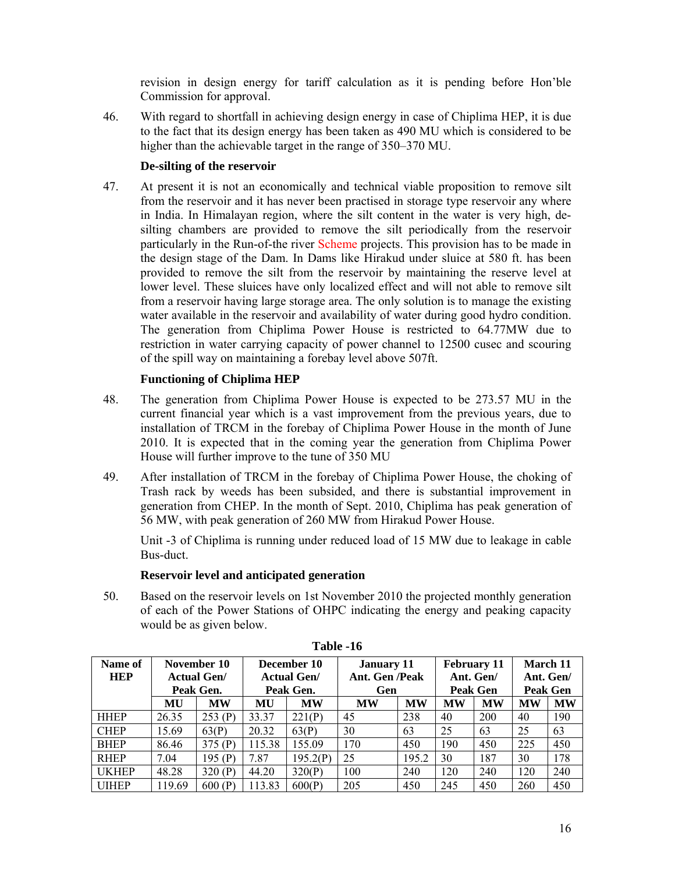revision in design energy for tariff calculation as it is pending before Hon'ble Commission for approval.

46. With regard to shortfall in achieving design energy in case of Chiplima HEP, it is due to the fact that its design energy has been taken as 490 MU which is considered to be higher than the achievable target in the range of 350–370 MU.

# **De-silting of the reservoir**

47. At present it is not an economically and technical viable proposition to remove silt from the reservoir and it has never been practised in storage type reservoir any where in India. In Himalayan region, where the silt content in the water is very high, desilting chambers are provided to remove the silt periodically from the reservoir particularly in the Run-of-the river Scheme projects. This provision has to be made in the design stage of the Dam. In Dams like Hirakud under sluice at 580 ft. has been provided to remove the silt from the reservoir by maintaining the reserve level at lower level. These sluices have only localized effect and will not able to remove silt from a reservoir having large storage area. The only solution is to manage the existing water available in the reservoir and availability of water during good hydro condition. The generation from Chiplima Power House is restricted to 64.77MW due to restriction in water carrying capacity of power channel to 12500 cusec and scouring of the spill way on maintaining a forebay level above 507ft.

# **Functioning of Chiplima HEP**

- 48. The generation from Chiplima Power House is expected to be 273.57 MU in the current financial year which is a vast improvement from the previous years, due to installation of TRCM in the forebay of Chiplima Power House in the month of June 2010. It is expected that in the coming year the generation from Chiplima Power House will further improve to the tune of 350 MU
- 49. After installation of TRCM in the forebay of Chiplima Power House, the choking of Trash rack by weeds has been subsided, and there is substantial improvement in generation from CHEP. In the month of Sept. 2010, Chiplima has peak generation of 56 MW, with peak generation of 260 MW from Hirakud Power House.

Unit -3 of Chiplima is running under reduced load of 15 MW due to leakage in cable Bus-duct.

# **Reservoir level and anticipated generation**

50. Based on the reservoir levels on 1st November 2010 the projected monthly generation of each of the Power Stations of OHPC indicating the energy and peaking capacity would be as given below.

| Name of      | November 10 |                    | December 10 |                    | <b>January 11</b> |           | <b>February 11</b> |           | March 11        |           |
|--------------|-------------|--------------------|-------------|--------------------|-------------------|-----------|--------------------|-----------|-----------------|-----------|
| <b>HEP</b>   |             | <b>Actual Gen/</b> |             | <b>Actual Gen/</b> | Ant. Gen /Peak    |           | Ant. Gen/          |           | Ant. Gen/       |           |
|              |             | Peak Gen.          |             | Peak Gen.          | Gen               |           | <b>Peak Gen</b>    |           | <b>Peak Gen</b> |           |
|              | MU          | <b>MW</b>          | MU          | <b>MW</b>          | <b>MW</b>         | <b>MW</b> | <b>MW</b>          | <b>MW</b> | <b>MW</b>       | <b>MW</b> |
| <b>HHEP</b>  | 26.35       | 253(P)             | 33.37       | 221(P)             | 45                | 238       | 40                 | 200       | 40              | 190       |
| <b>CHEP</b>  | 15.69       | 63(P)              | 20.32       | 63(P)              | 30                | 63        | 25                 | 63        | 25              | 63        |
| <b>BHEP</b>  | 86.46       | 375(P)             | 115.38      | 155.09             | 170               | 450       | 190                | 450       | 225             | 450       |
| <b>RHEP</b>  | 7.04        | 195 $(P)$          | 7.87        | 195.2(P)           | 25                | 195.2     | 30                 | 187       | 30              | 178       |
| <b>UKHEP</b> | 48.28       | 320(P)             | 44.20       | 320(P)             | 100               | 240       | 120                | 240       | 120             | 240       |
| <b>UIHEP</b> | 119.69      | 600(P)             | 113.83      | 600(P)             | 205               | 450       | 245                | 450       | 260             | 450       |

**Table -16**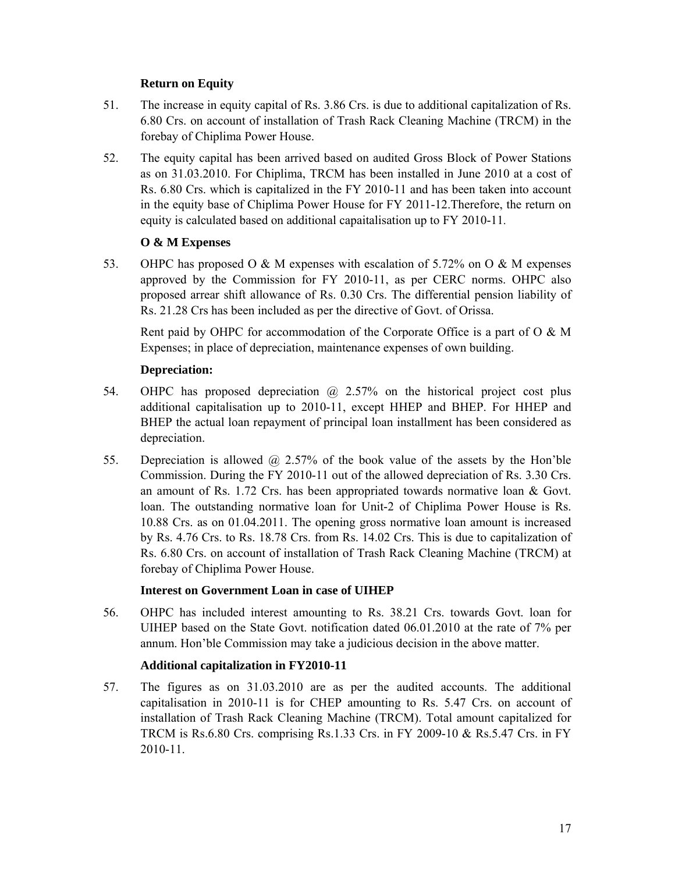# **Return on Equity**

- 51. The increase in equity capital of Rs. 3.86 Crs. is due to additional capitalization of Rs. 6.80 Crs. on account of installation of Trash Rack Cleaning Machine (TRCM) in the forebay of Chiplima Power House.
- 52. The equity capital has been arrived based on audited Gross Block of Power Stations as on 31.03.2010. For Chiplima, TRCM has been installed in June 2010 at a cost of Rs. 6.80 Crs. which is capitalized in the FY 2010-11 and has been taken into account in the equity base of Chiplima Power House for FY 2011-12.Therefore, the return on equity is calculated based on additional capaitalisation up to FY 2010-11.

# **O & M Expenses**

53. OHPC has proposed O & M expenses with escalation of 5.72% on O & M expenses approved by the Commission for FY 2010-11, as per CERC norms. OHPC also proposed arrear shift allowance of Rs. 0.30 Crs. The differential pension liability of Rs. 21.28 Crs has been included as per the directive of Govt. of Orissa.

Rent paid by OHPC for accommodation of the Corporate Office is a part of  $O \& M$ Expenses; in place of depreciation, maintenance expenses of own building.

# **Depreciation:**

- 54. OHPC has proposed depreciation @ 2.57% on the historical project cost plus additional capitalisation up to 2010-11, except HHEP and BHEP. For HHEP and BHEP the actual loan repayment of principal loan installment has been considered as depreciation.
- 55. Depreciation is allowed @ 2.57% of the book value of the assets by the Hon'ble Commission. During the FY 2010-11 out of the allowed depreciation of Rs. 3.30 Crs. an amount of Rs. 1.72 Crs. has been appropriated towards normative loan & Govt. loan. The outstanding normative loan for Unit-2 of Chiplima Power House is Rs. 10.88 Crs. as on 01.04.2011. The opening gross normative loan amount is increased by Rs. 4.76 Crs. to Rs. 18.78 Crs. from Rs. 14.02 Crs. This is due to capitalization of Rs. 6.80 Crs. on account of installation of Trash Rack Cleaning Machine (TRCM) at forebay of Chiplima Power House.

# **Interest on Government Loan in case of UIHEP**

56. OHPC has included interest amounting to Rs. 38.21 Crs. towards Govt. loan for UIHEP based on the State Govt. notification dated 06.01.2010 at the rate of 7% per annum. Hon'ble Commission may take a judicious decision in the above matter.

# **Additional capitalization in FY2010-11**

57. The figures as on 31.03.2010 are as per the audited accounts. The additional capitalisation in 2010-11 is for CHEP amounting to Rs. 5.47 Crs. on account of installation of Trash Rack Cleaning Machine (TRCM). Total amount capitalized for TRCM is Rs.6.80 Crs. comprising Rs.1.33 Crs. in FY 2009-10 & Rs.5.47 Crs. in FY 2010-11.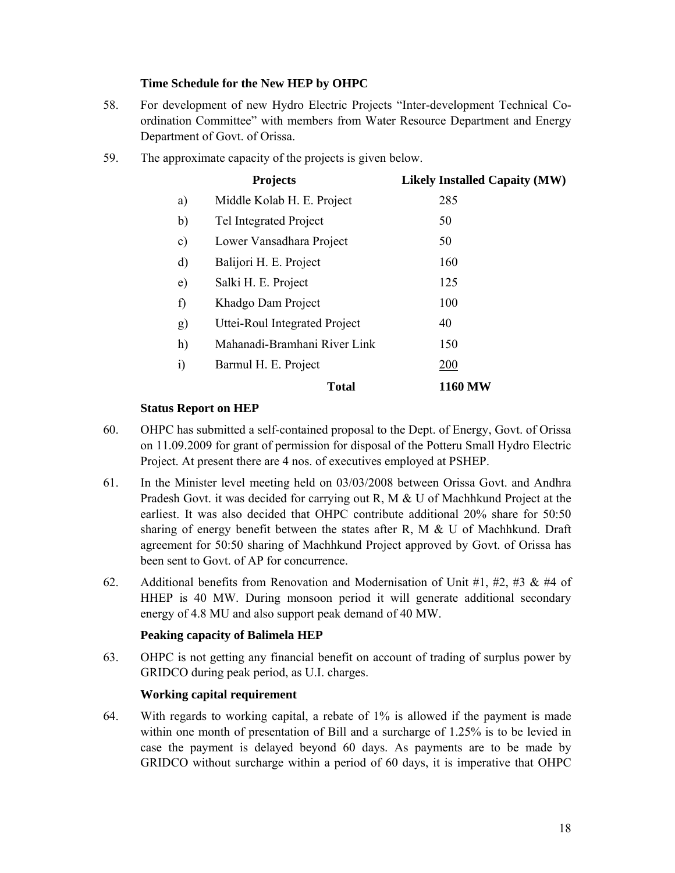### **Time Schedule for the New HEP by OHPC**

- 58. For development of new Hydro Electric Projects "Inter-development Technical Coordination Committee" with members from Water Resource Department and Energy Department of Govt. of Orissa.
- 59. The approximate capacity of the projects is given below.

|               | <b>Projects</b>               | <b>Likely Installed Capaity (MW)</b> |
|---------------|-------------------------------|--------------------------------------|
| a)            | Middle Kolab H. E. Project    | 285                                  |
| b)            | Tel Integrated Project        | 50                                   |
| $\mathbf{c})$ | Lower Vansadhara Project      | 50                                   |
| $\mathbf{d}$  | Balijori H. E. Project        | 160                                  |
| $\epsilon)$   | Salki H. E. Project           | 125                                  |
| f)            | Khadgo Dam Project            | 100                                  |
| g)            | Uttei-Roul Integrated Project | 40                                   |
| h)            | Mahanadi-Bramhani River Link  | 150                                  |
| $\mathbf{i}$  | Barmul H. E. Project          | 200                                  |
|               | <b>Total</b>                  | <b>1160 MW</b>                       |

### **Status Report on HEP**

- 60. OHPC has submitted a self-contained proposal to the Dept. of Energy, Govt. of Orissa on 11.09.2009 for grant of permission for disposal of the Potteru Small Hydro Electric Project. At present there are 4 nos. of executives employed at PSHEP.
- 61. In the Minister level meeting held on 03/03/2008 between Orissa Govt. and Andhra Pradesh Govt. it was decided for carrying out R, M & U of Machhkund Project at the earliest. It was also decided that OHPC contribute additional 20% share for 50:50 sharing of energy benefit between the states after R, M & U of Machhkund. Draft agreement for 50:50 sharing of Machhkund Project approved by Govt. of Orissa has been sent to Govt. of AP for concurrence.
- 62. Additional benefits from Renovation and Modernisation of Unit #1, #2, #3 & #4 of HHEP is 40 MW. During monsoon period it will generate additional secondary energy of 4.8 MU and also support peak demand of 40 MW.

# **Peaking capacity of Balimela HEP**

63. OHPC is not getting any financial benefit on account of trading of surplus power by GRIDCO during peak period, as U.I. charges.

# **Working capital requirement**

64. With regards to working capital, a rebate of 1% is allowed if the payment is made within one month of presentation of Bill and a surcharge of 1.25% is to be levied in case the payment is delayed beyond 60 days. As payments are to be made by GRIDCO without surcharge within a period of 60 days, it is imperative that OHPC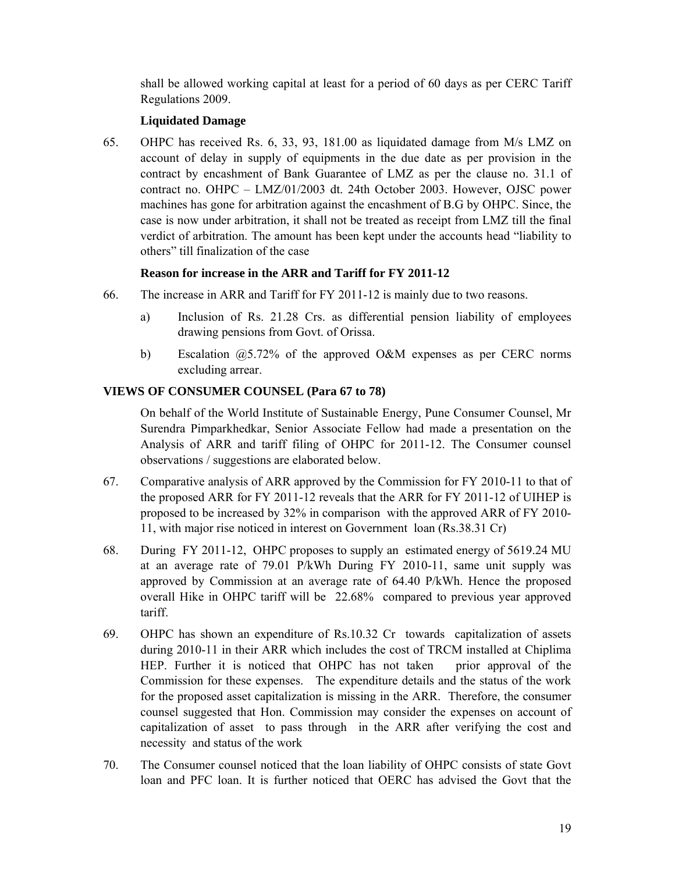shall be allowed working capital at least for a period of 60 days as per CERC Tariff Regulations 2009.

### **Liquidated Damage**

65. OHPC has received Rs. 6, 33, 93, 181.00 as liquidated damage from M/s LMZ on account of delay in supply of equipments in the due date as per provision in the contract by encashment of Bank Guarantee of LMZ as per the clause no. 31.1 of contract no. OHPC – LMZ/01/2003 dt. 24th October 2003. However, OJSC power machines has gone for arbitration against the encashment of B.G by OHPC. Since, the case is now under arbitration, it shall not be treated as receipt from LMZ till the final verdict of arbitration. The amount has been kept under the accounts head "liability to others" till finalization of the case

### **Reason for increase in the ARR and Tariff for FY 2011-12**

- 66. The increase in ARR and Tariff for FY 2011-12 is mainly due to two reasons.
	- a) Inclusion of Rs. 21.28 Crs. as differential pension liability of employees drawing pensions from Govt. of Orissa.
	- b) Escalation  $\omega$ 5.72% of the approved O&M expenses as per CERC norms excluding arrear.

### **VIEWS OF CONSUMER COUNSEL (Para 67 to 78)**

On behalf of the World Institute of Sustainable Energy, Pune Consumer Counsel, Mr Surendra Pimparkhedkar, Senior Associate Fellow had made a presentation on the Analysis of ARR and tariff filing of OHPC for 2011-12. The Consumer counsel observations / suggestions are elaborated below.

- 67. Comparative analysis of ARR approved by the Commission for FY 2010-11 to that of the proposed ARR for FY 2011-12 reveals that the ARR for FY 2011-12 of UIHEP is proposed to be increased by 32% in comparison with the approved ARR of FY 2010- 11, with major rise noticed in interest on Government loan (Rs.38.31 Cr)
- 68. During FY 2011-12, OHPC proposes to supply an estimated energy of 5619.24 MU at an average rate of 79.01 P/kWh During FY 2010-11, same unit supply was approved by Commission at an average rate of 64.40 P/kWh. Hence the proposed overall Hike in OHPC tariff will be 22.68% compared to previous year approved tariff.
- 69. OHPC has shown an expenditure of Rs.10.32 Cr towards capitalization of assets during 2010-11 in their ARR which includes the cost of TRCM installed at Chiplima HEP. Further it is noticed that OHPC has not taken prior approval of the Commission for these expenses. The expenditure details and the status of the work for the proposed asset capitalization is missing in the ARR. Therefore, the consumer counsel suggested that Hon. Commission may consider the expenses on account of capitalization of asset to pass through in the ARR after verifying the cost and necessity and status of the work
- 70. The Consumer counsel noticed that the loan liability of OHPC consists of state Govt loan and PFC loan. It is further noticed that OERC has advised the Govt that the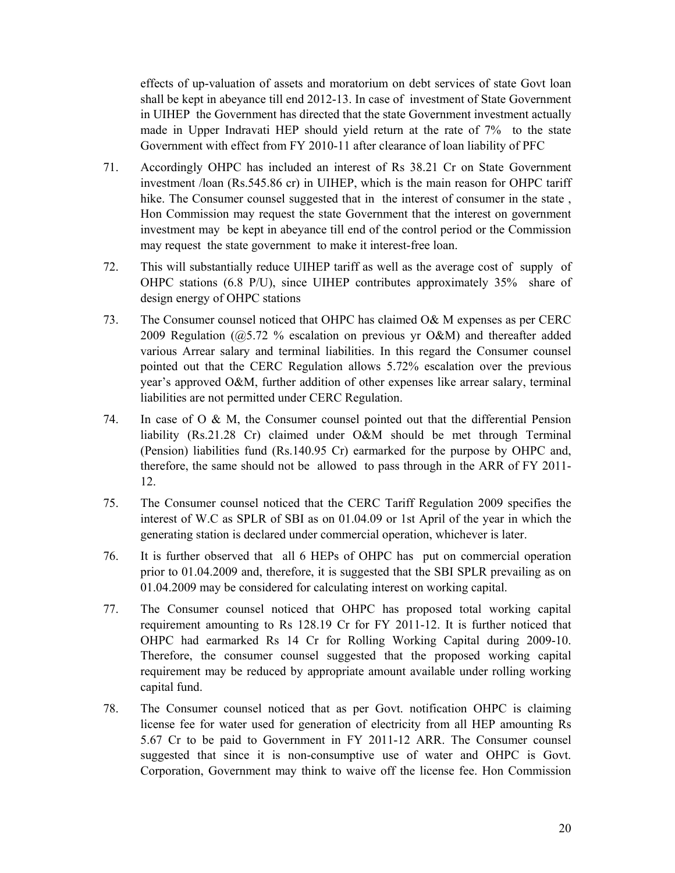effects of up-valuation of assets and moratorium on debt services of state Govt loan shall be kept in abeyance till end 2012-13. In case of investment of State Government in UIHEP the Government has directed that the state Government investment actually made in Upper Indravati HEP should yield return at the rate of 7% to the state Government with effect from FY 2010-11 after clearance of loan liability of PFC

- 71. Accordingly OHPC has included an interest of Rs 38.21 Cr on State Government investment /loan (Rs.545.86 cr) in UIHEP, which is the main reason for OHPC tariff hike. The Consumer counsel suggested that in the interest of consumer in the state, Hon Commission may request the state Government that the interest on government investment may be kept in abeyance till end of the control period or the Commission may request the state government to make it interest-free loan.
- 72. This will substantially reduce UIHEP tariff as well as the average cost of supply of OHPC stations (6.8 P/U), since UIHEP contributes approximately 35% share of design energy of OHPC stations
- 73. The Consumer counsel noticed that OHPC has claimed O& M expenses as per CERC 2009 Regulation (@5.72 % escalation on previous yr O&M) and thereafter added various Arrear salary and terminal liabilities. In this regard the Consumer counsel pointed out that the CERC Regulation allows 5.72% escalation over the previous year's approved O&M, further addition of other expenses like arrear salary, terminal liabilities are not permitted under CERC Regulation.
- 74. In case of O & M, the Consumer counsel pointed out that the differential Pension liability (Rs.21.28 Cr) claimed under O&M should be met through Terminal (Pension) liabilities fund (Rs.140.95 Cr) earmarked for the purpose by OHPC and, therefore, the same should not be allowed to pass through in the ARR of FY 2011- 12.
- 75. The Consumer counsel noticed that the CERC Tariff Regulation 2009 specifies the interest of W.C as SPLR of SBI as on 01.04.09 or 1st April of the year in which the generating station is declared under commercial operation, whichever is later.
- 76. It is further observed that all 6 HEPs of OHPC has put on commercial operation prior to 01.04.2009 and, therefore, it is suggested that the SBI SPLR prevailing as on 01.04.2009 may be considered for calculating interest on working capital.
- 77. The Consumer counsel noticed that OHPC has proposed total working capital requirement amounting to Rs 128.19 Cr for FY 2011-12. It is further noticed that OHPC had earmarked Rs 14 Cr for Rolling Working Capital during 2009-10. Therefore, the consumer counsel suggested that the proposed working capital requirement may be reduced by appropriate amount available under rolling working capital fund.
- 78. The Consumer counsel noticed that as per Govt. notification OHPC is claiming license fee for water used for generation of electricity from all HEP amounting Rs 5.67 Cr to be paid to Government in FY 2011-12 ARR. The Consumer counsel suggested that since it is non-consumptive use of water and OHPC is Govt. Corporation, Government may think to waive off the license fee. Hon Commission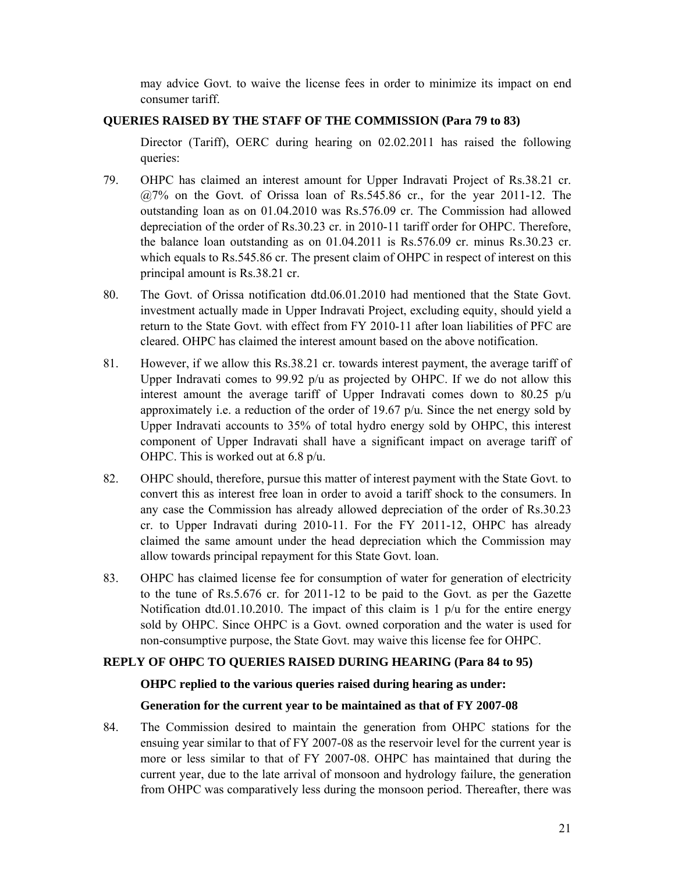may advice Govt. to waive the license fees in order to minimize its impact on end consumer tariff.

### **QUERIES RAISED BY THE STAFF OF THE COMMISSION (Para 79 to 83)**

Director (Tariff), OERC during hearing on 02.02.2011 has raised the following queries:

- 79. OHPC has claimed an interest amount for Upper Indravati Project of Rs.38.21 cr. @7% on the Govt. of Orissa loan of Rs.545.86 cr., for the year 2011-12. The outstanding loan as on 01.04.2010 was Rs.576.09 cr. The Commission had allowed depreciation of the order of Rs.30.23 cr. in 2010-11 tariff order for OHPC. Therefore, the balance loan outstanding as on 01.04.2011 is Rs.576.09 cr. minus Rs.30.23 cr. which equals to Rs.545.86 cr. The present claim of OHPC in respect of interest on this principal amount is Rs.38.21 cr.
- 80. The Govt. of Orissa notification dtd.06.01.2010 had mentioned that the State Govt. investment actually made in Upper Indravati Project, excluding equity, should yield a return to the State Govt. with effect from FY 2010-11 after loan liabilities of PFC are cleared. OHPC has claimed the interest amount based on the above notification.
- 81. However, if we allow this Rs.38.21 cr. towards interest payment, the average tariff of Upper Indravati comes to 99.92 p/u as projected by OHPC. If we do not allow this interest amount the average tariff of Upper Indravati comes down to 80.25 p/u approximately i.e. a reduction of the order of 19.67 p/u. Since the net energy sold by Upper Indravati accounts to 35% of total hydro energy sold by OHPC, this interest component of Upper Indravati shall have a significant impact on average tariff of OHPC. This is worked out at 6.8 p/u.
- 82. OHPC should, therefore, pursue this matter of interest payment with the State Govt. to convert this as interest free loan in order to avoid a tariff shock to the consumers. In any case the Commission has already allowed depreciation of the order of Rs.30.23 cr. to Upper Indravati during 2010-11. For the FY 2011-12, OHPC has already claimed the same amount under the head depreciation which the Commission may allow towards principal repayment for this State Govt. loan.
- 83. OHPC has claimed license fee for consumption of water for generation of electricity to the tune of Rs.5.676 cr. for 2011-12 to be paid to the Govt. as per the Gazette Notification dtd.01.10.2010. The impact of this claim is 1  $p/u$  for the entire energy sold by OHPC. Since OHPC is a Govt. owned corporation and the water is used for non-consumptive purpose, the State Govt. may waive this license fee for OHPC.

### **REPLY OF OHPC TO QUERIES RAISED DURING HEARING (Para 84 to 95)**

### **OHPC replied to the various queries raised during hearing as under:**

### **Generation for the current year to be maintained as that of FY 2007-08**

84. The Commission desired to maintain the generation from OHPC stations for the ensuing year similar to that of FY 2007-08 as the reservoir level for the current year is more or less similar to that of FY 2007-08. OHPC has maintained that during the current year, due to the late arrival of monsoon and hydrology failure, the generation from OHPC was comparatively less during the monsoon period. Thereafter, there was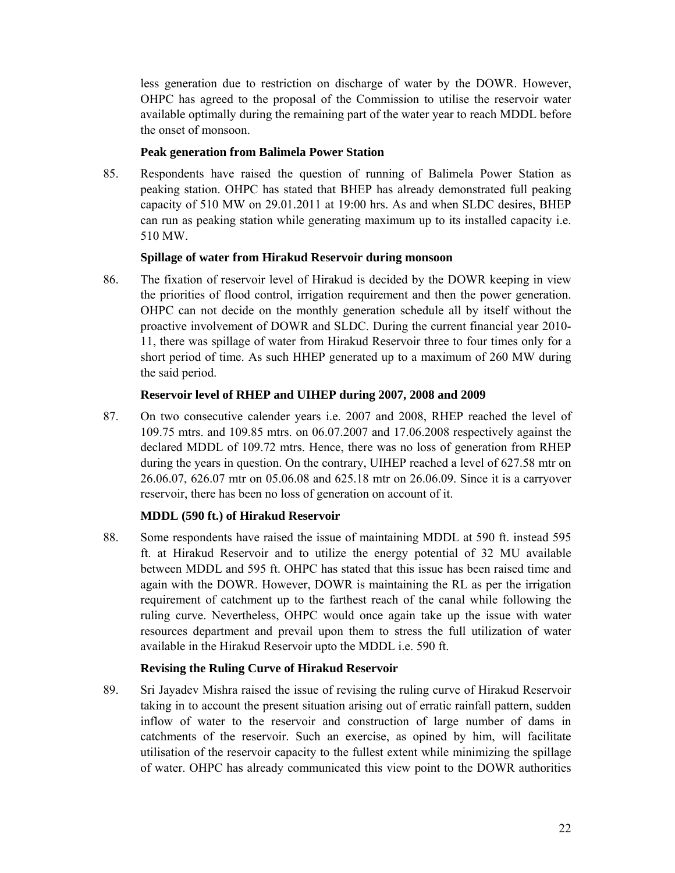less generation due to restriction on discharge of water by the DOWR. However, OHPC has agreed to the proposal of the Commission to utilise the reservoir water available optimally during the remaining part of the water year to reach MDDL before the onset of monsoon.

### **Peak generation from Balimela Power Station**

85. Respondents have raised the question of running of Balimela Power Station as peaking station. OHPC has stated that BHEP has already demonstrated full peaking capacity of 510 MW on 29.01.2011 at 19:00 hrs. As and when SLDC desires, BHEP can run as peaking station while generating maximum up to its installed capacity i.e. 510 MW.

### **Spillage of water from Hirakud Reservoir during monsoon**

86. The fixation of reservoir level of Hirakud is decided by the DOWR keeping in view the priorities of flood control, irrigation requirement and then the power generation. OHPC can not decide on the monthly generation schedule all by itself without the proactive involvement of DOWR and SLDC. During the current financial year 2010- 11, there was spillage of water from Hirakud Reservoir three to four times only for a short period of time. As such HHEP generated up to a maximum of 260 MW during the said period.

### **Reservoir level of RHEP and UIHEP during 2007, 2008 and 2009**

87. On two consecutive calender years i.e. 2007 and 2008, RHEP reached the level of 109.75 mtrs. and 109.85 mtrs. on 06.07.2007 and 17.06.2008 respectively against the declared MDDL of 109.72 mtrs. Hence, there was no loss of generation from RHEP during the years in question. On the contrary, UIHEP reached a level of 627.58 mtr on 26.06.07, 626.07 mtr on 05.06.08 and 625.18 mtr on 26.06.09. Since it is a carryover reservoir, there has been no loss of generation on account of it.

# **MDDL (590 ft.) of Hirakud Reservoir**

88. Some respondents have raised the issue of maintaining MDDL at 590 ft. instead 595 ft. at Hirakud Reservoir and to utilize the energy potential of 32 MU available between MDDL and 595 ft. OHPC has stated that this issue has been raised time and again with the DOWR. However, DOWR is maintaining the RL as per the irrigation requirement of catchment up to the farthest reach of the canal while following the ruling curve. Nevertheless, OHPC would once again take up the issue with water resources department and prevail upon them to stress the full utilization of water available in the Hirakud Reservoir upto the MDDL i.e. 590 ft.

### **Revising the Ruling Curve of Hirakud Reservoir**

89. Sri Jayadev Mishra raised the issue of revising the ruling curve of Hirakud Reservoir taking in to account the present situation arising out of erratic rainfall pattern, sudden inflow of water to the reservoir and construction of large number of dams in catchments of the reservoir. Such an exercise, as opined by him, will facilitate utilisation of the reservoir capacity to the fullest extent while minimizing the spillage of water. OHPC has already communicated this view point to the DOWR authorities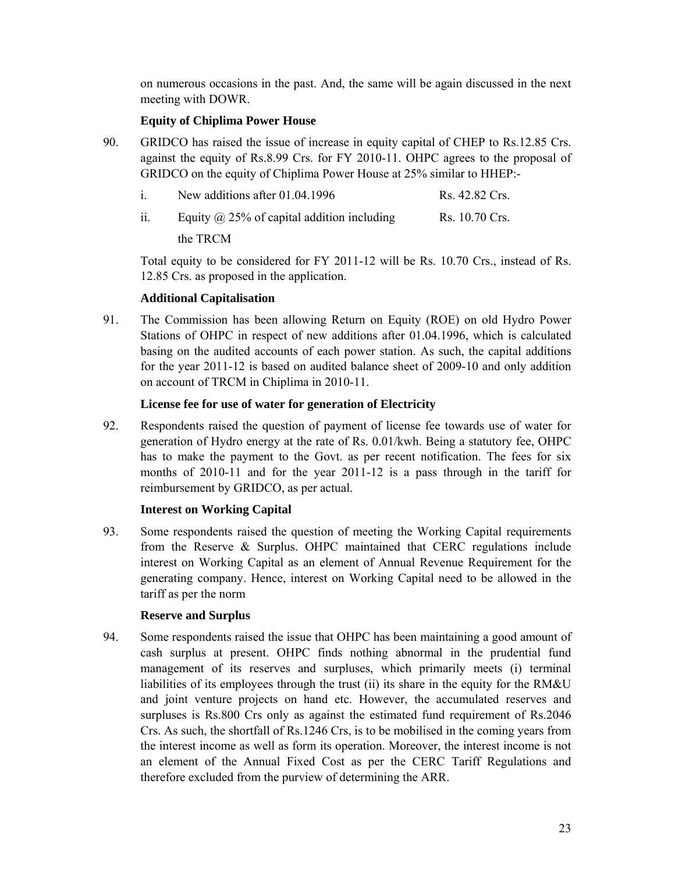on numerous occasions in the past. And, the same will be again discussed in the next meeting with DOWR.

### **Equity of Chiplima Power House**

90. GRIDCO has raised the issue of increase in equity capital of CHEP to Rs.12.85 Crs. against the equity of Rs.8.99 Crs. for FY 2010-11. OHPC agrees to the proposal of GRIDCO on the equity of Chiplima Power House at 25% similar to HHEP:-

| $1_{-}$ | New additions after 01.04.1996                    | Rs. 42.82 Crs. |
|---------|---------------------------------------------------|----------------|
| 11.     | Equity $\omega$ 25% of capital addition including | Rs. 10.70 Crs. |
|         | the TRCM                                          |                |

Total equity to be considered for FY 2011-12 will be Rs. 10.70 Crs., instead of Rs. 12.85 Crs. as proposed in the application.

### **Additional Capitalisation**

91. The Commission has been allowing Return on Equity (ROE) on old Hydro Power Stations of OHPC in respect of new additions after 01.04.1996, which is calculated basing on the audited accounts of each power station. As such, the capital additions for the year 2011-12 is based on audited balance sheet of 2009-10 and only addition on account of TRCM in Chiplima in 2010-11.

### **License fee for use of water for generation of Electricity**

92. Respondents raised the question of payment of license fee towards use of water for generation of Hydro energy at the rate of Rs. 0.01/kwh. Being a statutory fee, OHPC has to make the payment to the Govt. as per recent notification. The fees for six months of 2010-11 and for the year 2011-12 is a pass through in the tariff for reimbursement by GRIDCO, as per actual.

# **Interest on Working Capital**

93. Some respondents raised the question of meeting the Working Capital requirements from the Reserve & Surplus. OHPC maintained that CERC regulations include interest on Working Capital as an element of Annual Revenue Requirement for the generating company. Hence, interest on Working Capital need to be allowed in the tariff as per the norm

### **Reserve and Surplus**

94. Some respondents raised the issue that OHPC has been maintaining a good amount of cash surplus at present. OHPC finds nothing abnormal in the prudential fund management of its reserves and surpluses, which primarily meets (i) terminal liabilities of its employees through the trust (ii) its share in the equity for the RM&U and joint venture projects on hand etc. However, the accumulated reserves and surpluses is Rs.800 Crs only as against the estimated fund requirement of Rs.2046 Crs. As such, the shortfall of Rs.1246 Crs, is to be mobilised in the coming years from the interest income as well as form its operation. Moreover, the interest income is not an element of the Annual Fixed Cost as per the CERC Tariff Regulations and therefore excluded from the purview of determining the ARR.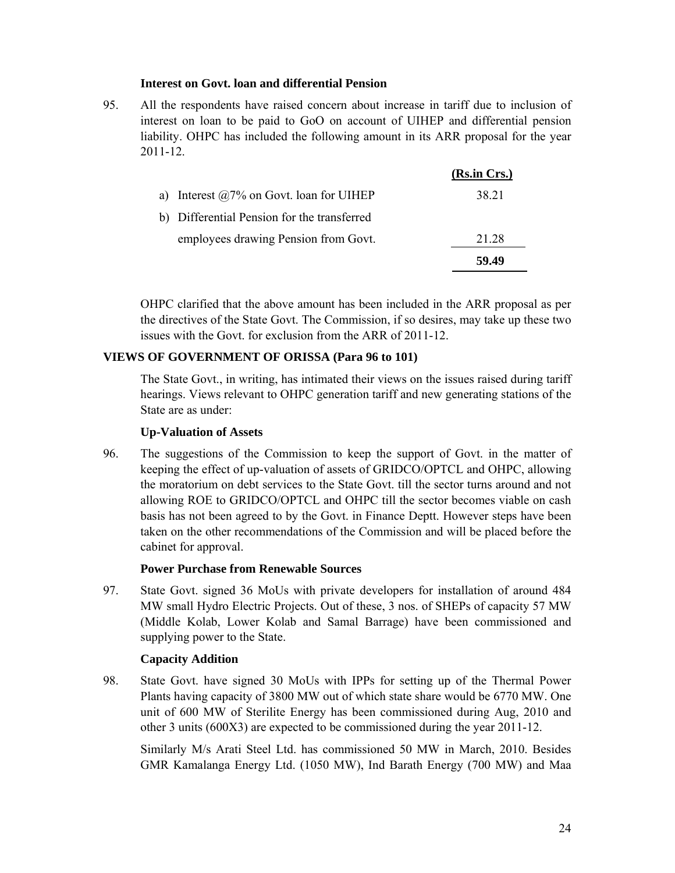### **Interest on Govt. loan and differential Pension**

95. All the respondents have raised concern about increase in tariff due to inclusion of interest on loan to be paid to GoO on account of UIHEP and differential pension liability. OHPC has included the following amount in its ARR proposal for the year 2011-12.

|                                                 | (Rs.in Crs.) |
|-------------------------------------------------|--------------|
| a) Interest $\omega$ 7% on Govt. Ioan for UIHEP | 38.21        |
| b) Differential Pension for the transferred     |              |
| employees drawing Pension from Govt.            | 21.28        |
|                                                 | 59.49        |

OHPC clarified that the above amount has been included in the ARR proposal as per the directives of the State Govt. The Commission, if so desires, may take up these two issues with the Govt. for exclusion from the ARR of 2011-12.

#### **VIEWS OF GOVERNMENT OF ORISSA (Para 96 to 101)**

The State Govt., in writing, has intimated their views on the issues raised during tariff hearings. Views relevant to OHPC generation tariff and new generating stations of the State are as under:

### **Up-Valuation of Assets**

96. The suggestions of the Commission to keep the support of Govt. in the matter of keeping the effect of up-valuation of assets of GRIDCO/OPTCL and OHPC, allowing the moratorium on debt services to the State Govt. till the sector turns around and not allowing ROE to GRIDCO/OPTCL and OHPC till the sector becomes viable on cash basis has not been agreed to by the Govt. in Finance Deptt. However steps have been taken on the other recommendations of the Commission and will be placed before the cabinet for approval.

#### **Power Purchase from Renewable Sources**

97. State Govt. signed 36 MoUs with private developers for installation of around 484 MW small Hydro Electric Projects. Out of these, 3 nos. of SHEPs of capacity 57 MW (Middle Kolab, Lower Kolab and Samal Barrage) have been commissioned and supplying power to the State.

#### **Capacity Addition**

98. State Govt. have signed 30 MoUs with IPPs for setting up of the Thermal Power Plants having capacity of 3800 MW out of which state share would be 6770 MW. One unit of 600 MW of Sterilite Energy has been commissioned during Aug, 2010 and other 3 units (600X3) are expected to be commissioned during the year 2011-12.

Similarly M/s Arati Steel Ltd. has commissioned 50 MW in March, 2010. Besides GMR Kamalanga Energy Ltd. (1050 MW), Ind Barath Energy (700 MW) and Maa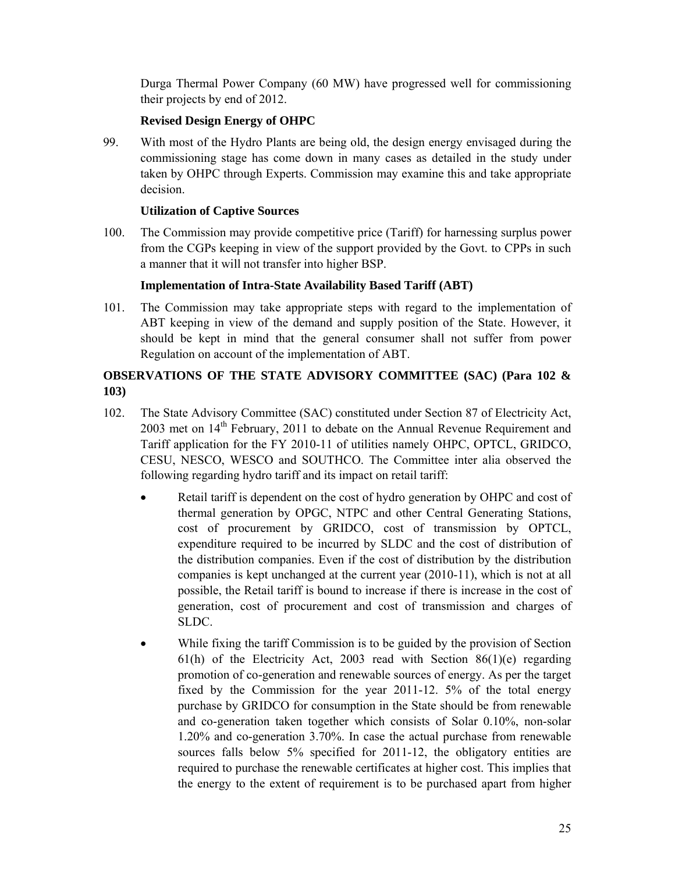Durga Thermal Power Company (60 MW) have progressed well for commissioning their projects by end of 2012.

# **Revised Design Energy of OHPC**

99. With most of the Hydro Plants are being old, the design energy envisaged during the commissioning stage has come down in many cases as detailed in the study under taken by OHPC through Experts. Commission may examine this and take appropriate decision.

# **Utilization of Captive Sources**

100. The Commission may provide competitive price (Tariff) for harnessing surplus power from the CGPs keeping in view of the support provided by the Govt. to CPPs in such a manner that it will not transfer into higher BSP.

# **Implementation of Intra-State Availability Based Tariff (ABT)**

101. The Commission may take appropriate steps with regard to the implementation of ABT keeping in view of the demand and supply position of the State. However, it should be kept in mind that the general consumer shall not suffer from power Regulation on account of the implementation of ABT.

# **OBSERVATIONS OF THE STATE ADVISORY COMMITTEE (SAC) (Para 102 & 103)**

- 102. The State Advisory Committee (SAC) constituted under Section 87 of Electricity Act,  $2003$  met on  $14<sup>th</sup>$  February, 2011 to debate on the Annual Revenue Requirement and Tariff application for the FY 2010-11 of utilities namely OHPC, OPTCL, GRIDCO, CESU, NESCO, WESCO and SOUTHCO. The Committee inter alia observed the following regarding hydro tariff and its impact on retail tariff:
	- Retail tariff is dependent on the cost of hydro generation by OHPC and cost of thermal generation by OPGC, NTPC and other Central Generating Stations, cost of procurement by GRIDCO, cost of transmission by OPTCL, expenditure required to be incurred by SLDC and the cost of distribution of the distribution companies. Even if the cost of distribution by the distribution companies is kept unchanged at the current year (2010-11), which is not at all possible, the Retail tariff is bound to increase if there is increase in the cost of generation, cost of procurement and cost of transmission and charges of SLDC.
	- While fixing the tariff Commission is to be guided by the provision of Section 61(h) of the Electricity Act, 2003 read with Section  $86(1)(e)$  regarding promotion of co-generation and renewable sources of energy. As per the target fixed by the Commission for the year 2011-12. 5% of the total energy purchase by GRIDCO for consumption in the State should be from renewable and co-generation taken together which consists of Solar 0.10%, non-solar 1.20% and co-generation 3.70%. In case the actual purchase from renewable sources falls below 5% specified for 2011-12, the obligatory entities are required to purchase the renewable certificates at higher cost. This implies that the energy to the extent of requirement is to be purchased apart from higher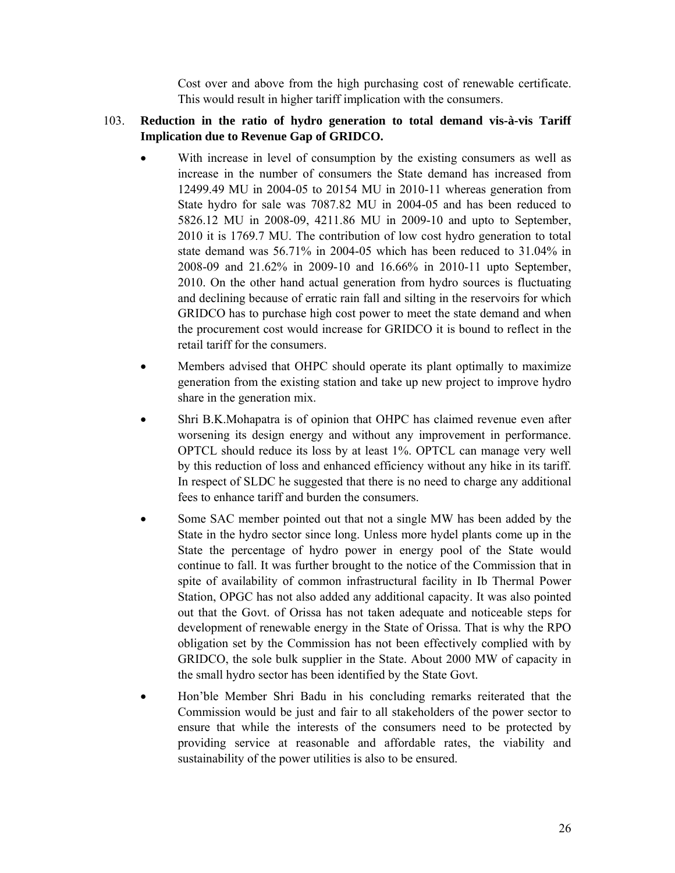Cost over and above from the high purchasing cost of renewable certificate. This would result in higher tariff implication with the consumers.

# 103. **Reduction in the ratio of hydro generation to total demand vis-à-vis Tariff Implication due to Revenue Gap of GRIDCO.**

- With increase in level of consumption by the existing consumers as well as increase in the number of consumers the State demand has increased from 12499.49 MU in 2004-05 to 20154 MU in 2010-11 whereas generation from State hydro for sale was 7087.82 MU in 2004-05 and has been reduced to 5826.12 MU in 2008-09, 4211.86 MU in 2009-10 and upto to September, 2010 it is 1769.7 MU. The contribution of low cost hydro generation to total state demand was 56.71% in 2004-05 which has been reduced to 31.04% in 2008-09 and 21.62% in 2009-10 and 16.66% in 2010-11 upto September, 2010. On the other hand actual generation from hydro sources is fluctuating and declining because of erratic rain fall and silting in the reservoirs for which GRIDCO has to purchase high cost power to meet the state demand and when the procurement cost would increase for GRIDCO it is bound to reflect in the retail tariff for the consumers.
- Members advised that OHPC should operate its plant optimally to maximize generation from the existing station and take up new project to improve hydro share in the generation mix.
- Shri B.K.Mohapatra is of opinion that OHPC has claimed revenue even after worsening its design energy and without any improvement in performance. OPTCL should reduce its loss by at least 1%. OPTCL can manage very well by this reduction of loss and enhanced efficiency without any hike in its tariff. In respect of SLDC he suggested that there is no need to charge any additional fees to enhance tariff and burden the consumers.
- Some SAC member pointed out that not a single MW has been added by the State in the hydro sector since long. Unless more hydel plants come up in the State the percentage of hydro power in energy pool of the State would continue to fall. It was further brought to the notice of the Commission that in spite of availability of common infrastructural facility in Ib Thermal Power Station, OPGC has not also added any additional capacity. It was also pointed out that the Govt. of Orissa has not taken adequate and noticeable steps for development of renewable energy in the State of Orissa. That is why the RPO obligation set by the Commission has not been effectively complied with by GRIDCO, the sole bulk supplier in the State. About 2000 MW of capacity in the small hydro sector has been identified by the State Govt.
- Hon'ble Member Shri Badu in his concluding remarks reiterated that the Commission would be just and fair to all stakeholders of the power sector to ensure that while the interests of the consumers need to be protected by providing service at reasonable and affordable rates, the viability and sustainability of the power utilities is also to be ensured.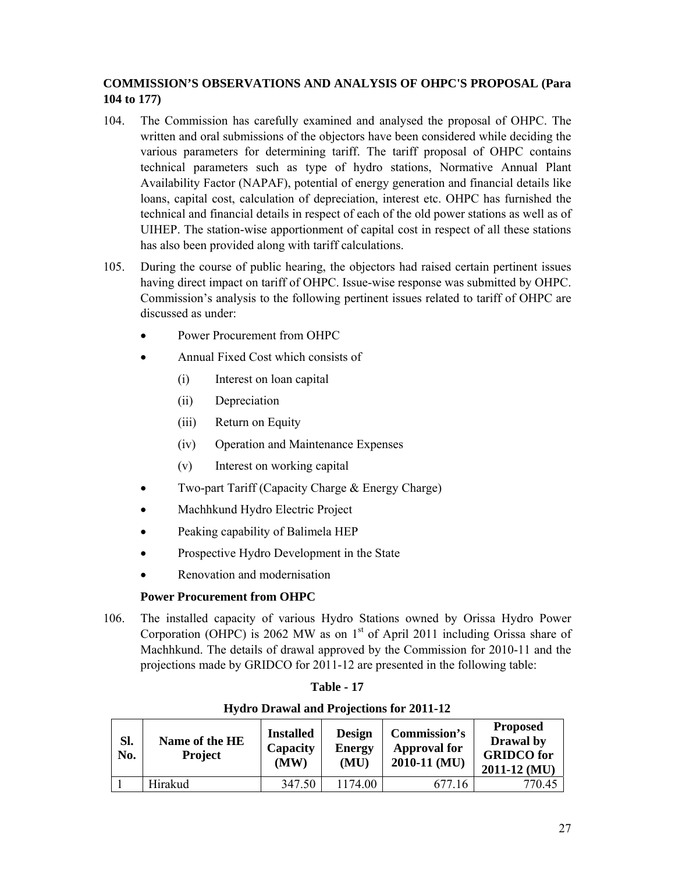# **COMMISSION'S OBSERVATIONS AND ANALYSIS OF OHPC'S PROPOSAL (Para 104 to 177)**

- 104. The Commission has carefully examined and analysed the proposal of OHPC. The written and oral submissions of the objectors have been considered while deciding the various parameters for determining tariff. The tariff proposal of OHPC contains technical parameters such as type of hydro stations, Normative Annual Plant Availability Factor (NAPAF), potential of energy generation and financial details like loans, capital cost, calculation of depreciation, interest etc. OHPC has furnished the technical and financial details in respect of each of the old power stations as well as of UIHEP. The station-wise apportionment of capital cost in respect of all these stations has also been provided along with tariff calculations.
- 105. During the course of public hearing, the objectors had raised certain pertinent issues having direct impact on tariff of OHPC. Issue-wise response was submitted by OHPC. Commission's analysis to the following pertinent issues related to tariff of OHPC are discussed as under:
	- Power Procurement from OHPC
	- Annual Fixed Cost which consists of
		- (i) Interest on loan capital
		- (ii) Depreciation
		- (iii) Return on Equity
		- (iv) Operation and Maintenance Expenses
		- (v) Interest on working capital
	- Two-part Tariff (Capacity Charge & Energy Charge)
	- Machhkund Hydro Electric Project
	- Peaking capability of Balimela HEP
	- Prospective Hydro Development in the State
	- Renovation and modernisation

# **Power Procurement from OHPC**

106. The installed capacity of various Hydro Stations owned by Orissa Hydro Power Corporation (OHPC) is 2062 MW as on  $1<sup>st</sup>$  of April 2011 including Orissa share of Machhkund. The details of drawal approved by the Commission for 2010-11 and the projections made by GRIDCO for 2011-12 are presented in the following table:

# **Table - 17**

| SI.<br>No. | Name of the HE<br><b>Project</b> | <b>Installed</b><br>Capacity<br>(MW) | <b>Design</b><br><b>Energy</b><br>(MU) | Commission's<br><b>Approval for</b><br>$2010-11$ (MU) | <b>Proposed</b><br>Drawal by<br><b>GRIDCO</b> for<br>$2011 - 12$ (MU) |
|------------|----------------------------------|--------------------------------------|----------------------------------------|-------------------------------------------------------|-----------------------------------------------------------------------|
|            | Hirakud                          | 347.50                               | 1174 00                                | 677.16                                                | 770.45                                                                |

# **Hydro Drawal and Projections for 2011-12**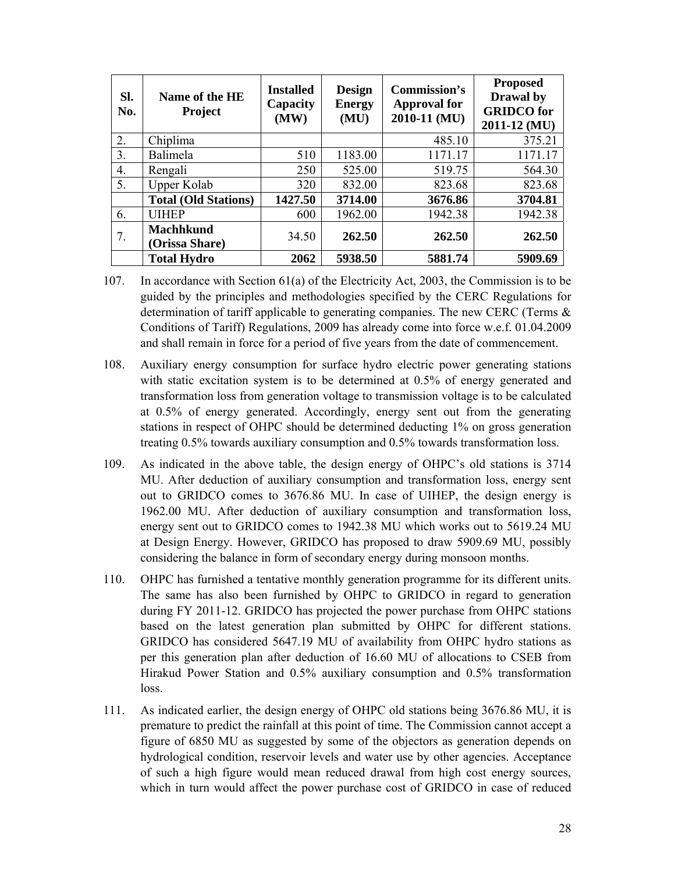| SI.<br>No. | Name of the HE<br><b>Project</b>   | <b>Installed</b><br>Capacity<br>(MW) | <b>Design</b><br><b>Energy</b><br>(MU) | <b>Commission's</b><br><b>Approval for</b><br>2010-11 (MU) | <b>Proposed</b><br>Drawal by<br><b>GRIDCO</b> for<br>2011-12 (MU) |
|------------|------------------------------------|--------------------------------------|----------------------------------------|------------------------------------------------------------|-------------------------------------------------------------------|
| 2.         | Chiplima                           |                                      |                                        | 485.10                                                     | 375.21                                                            |
| 3.         | Balimela                           | 510                                  | 1183.00                                | 1171.17                                                    | 1171.17                                                           |
| 4.         | Rengali                            | 250                                  | 525.00                                 | 519.75                                                     | 564.30                                                            |
| 5.         | <b>Upper Kolab</b>                 | 320                                  | 832.00                                 | 823.68                                                     | 823.68                                                            |
|            | <b>Total (Old Stations)</b>        | 1427.50                              | 3714.00                                | 3676.86                                                    | 3704.81                                                           |
| 6.         | <b>UIHEP</b>                       | 600                                  | 1962.00                                | 1942.38                                                    | 1942.38                                                           |
| 7.         | <b>Machhkund</b><br>(Orissa Share) | 34.50                                | 262.50                                 | 262.50                                                     | 262.50                                                            |
|            | <b>Total Hydro</b>                 | 2062                                 | 5938.50                                | 5881.74                                                    | 5909.69                                                           |

- 107. In accordance with Section 61(a) of the Electricity Act, 2003, the Commission is to be guided by the principles and methodologies specified by the CERC Regulations for determination of tariff applicable to generating companies. The new CERC (Terms & Conditions of Tariff) Regulations, 2009 has already come into force w.e.f. 01.04.2009 and shall remain in force for a period of five years from the date of commencement.
- 108. Auxiliary energy consumption for surface hydro electric power generating stations with static excitation system is to be determined at 0.5% of energy generated and transformation loss from generation voltage to transmission voltage is to be calculated at 0.5% of energy generated. Accordingly, energy sent out from the generating stations in respect of OHPC should be determined deducting 1% on gross generation treating 0.5% towards auxiliary consumption and 0.5% towards transformation loss.
- 109. As indicated in the above table, the design energy of OHPC's old stations is 3714 MU. After deduction of auxiliary consumption and transformation loss, energy sent out to GRIDCO comes to 3676.86 MU. In case of UIHEP, the design energy is 1962.00 MU. After deduction of auxiliary consumption and transformation loss, energy sent out to GRIDCO comes to 1942.38 MU which works out to 5619.24 MU at Design Energy. However, GRIDCO has proposed to draw 5909.69 MU, possibly considering the balance in form of secondary energy during monsoon months.
- 110. OHPC has furnished a tentative monthly generation programme for its different units. The same has also been furnished by OHPC to GRIDCO in regard to generation during FY 2011-12. GRIDCO has projected the power purchase from OHPC stations based on the latest generation plan submitted by OHPC for different stations. GRIDCO has considered 5647.19 MU of availability from OHPC hydro stations as per this generation plan after deduction of 16.60 MU of allocations to CSEB from Hirakud Power Station and 0.5% auxiliary consumption and 0.5% transformation loss.
- 111. As indicated earlier, the design energy of OHPC old stations being 3676.86 MU, it is premature to predict the rainfall at this point of time. The Commission cannot accept a figure of 6850 MU as suggested by some of the objectors as generation depends on hydrological condition, reservoir levels and water use by other agencies. Acceptance of such a high figure would mean reduced drawal from high cost energy sources, which in turn would affect the power purchase cost of GRIDCO in case of reduced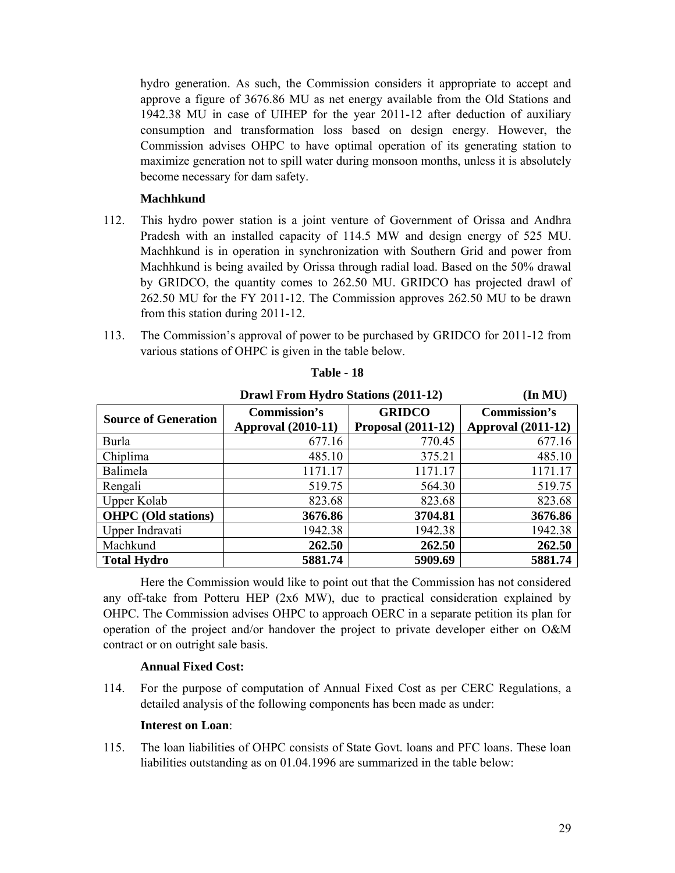hydro generation. As such, the Commission considers it appropriate to accept and approve a figure of 3676.86 MU as net energy available from the Old Stations and 1942.38 MU in case of UIHEP for the year 2011-12 after deduction of auxiliary consumption and transformation loss based on design energy. However, the Commission advises OHPC to have optimal operation of its generating station to maximize generation not to spill water during monsoon months, unless it is absolutely become necessary for dam safety.

### **Machhkund**

- 112. This hydro power station is a joint venture of Government of Orissa and Andhra Pradesh with an installed capacity of 114.5 MW and design energy of 525 MU. Machhkund is in operation in synchronization with Southern Grid and power from Machhkund is being availed by Orissa through radial load. Based on the 50% drawal by GRIDCO, the quantity comes to 262.50 MU. GRIDCO has projected drawl of 262.50 MU for the FY 2011-12. The Commission approves 262.50 MU to be drawn from this station during 2011-12.
- 113. The Commission's approval of power to be purchased by GRIDCO for 2011-12 from various stations of OHPC is given in the table below.

|                             | <b>Drawl From Hydro Stations (2011-12)</b> |                           | $(\text{In MU})$          |
|-----------------------------|--------------------------------------------|---------------------------|---------------------------|
| <b>Source of Generation</b> | Commission's                               | <b>GRIDCO</b>             | <b>Commission's</b>       |
|                             | <b>Approval (2010-11)</b>                  | <b>Proposal (2011-12)</b> | <b>Approval (2011-12)</b> |
| Burla                       | 677.16                                     | 770.45                    | 677.16                    |
| Chiplima                    | 485.10                                     | 375.21                    | 485.10                    |
| Balimela                    | 1171.17                                    | 1171.17                   | 1171.17                   |
| Rengali                     | 519.75                                     | 564.30                    | 519.75                    |
| Upper Kolab                 | 823.68                                     | 823.68                    | 823.68                    |
| <b>OHPC</b> (Old stations)  | 3676.86                                    | 3704.81                   | 3676.86                   |
| Upper Indravati             | 1942.38                                    | 1942.38                   | 1942.38                   |
| Machkund                    | 262.50                                     | 262.50                    | 262.50                    |
| <b>Total Hydro</b>          | 5881.74                                    | 5909.69                   | 5881.74                   |

**Table - 18** 

Here the Commission would like to point out that the Commission has not considered any off-take from Potteru HEP (2x6 MW), due to practical consideration explained by OHPC. The Commission advises OHPC to approach OERC in a separate petition its plan for operation of the project and/or handover the project to private developer either on O&M contract or on outright sale basis.

### **Annual Fixed Cost:**

114. For the purpose of computation of Annual Fixed Cost as per CERC Regulations, a detailed analysis of the following components has been made as under:

### **Interest on Loan**:

115. The loan liabilities of OHPC consists of State Govt. loans and PFC loans. These loan liabilities outstanding as on 01.04.1996 are summarized in the table below: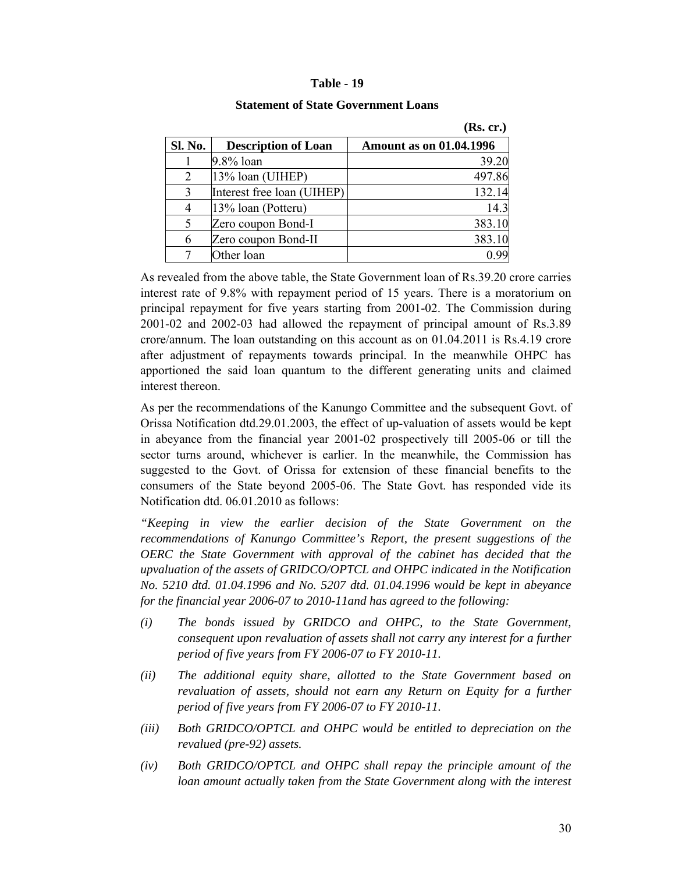#### **Table - 19**

|         |                            | (ING. CL.)                     |
|---------|----------------------------|--------------------------------|
| Sl. No. | <b>Description of Loan</b> | <b>Amount as on 01.04.1996</b> |
|         | $9.8\%$ loan               | 39.20                          |
| 2       | 13% loan (UIHEP)           | 497.86                         |
| 3       | Interest free loan (UIHEP) | 132.14                         |
|         | 13% loan (Potteru)         | 14.3                           |
| 5       | Zero coupon Bond-I         | 383.10                         |
| 6       | Zero coupon Bond-II        | 383.10                         |
|         | Other loan                 |                                |

#### **Statement of State Government Loans**

 $(\mathbf{D}_{\mathbf{c}} \cdot \mathbf{c}\mathbf{r})$ 

As revealed from the above table, the State Government loan of Rs.39.20 crore carries interest rate of 9.8% with repayment period of 15 years. There is a moratorium on principal repayment for five years starting from 2001-02. The Commission during 2001-02 and 2002-03 had allowed the repayment of principal amount of Rs.3.89 crore/annum. The loan outstanding on this account as on 01.04.2011 is Rs.4.19 crore after adjustment of repayments towards principal. In the meanwhile OHPC has apportioned the said loan quantum to the different generating units and claimed interest thereon.

As per the recommendations of the Kanungo Committee and the subsequent Govt. of Orissa Notification dtd.29.01.2003, the effect of up-valuation of assets would be kept in abeyance from the financial year 2001-02 prospectively till 2005-06 or till the sector turns around, whichever is earlier. In the meanwhile, the Commission has suggested to the Govt. of Orissa for extension of these financial benefits to the consumers of the State beyond 2005-06. The State Govt. has responded vide its Notification dtd. 06.01.2010 as follows:

*"Keeping in view the earlier decision of the State Government on the recommendations of Kanungo Committee's Report, the present suggestions of the OERC the State Government with approval of the cabinet has decided that the upvaluation of the assets of GRIDCO/OPTCL and OHPC indicated in the Notification No. 5210 dtd. 01.04.1996 and No. 5207 dtd. 01.04.1996 would be kept in abeyance for the financial year 2006-07 to 2010-11and has agreed to the following:* 

- *(i) The bonds issued by GRIDCO and OHPC, to the State Government, consequent upon revaluation of assets shall not carry any interest for a further period of five years from FY 2006-07 to FY 2010-11.*
- *(ii) The additional equity share, allotted to the State Government based on*  revaluation of assets, should not earn any Return on Equity for a further *period of five years from FY 2006-07 to FY 2010-11.*
- *(iii) Both GRIDCO/OPTCL and OHPC would be entitled to depreciation on the revalued (pre-92) assets.*
- *(iv) Both GRIDCO/OPTCL and OHPC shall repay the principle amount of the loan amount actually taken from the State Government along with the interest*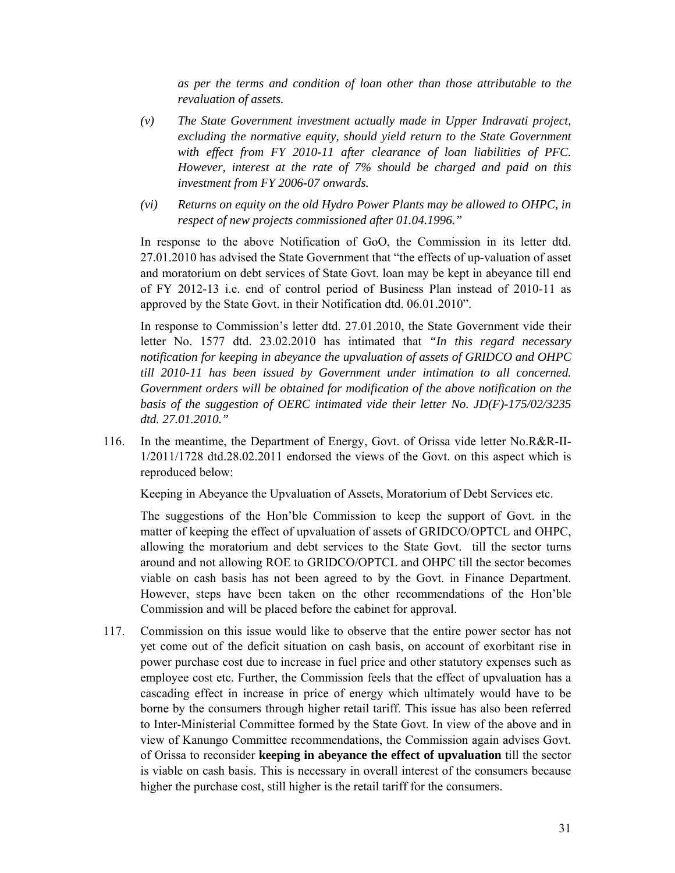*as per the terms and condition of loan other than those attributable to the revaluation of assets.* 

- *(v) The State Government investment actually made in Upper Indravati project, excluding the normative equity, should yield return to the State Government with effect from FY 2010-11 after clearance of loan liabilities of PFC. However, interest at the rate of 7% should be charged and paid on this investment from FY 2006-07 onwards.*
- *(vi) Returns on equity on the old Hydro Power Plants may be allowed to OHPC, in respect of new projects commissioned after 01.04.1996."*

In response to the above Notification of GoO, the Commission in its letter dtd. 27.01.2010 has advised the State Government that "the effects of up-valuation of asset and moratorium on debt services of State Govt. loan may be kept in abeyance till end of FY 2012-13 i.e. end of control period of Business Plan instead of 2010-11 as approved by the State Govt. in their Notification dtd. 06.01.2010".

In response to Commission's letter dtd. 27.01.2010, the State Government vide their letter No. 1577 dtd. 23.02.2010 has intimated that *"In this regard necessary notification for keeping in abeyance the upvaluation of assets of GRIDCO and OHPC till 2010-11 has been issued by Government under intimation to all concerned. Government orders will be obtained for modification of the above notification on the basis of the suggestion of OERC intimated vide their letter No. JD(F)-175/02/3235 dtd. 27.01.2010."* 

116. In the meantime, the Department of Energy, Govt. of Orissa vide letter No.R&R-II-1/2011/1728 dtd.28.02.2011 endorsed the views of the Govt. on this aspect which is reproduced below:

Keeping in Abeyance the Upvaluation of Assets, Moratorium of Debt Services etc.

The suggestions of the Hon'ble Commission to keep the support of Govt. in the matter of keeping the effect of upvaluation of assets of GRIDCO/OPTCL and OHPC, allowing the moratorium and debt services to the State Govt. till the sector turns around and not allowing ROE to GRIDCO/OPTCL and OHPC till the sector becomes viable on cash basis has not been agreed to by the Govt. in Finance Department. However, steps have been taken on the other recommendations of the Hon'ble Commission and will be placed before the cabinet for approval.

117. Commission on this issue would like to observe that the entire power sector has not yet come out of the deficit situation on cash basis, on account of exorbitant rise in power purchase cost due to increase in fuel price and other statutory expenses such as employee cost etc. Further, the Commission feels that the effect of upvaluation has a cascading effect in increase in price of energy which ultimately would have to be borne by the consumers through higher retail tariff. This issue has also been referred to Inter-Ministerial Committee formed by the State Govt. In view of the above and in view of Kanungo Committee recommendations, the Commission again advises Govt. of Orissa to reconsider **keeping in abeyance the effect of upvaluation** till the sector is viable on cash basis. This is necessary in overall interest of the consumers because higher the purchase cost, still higher is the retail tariff for the consumers.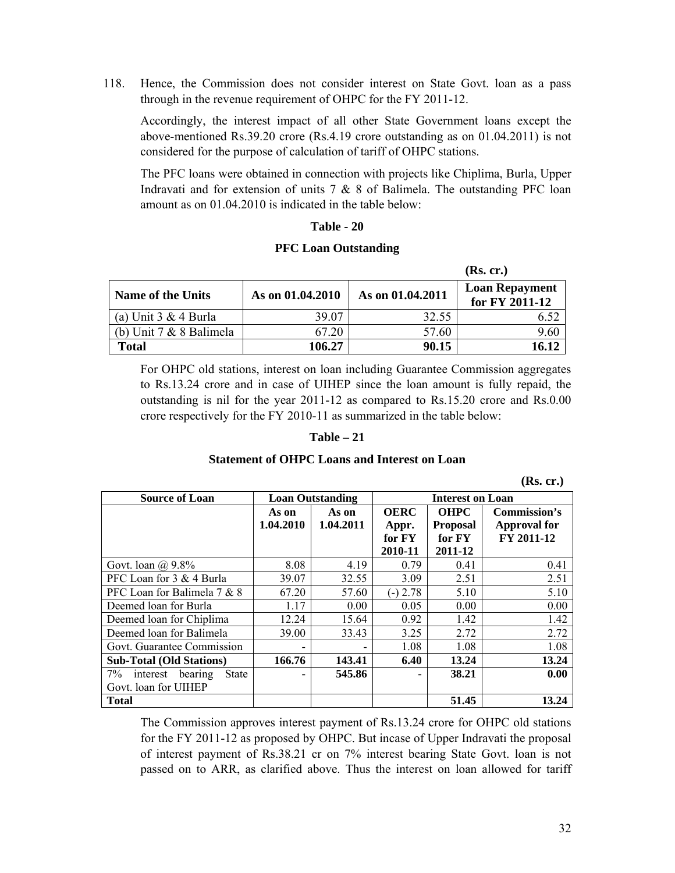118. Hence, the Commission does not consider interest on State Govt. loan as a pass through in the revenue requirement of OHPC for the FY 2011-12.

Accordingly, the interest impact of all other State Government loans except the above-mentioned Rs.39.20 crore (Rs.4.19 crore outstanding as on 01.04.2011) is not considered for the purpose of calculation of tariff of OHPC stations.

The PFC loans were obtained in connection with projects like Chiplima, Burla, Upper Indravati and for extension of units  $7 & 8 & 8$  of Balimela. The outstanding PFC loan amount as on 01.04.2010 is indicated in the table below:

### **Table - 20**

#### **PFC Loan Outstanding**

|                          |                  |                  | (Rs. cr.)                               |
|--------------------------|------------------|------------------|-----------------------------------------|
| <b>Name of the Units</b> | As on 01.04.2010 | As on 01.04.2011 | <b>Loan Repayment</b><br>for FY 2011-12 |
| (a) Unit 3 & 4 Burla     | 39.07            | 32.55            |                                         |
| (b) Unit 7 & 8 Balimela  | 67.20            | 57.60            | 9.60                                    |
| <b>Total</b>             | 106.27           | 90.15            | 16.12                                   |

For OHPC old stations, interest on loan including Guarantee Commission aggregates to Rs.13.24 crore and in case of UIHEP since the loan amount is fully repaid, the outstanding is nil for the year 2011-12 as compared to Rs.15.20 crore and Rs.0.00 crore respectively for the FY 2010-11 as summarized in the table below:

#### **Table – 21**

#### **Statement of OHPC Loans and Interest on Loan**

 **(Rs. cr.)** 

| <b>Source of Loan</b>              | <b>Loan Outstanding</b> |                          |                      | <b>Interest on Loan</b>        |                                     |
|------------------------------------|-------------------------|--------------------------|----------------------|--------------------------------|-------------------------------------|
|                                    | As on<br>1.04.2010      | As on<br>1.04.2011       | <b>OERC</b><br>Appr. | <b>OHPC</b><br><b>Proposal</b> | Commission's<br><b>Approval for</b> |
|                                    |                         |                          | for FY               | for FY                         | FY 2011-12                          |
|                                    |                         |                          | 2010-11              | 2011-12                        |                                     |
| Govt. loan $\omega$ , 9.8%         | 8.08                    | 4.19                     | 0.79                 | 0.41                           | 0.41                                |
| PFC Loan for 3 & 4 Burla           | 39.07                   | 32.55                    | 3.09                 | 2.51                           | 2.51                                |
| PFC Loan for Balimela 7 & 8        | 67.20                   | 57.60                    | $(-) 2.78$           | 5.10                           | 5.10                                |
| Deemed loan for Burla              | 1.17                    | 0.00                     | 0.05                 | 0.00                           | 0.00                                |
| Deemed loan for Chiplima           | 12.24                   | 15.64                    | 0.92                 | 1.42                           | 1.42                                |
| Deemed loan for Balimela           | 39.00                   | 33.43                    | 3.25                 | 2.72                           | 2.72                                |
| Govt. Guarantee Commission         |                         | $\overline{\phantom{0}}$ | 1.08                 | 1.08                           | 1.08                                |
| <b>Sub-Total (Old Stations)</b>    | 166.76                  | 143.41                   | 6.40                 | 13.24                          | 13.24                               |
| $7\%$<br>interest bearing<br>State |                         | 545.86                   | ٠                    | 38.21                          | 0.00                                |
| Govt. loan for UIHEP               |                         |                          |                      |                                |                                     |
| <b>Total</b>                       |                         |                          |                      | 51.45                          | 13.24                               |

The Commission approves interest payment of Rs.13.24 crore for OHPC old stations for the FY 2011-12 as proposed by OHPC. But incase of Upper Indravati the proposal of interest payment of Rs.38.21 cr on 7% interest bearing State Govt. loan is not passed on to ARR, as clarified above. Thus the interest on loan allowed for tariff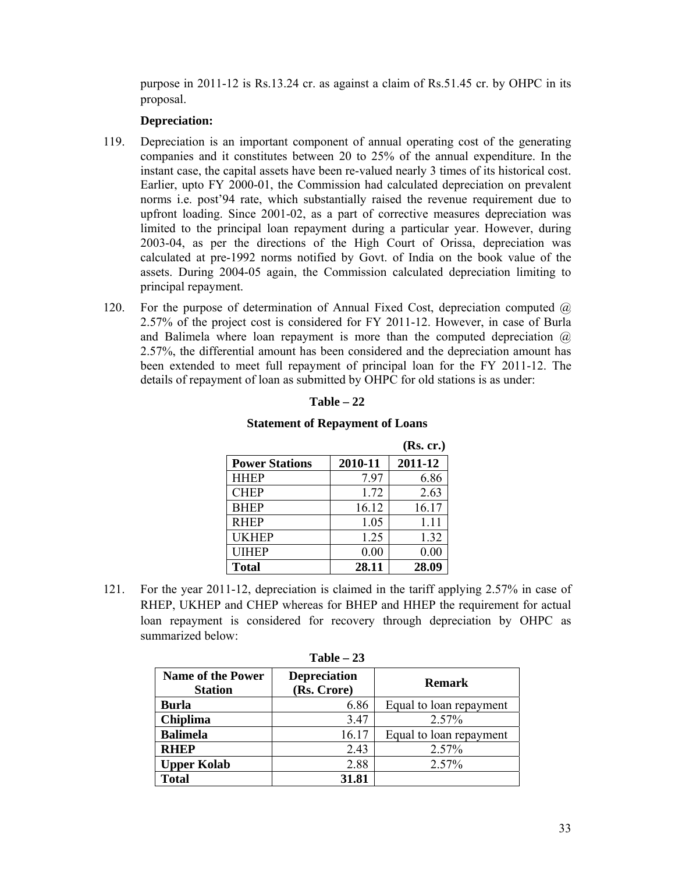purpose in 2011-12 is Rs.13.24 cr. as against a claim of Rs.51.45 cr. by OHPC in its proposal.

### **Depreciation:**

- 119. Depreciation is an important component of annual operating cost of the generating companies and it constitutes between 20 to 25% of the annual expenditure. In the instant case, the capital assets have been re-valued nearly 3 times of its historical cost. Earlier, upto FY 2000-01, the Commission had calculated depreciation on prevalent norms i.e. post'94 rate, which substantially raised the revenue requirement due to upfront loading. Since 2001-02, as a part of corrective measures depreciation was limited to the principal loan repayment during a particular year. However, during 2003-04, as per the directions of the High Court of Orissa, depreciation was calculated at pre-1992 norms notified by Govt. of India on the book value of the assets. During 2004-05 again, the Commission calculated depreciation limiting to principal repayment.
- 120. For the purpose of determination of Annual Fixed Cost, depreciation computed  $\omega$ 2.57% of the project cost is considered for FY 2011-12. However, in case of Burla and Balimela where loan repayment is more than the computed depreciation  $\omega$ 2.57%, the differential amount has been considered and the depreciation amount has been extended to meet full repayment of principal loan for the FY 2011-12. The details of repayment of loan as submitted by OHPC for old stations is as under:

#### **Table – 22**

#### **Statement of Repayment of Loans**

|                       |         | (Rs. cr.) |
|-----------------------|---------|-----------|
| <b>Power Stations</b> | 2010-11 | 2011-12   |
| <b>HHEP</b>           | 7.97    | 6.86      |
| <b>CHEP</b>           | 1.72    | 2.63      |
| <b>BHEP</b>           | 16.12   | 16.17     |
| <b>RHEP</b>           | 1.05    | 1.11      |
| <b>UKHEP</b>          | 1.25    | 1.32      |
| <b>UIHEP</b>          | 0.00    | 0.00      |
| <b>Total</b>          | 28.11   | 28.09     |

121. For the year 2011-12, depreciation is claimed in the tariff applying 2.57% in case of RHEP, UKHEP and CHEP whereas for BHEP and HHEP the requirement for actual loan repayment is considered for recovery through depreciation by OHPC as summarized below:

| $1$ avit $-2J$                             |                                    |                         |  |  |  |
|--------------------------------------------|------------------------------------|-------------------------|--|--|--|
| <b>Name of the Power</b><br><b>Station</b> | <b>Depreciation</b><br>(Rs. Crore) | <b>Remark</b>           |  |  |  |
| <b>Burla</b>                               | 6.86                               | Equal to loan repayment |  |  |  |
| <b>Chiplima</b>                            | 3.47                               | 2.57%                   |  |  |  |
| <b>Balimela</b>                            | 16.17                              | Equal to loan repayment |  |  |  |
| <b>RHEP</b>                                | 2.43                               | 2.57%                   |  |  |  |
| <b>Upper Kolab</b>                         | 2.88                               | 2.57%                   |  |  |  |
| <b>Total</b>                               | 31.81                              |                         |  |  |  |

#### **Table – 23**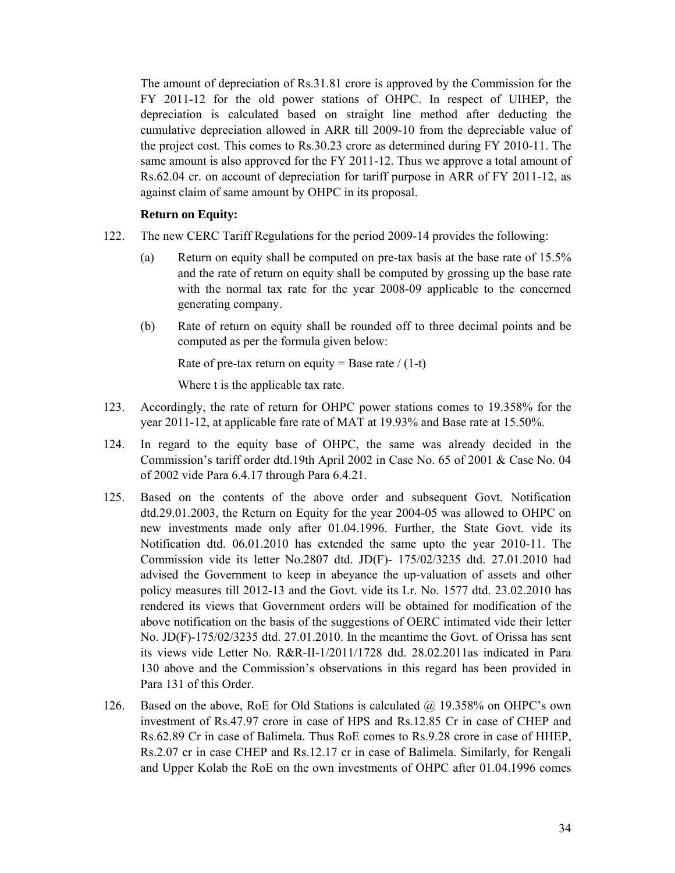The amount of depreciation of Rs.31.81 crore is approved by the Commission for the FY 2011-12 for the old power stations of OHPC. In respect of UIHEP, the depreciation is calculated based on straight line method after deducting the cumulative depreciation allowed in ARR till 2009-10 from the depreciable value of the project cost. This comes to Rs.30.23 crore as determined during FY 2010-11. The same amount is also approved for the FY 2011-12. Thus we approve a total amount of Rs.62.04 cr. on account of depreciation for tariff purpose in ARR of FY 2011-12, as against claim of same amount by OHPC in its proposal.

#### **Return on Equity:**

- 122. The new CERC Tariff Regulations for the period 2009-14 provides the following:
	- (a) Return on equity shall be computed on pre-tax basis at the base rate of 15.5% and the rate of return on equity shall be computed by grossing up the base rate with the normal tax rate for the year 2008-09 applicable to the concerned generating company.
	- (b) Rate of return on equity shall be rounded off to three decimal points and be computed as per the formula given below:

Rate of pre-tax return on equity = Base rate  $/(1-t)$ 

Where t is the applicable tax rate.

- 123. Accordingly, the rate of return for OHPC power stations comes to 19.358% for the year 2011-12, at applicable fare rate of MAT at 19.93% and Base rate at 15.50%.
- 124. In regard to the equity base of OHPC, the same was already decided in the Commission's tariff order dtd.19th April 2002 in Case No. 65 of 2001 & Case No. 04 of 2002 vide Para 6.4.17 through Para 6.4.21.
- 125. Based on the contents of the above order and subsequent Govt. Notification dtd.29.01.2003, the Return on Equity for the year 2004-05 was allowed to OHPC on new investments made only after 01.04.1996. Further, the State Govt. vide its Notification dtd. 06.01.2010 has extended the same upto the year 2010-11. The Commission vide its letter No.2807 dtd. JD(F)- 175/02/3235 dtd. 27.01.2010 had advised the Government to keep in abeyance the up-valuation of assets and other policy measures till 2012-13 and the Govt. vide its Lr. No. 1577 dtd. 23.02.2010 has rendered its views that Government orders will be obtained for modification of the above notification on the basis of the suggestions of OERC intimated vide their letter No. JD(F)-175/02/3235 dtd. 27.01.2010. In the meantime the Govt. of Orissa has sent its views vide Letter No. R&R-II-1/2011/1728 dtd. 28.02.2011as indicated in Para 130 above and the Commission's observations in this regard has been provided in Para 131 of this Order.
- 126. Based on the above, RoE for Old Stations is calculated  $\omega$  19.358% on OHPC's own investment of Rs.47.97 crore in case of HPS and Rs.12.85 Cr in case of CHEP and Rs.62.89 Cr in case of Balimela. Thus RoE comes to Rs.9.28 crore in case of HHEP, Rs.2.07 cr in case CHEP and Rs.12.17 cr in case of Balimela. Similarly, for Rengali and Upper Kolab the RoE on the own investments of OHPC after 01.04.1996 comes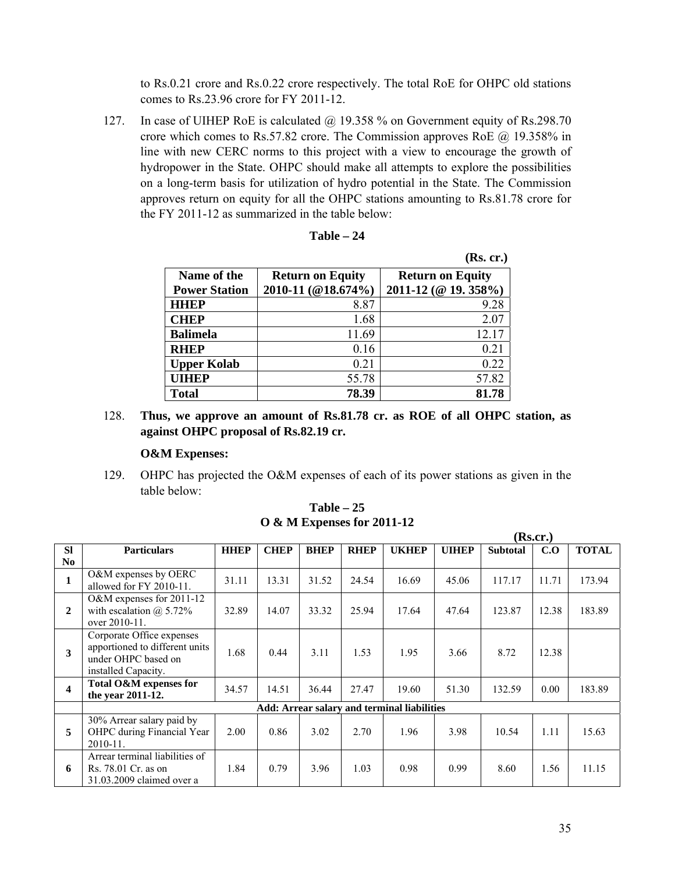to Rs.0.21 crore and Rs.0.22 crore respectively. The total RoE for OHPC old stations comes to Rs.23.96 crore for FY 2011-12.

127. In case of UIHEP RoE is calculated @ 19.358 % on Government equity of Rs.298.70 crore which comes to Rs.57.82 crore. The Commission approves RoE @ 19.358% in line with new CERC norms to this project with a view to encourage the growth of hydropower in the State. OHPC should make all attempts to explore the possibilities on a long-term basis for utilization of hydro potential in the State. The Commission approves return on equity for all the OHPC stations amounting to Rs.81.78 crore for the FY 2011-12 as summarized in the table below:

| Table |  |
|-------|--|
|-------|--|

|                      |                         | (Rs. cr.)               |
|----------------------|-------------------------|-------------------------|
| Name of the          | <b>Return on Equity</b> | <b>Return on Equity</b> |
| <b>Power Station</b> | 2010-11 (@18.674%)      | 2011-12 (@ 19. 358%)    |
| <b>HHEP</b>          | 8.87                    | 9.28                    |
| <b>CHEP</b>          | 1.68                    | 2.07                    |
| <b>Balimela</b>      | 11.69                   | 12.17                   |
| <b>RHEP</b>          | 0.16                    | 0.21                    |
| <b>Upper Kolab</b>   | 0.21                    | 0.22                    |
| <b>UIHEP</b>         | 55.78                   | 57.82                   |
| <b>Total</b>         | 78.39                   | 81.78                   |

128. **Thus, we approve an amount of Rs.81.78 cr. as ROE of all OHPC station, as against OHPC proposal of Rs.82.19 cr.** 

#### **O&M Expenses:**

129. OHPC has projected the O&M expenses of each of its power stations as given in the table below:

|                | (Rs.cr.)                                                                                                  |             |             |             |             |                                                    |              |                 |       |              |  |
|----------------|-----------------------------------------------------------------------------------------------------------|-------------|-------------|-------------|-------------|----------------------------------------------------|--------------|-----------------|-------|--------------|--|
| <b>SI</b>      | <b>Particulars</b>                                                                                        | <b>HHEP</b> | <b>CHEP</b> | <b>BHEP</b> | <b>RHEP</b> | <b>UKHEP</b>                                       | <b>UIHEP</b> | <b>Subtotal</b> | C.O   | <b>TOTAL</b> |  |
| N <sub>0</sub> |                                                                                                           |             |             |             |             |                                                    |              |                 |       |              |  |
| $\mathbf{1}$   | O&M expenses by OERC<br>allowed for FY 2010-11.                                                           | 31.11       | 13.31       | 31.52       | 24.54       | 16.69                                              | 45.06        | 117.17          | 11.71 | 173.94       |  |
| $\overline{2}$ | O&M expenses for 2011-12<br>with escalation $\omega$ 5.72%<br>over 2010-11.                               | 32.89       | 14.07       | 33.32       | 25.94       | 17.64                                              | 47.64        | 123.87          | 12.38 | 183.89       |  |
| 3              | Corporate Office expenses<br>apportioned to different units<br>under OHPC based on<br>installed Capacity. | 1.68        | 0.44        | 3.11        | 1.53        | 1.95                                               | 3.66         | 8.72            | 12.38 |              |  |
| 4              | Total O&M expenses for<br>the year 2011-12.                                                               | 34.57       | 14.51       | 36.44       | 27.47       | 19.60                                              | 51.30        | 132.59          | 0.00  | 183.89       |  |
|                |                                                                                                           |             |             |             |             | <b>Add: Arrear salary and terminal liabilities</b> |              |                 |       |              |  |
| 5              | 30% Arrear salary paid by<br>OHPC during Financial Year<br>2010-11.                                       | 2.00        | 0.86        | 3.02        | 2.70        | 1.96                                               | 3.98         | 10.54           | 1.11  | 15.63        |  |
| 6              | Arrear terminal liabilities of<br>Rs. 78.01 Cr. as on<br>31.03.2009 claimed over a                        | 1.84        | 0.79        | 3.96        | 1.03        | 0.98                                               | 0.99         | 8.60            | 1.56  | 11.15        |  |

**Table – 25 O & M Expenses for 2011-12**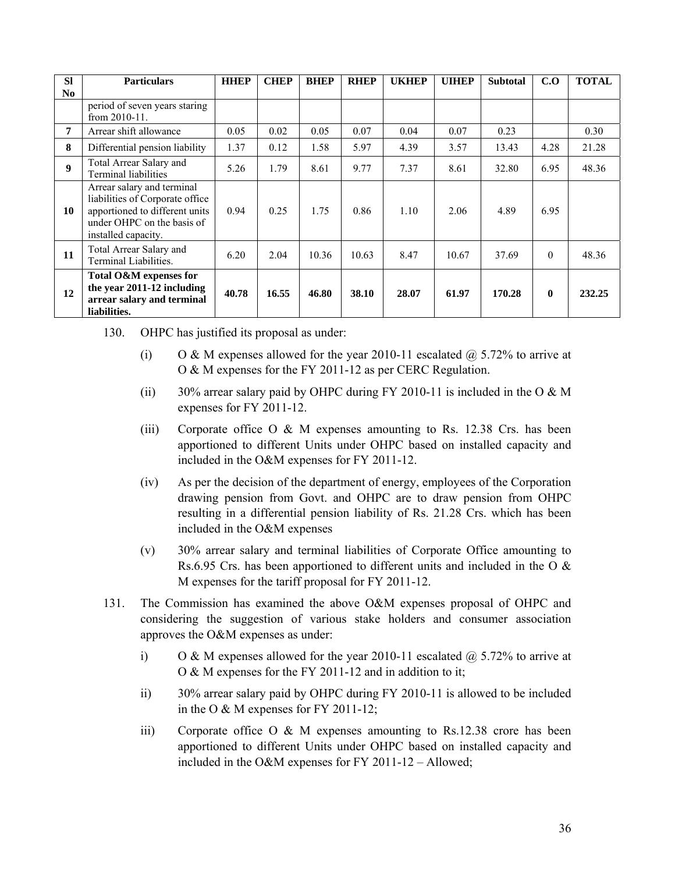| <b>SI</b>        | <b>Particulars</b>                                                                                                                                   | <b>HHEP</b> | <b>CHEP</b> | <b>BHEP</b> | <b>RHEP</b> | <b>UKHEP</b> | <b>UIHEP</b> | <b>Subtotal</b> | C.O          | <b>TOTAL</b> |
|------------------|------------------------------------------------------------------------------------------------------------------------------------------------------|-------------|-------------|-------------|-------------|--------------|--------------|-----------------|--------------|--------------|
| No.              |                                                                                                                                                      |             |             |             |             |              |              |                 |              |              |
|                  | period of seven years staring<br>from $2010-11$ .                                                                                                    |             |             |             |             |              |              |                 |              |              |
| 7                | Arrear shift allowance                                                                                                                               | 0.05        | 0.02        | 0.05        | 0.07        | 0.04         | 0.07         | 0.23            |              | 0.30         |
| 8                | Differential pension liability                                                                                                                       | 1.37        | 0.12        | 1.58        | 5.97        | 4.39         | 3.57         | 13.43           | 4.28         | 21.28        |
| $\boldsymbol{9}$ | Total Arrear Salary and<br><b>Terminal liabilities</b>                                                                                               | 5.26        | 1.79        | 8.61        | 9.77        | 7.37         | 8.61         | 32.80           | 6.95         | 48.36        |
| 10               | Arrear salary and terminal<br>liabilities of Corporate office<br>apportioned to different units<br>under OHPC on the basis of<br>installed capacity. | 0.94        | 0.25        | 1.75        | 0.86        | 1.10         | 2.06         | 4.89            | 6.95         |              |
| 11               | Total Arrear Salary and<br>Terminal Liabilities.                                                                                                     | 6.20        | 2.04        | 10.36       | 10.63       | 8.47         | 10.67        | 37.69           | $\theta$     | 48.36        |
| 12               | Total O&M expenses for<br>the year 2011-12 including<br>arrear salary and terminal<br>liabilities.                                                   | 40.78       | 16.55       | 46.80       | 38.10       | 28.07        | 61.97        | 170.28          | $\mathbf{0}$ | 232.25       |

- 130. OHPC has justified its proposal as under:
	- (i) O & M expenses allowed for the year 2010-11 escalated  $\omega$  5.72% to arrive at O & M expenses for the FY 2011-12 as per CERC Regulation.
	- (ii) 30% arrear salary paid by OHPC during FY 2010-11 is included in the O  $\& M$ expenses for FY 2011-12.
	- (iii) Corporate office  $O & M$  expenses amounting to Rs. 12.38 Crs. has been apportioned to different Units under OHPC based on installed capacity and included in the O&M expenses for FY 2011-12.
	- (iv) As per the decision of the department of energy, employees of the Corporation drawing pension from Govt. and OHPC are to draw pension from OHPC resulting in a differential pension liability of Rs. 21.28 Crs. which has been included in the O&M expenses
	- (v) 30% arrear salary and terminal liabilities of Corporate Office amounting to Rs.6.95 Crs. has been apportioned to different units and included in the O  $\&$ M expenses for the tariff proposal for FY 2011-12.
- 131. The Commission has examined the above O&M expenses proposal of OHPC and considering the suggestion of various stake holders and consumer association approves the O&M expenses as under:
	- i) O & M expenses allowed for the year 2010-11 escalated  $\hat{\omega}$  5.72% to arrive at O & M expenses for the FY 2011-12 and in addition to it;
	- ii) 30% arrear salary paid by OHPC during FY 2010-11 is allowed to be included in the O & M expenses for FY 2011-12;
	- iii) Corporate office  $O & M$  expenses amounting to Rs.12.38 crore has been apportioned to different Units under OHPC based on installed capacity and included in the O&M expenses for FY 2011-12 – Allowed;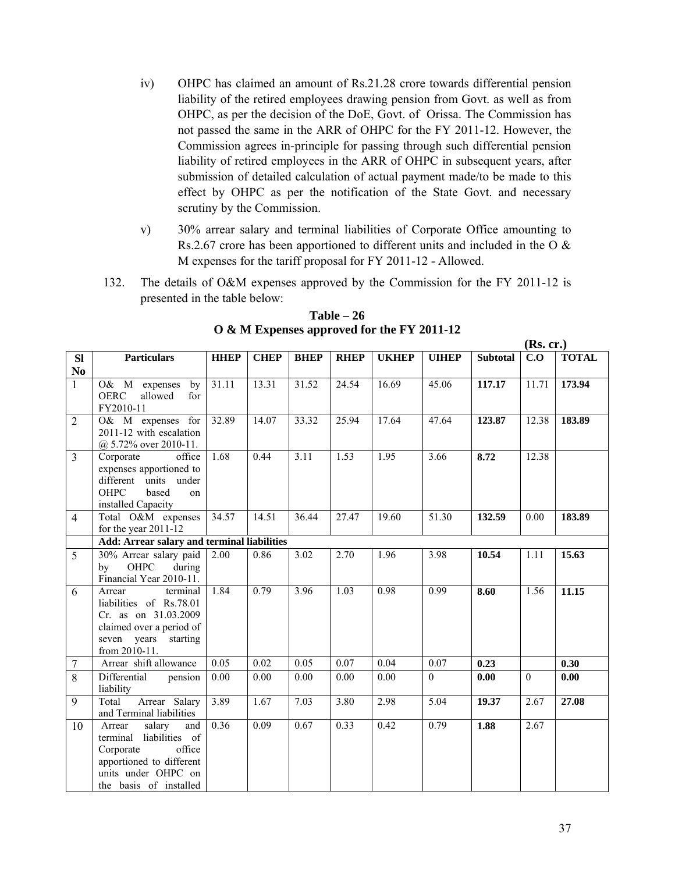- iv) OHPC has claimed an amount of Rs.21.28 crore towards differential pension liability of the retired employees drawing pension from Govt. as well as from OHPC, as per the decision of the DoE, Govt. of Orissa. The Commission has not passed the same in the ARR of OHPC for the FY 2011-12. However, the Commission agrees in-principle for passing through such differential pension liability of retired employees in the ARR of OHPC in subsequent years, after submission of detailed calculation of actual payment made/to be made to this effect by OHPC as per the notification of the State Govt. and necessary scrutiny by the Commission.
- v) 30% arrear salary and terminal liabilities of Corporate Office amounting to Rs.2.67 crore has been apportioned to different units and included in the O & M expenses for the tariff proposal for FY 2011-12 - Allowed.
- 132. The details of O&M expenses approved by the Commission for the FY 2011-12 is presented in the table below:

| <b>Sl</b>      | <b>Particulars</b>                                                                                                                                     | <b>HHEP</b>       | <b>CHEP</b> | <b>BHEP</b> | <b>RHEP</b> | <b>UKHEP</b>      | <b>UIHEP</b> | <b>Subtotal</b> | C.O      | <b>TOTAL</b> |
|----------------|--------------------------------------------------------------------------------------------------------------------------------------------------------|-------------------|-------------|-------------|-------------|-------------------|--------------|-----------------|----------|--------------|
| N <sub>0</sub> |                                                                                                                                                        |                   |             |             |             |                   |              |                 |          |              |
| $\mathbf{1}$   | O& M expenses<br>by<br><b>OERC</b><br>for<br>allowed<br>FY2010-11                                                                                      | 31.11             | 13.31       | 31.52       | 24.54       | 16.69             | 45.06        | 117.17          | 11.71    | 173.94       |
| 2              | O& M expenses for<br>2011-12 with escalation<br>$(a)$ 5.72% over 2010-11.                                                                              | 32.89             | 14.07       | 33.32       | 25.94       | 17.64             | 47.64        | 123.87          | 12.38    | 183.89       |
| $\overline{3}$ | Corporate<br>office<br>expenses apportioned to<br>different units under<br><b>OHPC</b><br>based<br>on<br>installed Capacity                            | 1.68              | 0.44        | 3.11        | 1.53        | 1.95              | 3.66         | 8.72            | 12.38    |              |
| $\overline{4}$ | Total O&M expenses<br>for the year 2011-12                                                                                                             | 34.57             | 14.51       | 36.44       | 27.47       | 19.60             | 51.30        | 132.59          | 0.00     | 183.89       |
|                | Add: Arrear salary and terminal liabilities                                                                                                            |                   |             |             |             |                   |              |                 |          |              |
| 5              | 30% Arrear salary paid<br>OHPC<br>during<br>by<br>Financial Year 2010-11.                                                                              | 2.00              | 0.86        | 3.02        | 2.70        | 1.96              | 3.98         | 10.54           | 1.11     | 15.63        |
| 6              | terminal<br>Arrear<br>liabilities of Rs.78.01<br>Cr. as on 31.03.2009<br>claimed over a period of<br>seven years starting<br>from 2010-11.             | 1.84              | 0.79        | 3.96        | 1.03        | 0.98              | 0.99         | 8.60            | 1.56     | 11.15        |
| 7              | Arrear shift allowance                                                                                                                                 | 0.05              | 0.02        | 0.05        | 0.07        | 0.04              | 0.07         | 0.23            |          | 0.30         |
| $\overline{8}$ | Differential<br>pension<br>liability                                                                                                                   | $\overline{0.00}$ | 0.00        | 0.00        | 0.00        | $\overline{0.00}$ | $\mathbf{0}$ | 0.00            | $\theta$ | 0.00         |
| 9              | Arrear Salary<br>Total<br>and Terminal liabilities                                                                                                     | 3.89              | 1.67        | 7.03        | 3.80        | 2.98              | 5.04         | 19.37           | 2.67     | 27.08        |
| 10             | Arrear<br>salary<br>and<br>terminal liabilities of<br>office<br>Corporate<br>apportioned to different<br>units under OHPC on<br>the basis of installed | 0.36              | 0.09        | 0.67        | 0.33        | 0.42              | 0.79         | 1.88            | 2.67     |              |

**Table – 26 O & M Expenses approved for the FY 2011-12**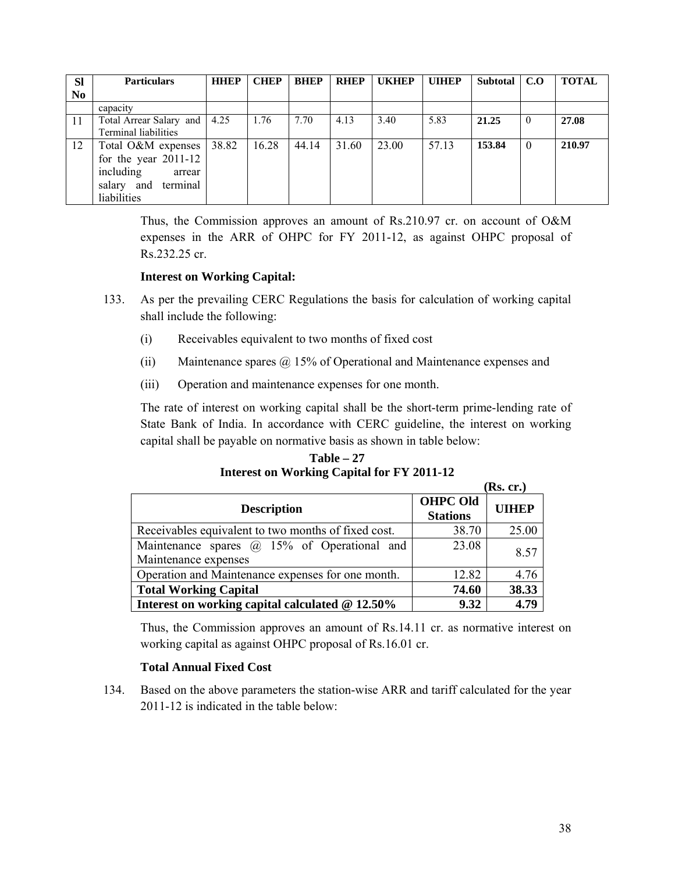| <b>SI</b>      | <b>Particulars</b>           | <b>HHDP</b> | <b>CHEP</b> | <b>BHEP</b> | <b>RHEP</b> | <b>UKHEP</b> | <b>UIHEP</b> | Subtotal   C.O |          | <b>TOTAL</b> |
|----------------|------------------------------|-------------|-------------|-------------|-------------|--------------|--------------|----------------|----------|--------------|
| N <sub>0</sub> |                              |             |             |             |             |              |              |                |          |              |
|                | capacity                     |             |             |             |             |              |              |                |          |              |
| 11             | Total Arrear Salary and 4.25 |             | 1.76        | 7.70        | 4.13        | 3.40         | 5.83         | 21.25          | $\theta$ | 27.08        |
|                | Terminal liabilities         |             |             |             |             |              |              |                |          |              |
| 12             | Total O&M expenses           | 38.82       | 16.28       | 44.14       | 31.60       | 23.00        | 57.13        | 153.84         | $\theta$ | 210.97       |
|                | for the year $2011-12$       |             |             |             |             |              |              |                |          |              |
|                | including<br>arrear          |             |             |             |             |              |              |                |          |              |
|                | terminal<br>salary and       |             |             |             |             |              |              |                |          |              |
|                | liabilities                  |             |             |             |             |              |              |                |          |              |

Thus, the Commission approves an amount of Rs.210.97 cr. on account of O&M expenses in the ARR of OHPC for FY 2011-12, as against OHPC proposal of Rs.232.25 cr.

### **Interest on Working Capital:**

- 133. As per the prevailing CERC Regulations the basis for calculation of working capital shall include the following:
	- (i) Receivables equivalent to two months of fixed cost
	- (ii) Maintenance spares @ 15% of Operational and Maintenance expenses and
	- (iii) Operation and maintenance expenses for one month.

The rate of interest on working capital shall be the short-term prime-lending rate of State Bank of India. In accordance with CERC guideline, the interest on working capital shall be payable on normative basis as shown in table below:

**Table – 27 Interest on Working Capital for FY 2011-12** 

|                                                     |                 | (Rs. cr.)    |
|-----------------------------------------------------|-----------------|--------------|
|                                                     | <b>OHPC Old</b> | <b>UIHEP</b> |
| <b>Description</b>                                  | <b>Stations</b> |              |
| Receivables equivalent to two months of fixed cost. | 38.70           | 25.00        |
| Maintenance spares $\omega$ 15% of Operational and  | 23.08           | 8.57         |
| Maintenance expenses                                |                 |              |
| Operation and Maintenance expenses for one month.   | 12.82           | 4.76         |
| <b>Total Working Capital</b>                        | 74.60           | 38.33        |
| Interest on working capital calculated @ 12.50%     | 9.32            | 4.79         |

Thus, the Commission approves an amount of Rs.14.11 cr. as normative interest on working capital as against OHPC proposal of Rs.16.01 cr.

### **Total Annual Fixed Cost**

134. Based on the above parameters the station-wise ARR and tariff calculated for the year 2011-12 is indicated in the table below: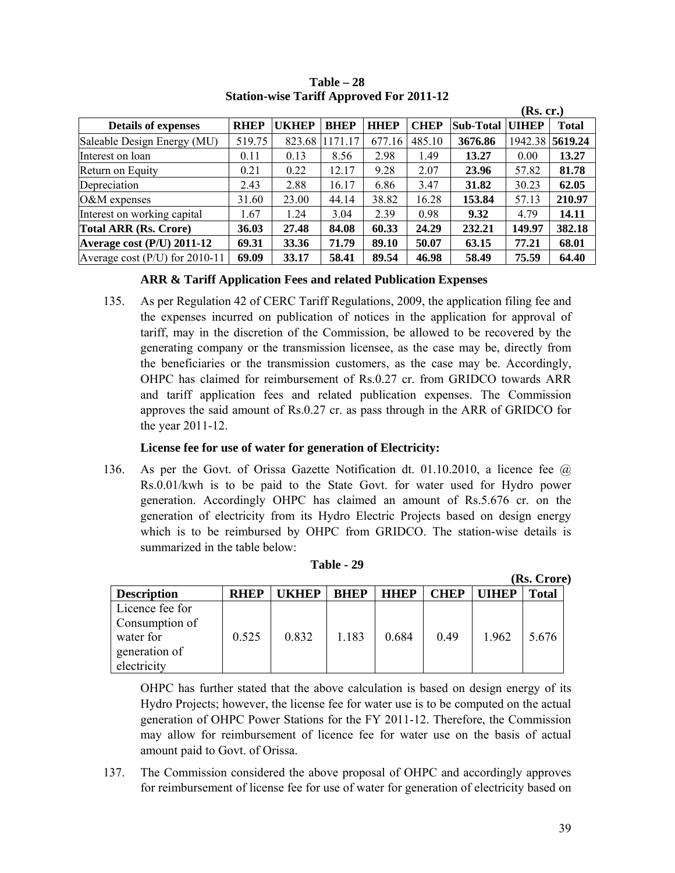|                                  |             |              |             |             |             |           | (Rs. cr.)    |                 |
|----------------------------------|-------------|--------------|-------------|-------------|-------------|-----------|--------------|-----------------|
| <b>Details of expenses</b>       | <b>RHEP</b> | <b>UKHEP</b> | <b>BHEP</b> | <b>HHEP</b> | <b>CHEP</b> | Sub-Total | <b>UIHEP</b> | <b>Total</b>    |
| Saleable Design Energy (MU)      | 519.75      | 823.68       | 1171.17     | 677.16      | 485.10      | 3676.86   |              | 1942.38 5619.24 |
| Interest on loan                 | 0.11        | 0.13         | 8.56        | 2.98        | 1.49        | 13.27     | 0.00         | 13.27           |
| Return on Equity                 | 0.21        | 0.22         | 12.17       | 9.28        | 2.07        | 23.96     | 57.82        | 81.78           |
| Depreciation                     | 2.43        | 2.88         | 16.17       | 6.86        | 3.47        | 31.82     | 30.23        | 62.05           |
| $O\&M$ expenses                  | 31.60       | 23.00        | 44.14       | 38.82       | 16.28       | 153.84    | 57.13        | 210.97          |
| Interest on working capital      | 1.67        | 1.24         | 3.04        | 2.39        | 0.98        | 9.32      | 4.79         | 14.11           |
| <b>Total ARR (Rs. Crore)</b>     | 36.03       | 27.48        | 84.08       | 60.33       | 24.29       | 232.21    | 149.97       | 382.18          |
| Average cost (P/U) 2011-12       | 69.31       | 33.36        | 71.79       | 89.10       | 50.07       | 63.15     | 77.21        | 68.01           |
| Average cost $(P/U)$ for 2010-11 | 69.09       | 33.17        | 58.41       | 89.54       | 46.98       | 58.49     | 75.59        | 64.40           |

**Table – 28 Station-wise Tariff Approved For 2011-12** 

### **ARR & Tariff Application Fees and related Publication Expenses**

135. As per Regulation 42 of CERC Tariff Regulations, 2009, the application filing fee and the expenses incurred on publication of notices in the application for approval of tariff, may in the discretion of the Commission, be allowed to be recovered by the generating company or the transmission licensee, as the case may be, directly from the beneficiaries or the transmission customers, as the case may be. Accordingly, OHPC has claimed for reimbursement of Rs.0.27 cr. from GRIDCO towards ARR and tariff application fees and related publication expenses. The Commission approves the said amount of Rs.0.27 cr. as pass through in the ARR of GRIDCO for the year 2011-12.

### **License fee for use of water for generation of Electricity:**

136. As per the Govt. of Orissa Gazette Notification dt. 01.10.2010, a licence fee @ Rs.0.01/kwh is to be paid to the State Govt. for water used for Hydro power generation. Accordingly OHPC has claimed an amount of Rs.5.676 cr. on the generation of electricity from its Hydro Electric Projects based on design energy which is to be reimbursed by OHPC from GRIDCO. The station-wise details is summarized in the table below:

|                                                                                |             |              |             |             |      |             | (Rs. Crore)  |
|--------------------------------------------------------------------------------|-------------|--------------|-------------|-------------|------|-------------|--------------|
| <b>Description</b>                                                             | <b>RHEP</b> | <b>IKHEP</b> | <b>RHEP</b> | <b>HHEP</b> | CHEP | <b>THEP</b> | <b>Total</b> |
| Licence fee for<br>Consumption of<br>water for<br>generation of<br>electricity | 0.525       | 0.832        | 1.183       | 0.684       | 0.49 | 1.962       | 5.676        |

#### **Table - 29**

OHPC has further stated that the above calculation is based on design energy of its Hydro Projects; however, the license fee for water use is to be computed on the actual generation of OHPC Power Stations for the FY 2011-12. Therefore, the Commission may allow for reimbursement of licence fee for water use on the basis of actual amount paid to Govt. of Orissa.

137. The Commission considered the above proposal of OHPC and accordingly approves for reimbursement of license fee for use of water for generation of electricity based on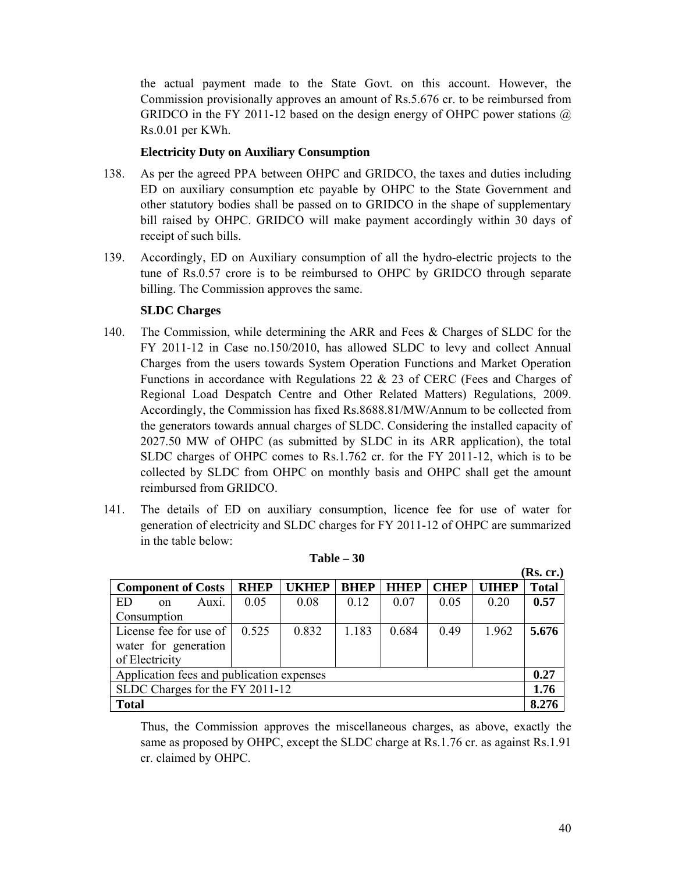the actual payment made to the State Govt. on this account. However, the Commission provisionally approves an amount of Rs.5.676 cr. to be reimbursed from GRIDCO in the FY 2011-12 based on the design energy of OHPC power stations  $\omega$ Rs.0.01 per KWh.

### **Electricity Duty on Auxiliary Consumption**

- 138. As per the agreed PPA between OHPC and GRIDCO, the taxes and duties including ED on auxiliary consumption etc payable by OHPC to the State Government and other statutory bodies shall be passed on to GRIDCO in the shape of supplementary bill raised by OHPC. GRIDCO will make payment accordingly within 30 days of receipt of such bills.
- 139. Accordingly, ED on Auxiliary consumption of all the hydro-electric projects to the tune of Rs.0.57 crore is to be reimbursed to OHPC by GRIDCO through separate billing. The Commission approves the same.

#### **SLDC Charges**

- 140. The Commission, while determining the ARR and Fees & Charges of SLDC for the FY 2011-12 in Case no.150/2010, has allowed SLDC to levy and collect Annual Charges from the users towards System Operation Functions and Market Operation Functions in accordance with Regulations 22 & 23 of CERC (Fees and Charges of Regional Load Despatch Centre and Other Related Matters) Regulations, 2009. Accordingly, the Commission has fixed Rs.8688.81/MW/Annum to be collected from the generators towards annual charges of SLDC. Considering the installed capacity of 2027.50 MW of OHPC (as submitted by SLDC in its ARR application), the total SLDC charges of OHPC comes to Rs.1.762 cr. for the FY 2011-12, which is to be collected by SLDC from OHPC on monthly basis and OHPC shall get the amount reimbursed from GRIDCO.
- 141. The details of ED on auxiliary consumption, licence fee for use of water for generation of electricity and SLDC charges for FY 2011-12 of OHPC are summarized in the table below:

|                                           |             |              |             |             |             |       | (Rs. cr.)    |  |
|-------------------------------------------|-------------|--------------|-------------|-------------|-------------|-------|--------------|--|
| <b>Component of Costs</b>                 | <b>RHEP</b> | <b>UKHEP</b> | <b>BHEP</b> | <b>HHEP</b> | <b>CHEP</b> | UIHEP | <b>Total</b> |  |
| ED<br>Auxi.<br>$\alpha$                   | 0.05        | 0.08         | 0.12        | 0.07        | 0.05        | 0.20  | 0.57         |  |
| Consumption                               |             |              |             |             |             |       |              |  |
| License fee for use of                    | 0.525       | 0.832        | 1.183       | 0.684       | 0.49        | 1.962 | 5.676        |  |
| water for generation                      |             |              |             |             |             |       |              |  |
| of Electricity                            |             |              |             |             |             |       |              |  |
| Application fees and publication expenses |             |              |             |             |             |       |              |  |
| SLDC Charges for the FY 2011-12           |             |              |             |             |             |       |              |  |
| <b>Total</b>                              |             |              |             |             |             |       | 8.276        |  |

| Table | 30 |
|-------|----|
|-------|----|

Thus, the Commission approves the miscellaneous charges, as above, exactly the same as proposed by OHPC, except the SLDC charge at Rs.1.76 cr. as against Rs.1.91 cr. claimed by OHPC.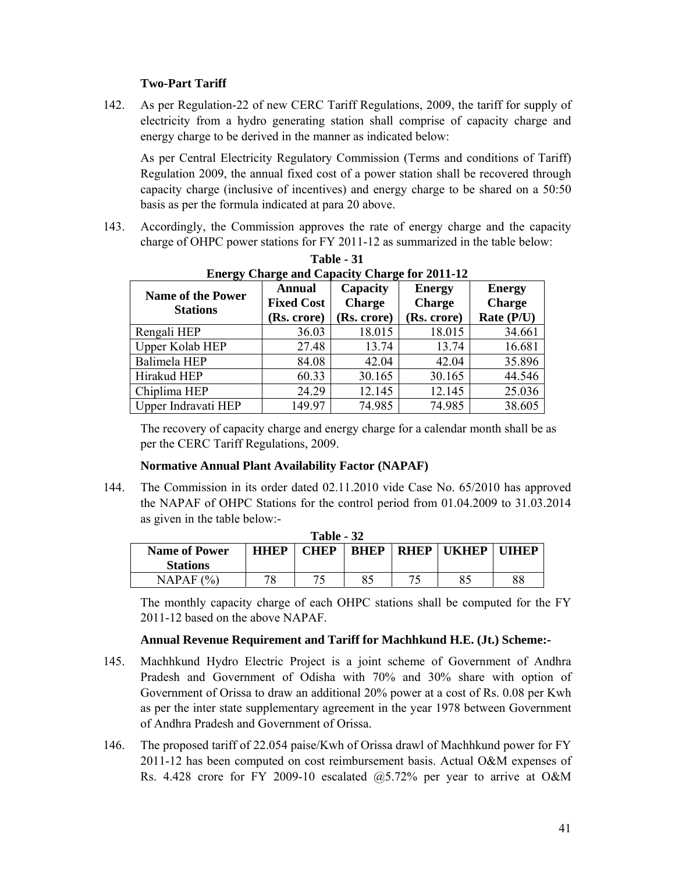# **Two-Part Tariff**

142. As per Regulation-22 of new CERC Tariff Regulations, 2009, the tariff for supply of electricity from a hydro generating station shall comprise of capacity charge and energy charge to be derived in the manner as indicated below:

As per Central Electricity Regulatory Commission (Terms and conditions of Tariff) Regulation 2009, the annual fixed cost of a power station shall be recovered through capacity charge (inclusive of incentives) and energy charge to be shared on a 50:50 basis as per the formula indicated at para 20 above.

143. Accordingly, the Commission approves the rate of energy charge and the capacity charge of OHPC power stations for FY 2011-12 as summarized in the table below:

| <b>Name of the Power</b><br><b>Stations</b> | Annual<br><b>Fixed Cost</b><br>(Rs. crore) | Capacity<br><b>Charge</b><br>(Rs. crore) | <b>Energy</b><br><b>Charge</b><br>(Rs. crore) | <b>Energy</b><br><b>Charge</b><br>Rate (P/U) |  |
|---------------------------------------------|--------------------------------------------|------------------------------------------|-----------------------------------------------|----------------------------------------------|--|
| Rengali HEP                                 | 36.03                                      | 18.015                                   | 18.015                                        | 34.661                                       |  |
| <b>Upper Kolab HEP</b>                      | 27.48                                      | 13.74                                    | 13.74                                         | 16.681                                       |  |
| Balimela HEP                                | 84.08                                      | 42.04                                    | 42.04                                         | 35.896                                       |  |
| Hirakud HEP                                 | 60.33                                      | 30.165                                   | 30.165                                        | 44.546                                       |  |
| Chiplima HEP                                | 24.29                                      | 12.145                                   | 12.145                                        | 25.036                                       |  |
| Upper Indravati HEP                         | 149.97                                     | 74.985                                   | 74.985                                        | 38.605                                       |  |

**Table - 31 Energy Charge and Capacity Charge for 2011-12** 

The recovery of capacity charge and energy charge for a calendar month shall be as per the CERC Tariff Regulations, 2009.

### **Normative Annual Plant Availability Factor (NAPAF)**

144. The Commission in its order dated 02.11.2010 vide Case No. 65/2010 has approved the NAPAF of OHPC Stations for the control period from 01.04.2009 to 31.03.2014 as given in the table below:-

| Table - 32           |             |             |             |             |              |              |  |  |  |  |
|----------------------|-------------|-------------|-------------|-------------|--------------|--------------|--|--|--|--|
| <b>Name of Power</b> | <b>HHEP</b> | <b>CHEP</b> | <b>BHEP</b> | <b>RHEP</b> | <b>UKHEP</b> | <b>UIHEP</b> |  |  |  |  |
| <b>Stations</b>      |             |             |             |             |              |              |  |  |  |  |
| NAPAF $(%)$          | 70          | 75          | 85          | ית די       | 85           | 88           |  |  |  |  |

The monthly capacity charge of each OHPC stations shall be computed for the FY 2011-12 based on the above NAPAF.

### **Annual Revenue Requirement and Tariff for Machhkund H.E. (Jt.) Scheme:-**

- 145. Machhkund Hydro Electric Project is a joint scheme of Government of Andhra Pradesh and Government of Odisha with 70% and 30% share with option of Government of Orissa to draw an additional 20% power at a cost of Rs. 0.08 per Kwh as per the inter state supplementary agreement in the year 1978 between Government of Andhra Pradesh and Government of Orissa.
- 146. The proposed tariff of 22.054 paise/Kwh of Orissa drawl of Machhkund power for FY 2011-12 has been computed on cost reimbursement basis. Actual O&M expenses of Rs. 4.428 crore for FY 2009-10 escalated  $(20, 5.72)$ % per year to arrive at O&M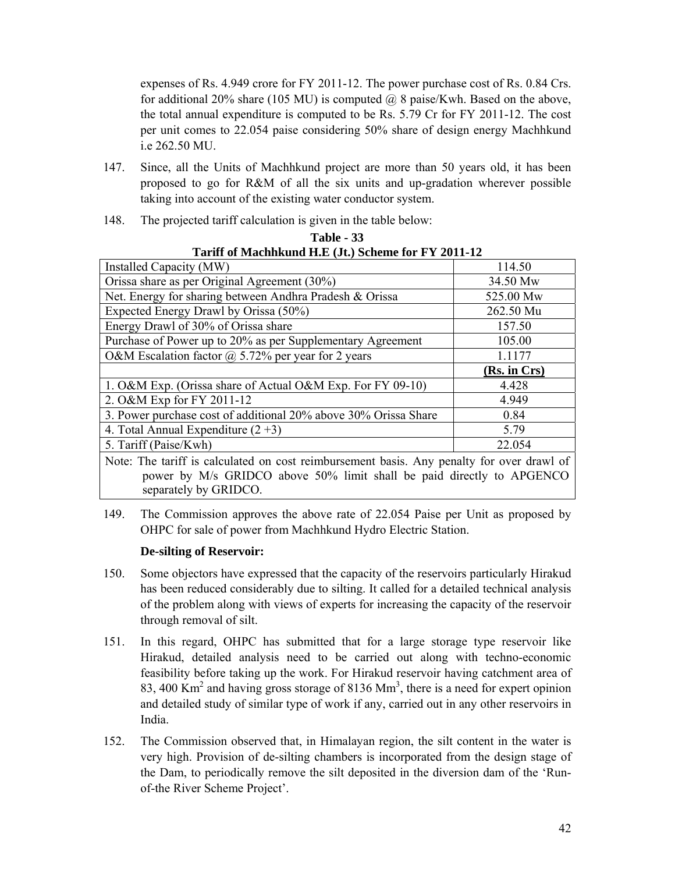expenses of Rs. 4.949 crore for FY 2011-12. The power purchase cost of Rs. 0.84 Crs. for additional 20% share (105 MU) is computed  $\omega$  8 paise/Kwh. Based on the above, the total annual expenditure is computed to be Rs. 5.79 Cr for FY 2011-12. The cost per unit comes to 22.054 paise considering 50% share of design energy Machhkund i.e 262.50 MU.

- 147. Since, all the Units of Machhkund project are more than 50 years old, it has been proposed to go for R&M of all the six units and up-gradation wherever possible taking into account of the existing water conductor system.
- 148. The projected tariff calculation is given in the table below:

| Tarin of Machingulu 11.12 (96) beneme for F I 2011-12           |              |  |  |  |  |  |  |
|-----------------------------------------------------------------|--------------|--|--|--|--|--|--|
| Installed Capacity (MW)                                         | 114.50       |  |  |  |  |  |  |
| Orissa share as per Original Agreement (30%)                    | 34.50 Mw     |  |  |  |  |  |  |
| Net. Energy for sharing between Andhra Pradesh & Orissa         | 525.00 Mw    |  |  |  |  |  |  |
| Expected Energy Drawl by Orissa (50%)                           | 262.50 Mu    |  |  |  |  |  |  |
| Energy Drawl of 30% of Orissa share                             | 157.50       |  |  |  |  |  |  |
| Purchase of Power up to 20% as per Supplementary Agreement      | 105.00       |  |  |  |  |  |  |
| O&M Escalation factor $\omega$ 5.72% per year for 2 years       | 1.1177       |  |  |  |  |  |  |
|                                                                 | (Rs. in Crs) |  |  |  |  |  |  |
| 1. O&M Exp. (Orissa share of Actual O&M Exp. For FY 09-10)      | 4.428        |  |  |  |  |  |  |
| 2. O&M Exp for FY 2011-12                                       | 4.949        |  |  |  |  |  |  |
|                                                                 |              |  |  |  |  |  |  |
| 3. Power purchase cost of additional 20% above 30% Orissa Share | 0.84         |  |  |  |  |  |  |
| 4. Total Annual Expenditure $(2+3)$                             | 5.79         |  |  |  |  |  |  |
| 5. Tariff (Paise/Kwh)                                           | 22.054       |  |  |  |  |  |  |

**Table - 33 Tariff of Machhkund H.E (Jt.) Scheme for FY 2011-12** 

Note: The tariff is calculated on cost reimbursement basis. Any penalty for over drawl of power by M/s GRIDCO above 50% limit shall be paid directly to APGENCO separately by GRIDCO.

149. The Commission approves the above rate of 22.054 Paise per Unit as proposed by OHPC for sale of power from Machhkund Hydro Electric Station.

# **De-silting of Reservoir:**

- 150. Some objectors have expressed that the capacity of the reservoirs particularly Hirakud has been reduced considerably due to silting. It called for a detailed technical analysis of the problem along with views of experts for increasing the capacity of the reservoir through removal of silt.
- 151. In this regard, OHPC has submitted that for a large storage type reservoir like Hirakud, detailed analysis need to be carried out along with techno-economic feasibility before taking up the work. For Hirakud reservoir having catchment area of 83, 400 Km<sup>2</sup> and having gross storage of 8136 Mm<sup>3</sup>, there is a need for expert opinion and detailed study of similar type of work if any, carried out in any other reservoirs in India.
- 152. The Commission observed that, in Himalayan region, the silt content in the water is very high. Provision of de-silting chambers is incorporated from the design stage of the Dam, to periodically remove the silt deposited in the diversion dam of the 'Runof-the River Scheme Project'.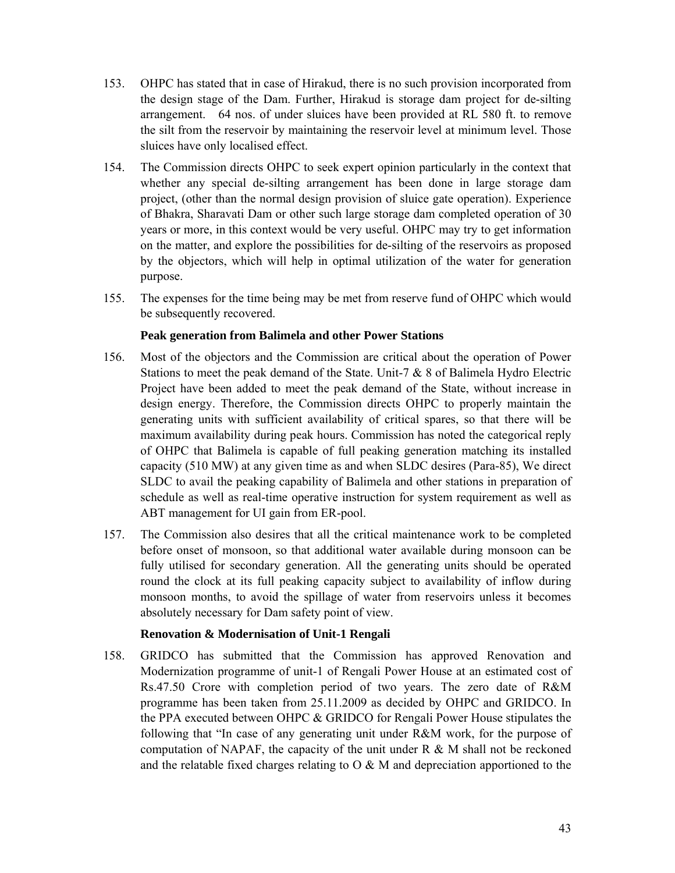- 153. OHPC has stated that in case of Hirakud, there is no such provision incorporated from the design stage of the Dam. Further, Hirakud is storage dam project for de-silting arrangement. 64 nos. of under sluices have been provided at RL 580 ft. to remove the silt from the reservoir by maintaining the reservoir level at minimum level. Those sluices have only localised effect.
- 154. The Commission directs OHPC to seek expert opinion particularly in the context that whether any special de-silting arrangement has been done in large storage dam project, (other than the normal design provision of sluice gate operation). Experience of Bhakra, Sharavati Dam or other such large storage dam completed operation of 30 years or more, in this context would be very useful. OHPC may try to get information on the matter, and explore the possibilities for de-silting of the reservoirs as proposed by the objectors, which will help in optimal utilization of the water for generation purpose.
- 155. The expenses for the time being may be met from reserve fund of OHPC which would be subsequently recovered.

### **Peak generation from Balimela and other Power Stations**

- 156. Most of the objectors and the Commission are critical about the operation of Power Stations to meet the peak demand of the State. Unit-7 & 8 of Balimela Hydro Electric Project have been added to meet the peak demand of the State, without increase in design energy. Therefore, the Commission directs OHPC to properly maintain the generating units with sufficient availability of critical spares, so that there will be maximum availability during peak hours. Commission has noted the categorical reply of OHPC that Balimela is capable of full peaking generation matching its installed capacity (510 MW) at any given time as and when SLDC desires (Para-85), We direct SLDC to avail the peaking capability of Balimela and other stations in preparation of schedule as well as real-time operative instruction for system requirement as well as ABT management for UI gain from ER-pool.
- 157. The Commission also desires that all the critical maintenance work to be completed before onset of monsoon, so that additional water available during monsoon can be fully utilised for secondary generation. All the generating units should be operated round the clock at its full peaking capacity subject to availability of inflow during monsoon months, to avoid the spillage of water from reservoirs unless it becomes absolutely necessary for Dam safety point of view.

### **Renovation & Modernisation of Unit-1 Rengali**

158. GRIDCO has submitted that the Commission has approved Renovation and Modernization programme of unit-1 of Rengali Power House at an estimated cost of Rs.47.50 Crore with completion period of two years. The zero date of R&M programme has been taken from 25.11.2009 as decided by OHPC and GRIDCO. In the PPA executed between OHPC & GRIDCO for Rengali Power House stipulates the following that "In case of any generating unit under R&M work, for the purpose of computation of NAPAF, the capacity of the unit under R & M shall not be reckoned and the relatable fixed charges relating to  $\alpha \& M$  and depreciation apportioned to the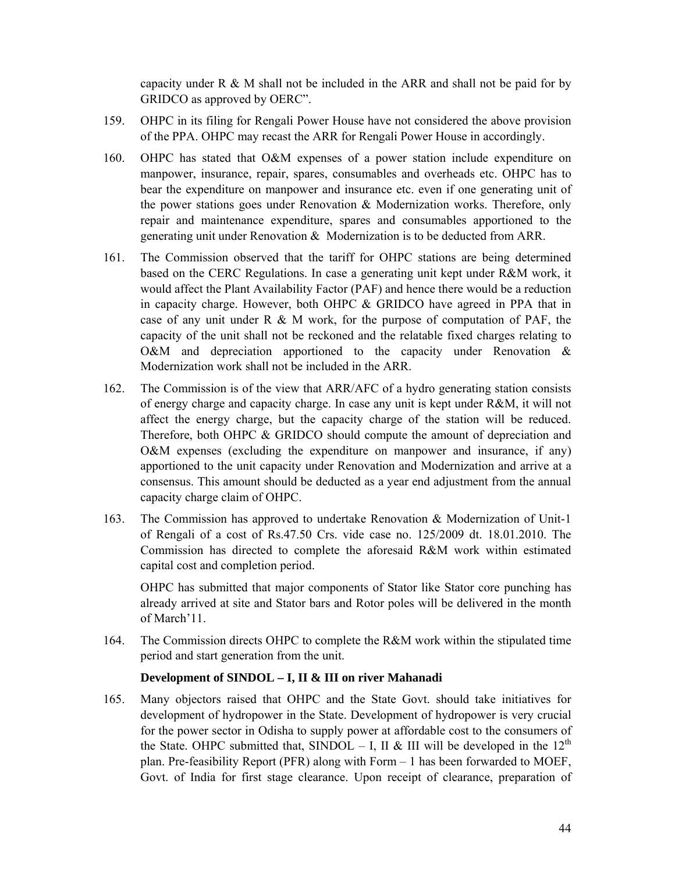capacity under  $R \& M$  shall not be included in the ARR and shall not be paid for by GRIDCO as approved by OERC".

- 159. OHPC in its filing for Rengali Power House have not considered the above provision of the PPA. OHPC may recast the ARR for Rengali Power House in accordingly.
- 160. OHPC has stated that O&M expenses of a power station include expenditure on manpower, insurance, repair, spares, consumables and overheads etc. OHPC has to bear the expenditure on manpower and insurance etc. even if one generating unit of the power stations goes under Renovation & Modernization works. Therefore, only repair and maintenance expenditure, spares and consumables apportioned to the generating unit under Renovation & Modernization is to be deducted from ARR.
- 161. The Commission observed that the tariff for OHPC stations are being determined based on the CERC Regulations. In case a generating unit kept under R&M work, it would affect the Plant Availability Factor (PAF) and hence there would be a reduction in capacity charge. However, both OHPC & GRIDCO have agreed in PPA that in case of any unit under R  $\&$  M work, for the purpose of computation of PAF, the capacity of the unit shall not be reckoned and the relatable fixed charges relating to O&M and depreciation apportioned to the capacity under Renovation & Modernization work shall not be included in the ARR.
- 162. The Commission is of the view that ARR/AFC of a hydro generating station consists of energy charge and capacity charge. In case any unit is kept under R&M, it will not affect the energy charge, but the capacity charge of the station will be reduced. Therefore, both OHPC & GRIDCO should compute the amount of depreciation and O&M expenses (excluding the expenditure on manpower and insurance, if any) apportioned to the unit capacity under Renovation and Modernization and arrive at a consensus. This amount should be deducted as a year end adjustment from the annual capacity charge claim of OHPC.
- 163. The Commission has approved to undertake Renovation & Modernization of Unit-1 of Rengali of a cost of Rs.47.50 Crs. vide case no. 125/2009 dt. 18.01.2010. The Commission has directed to complete the aforesaid R&M work within estimated capital cost and completion period.

OHPC has submitted that major components of Stator like Stator core punching has already arrived at site and Stator bars and Rotor poles will be delivered in the month of March'11.

164. The Commission directs OHPC to complete the R&M work within the stipulated time period and start generation from the unit.

### **Development of SINDOL – I, II & III on river Mahanadi**

165. Many objectors raised that OHPC and the State Govt. should take initiatives for development of hydropower in the State. Development of hydropower is very crucial for the power sector in Odisha to supply power at affordable cost to the consumers of the State. OHPC submitted that, SINDOL – I, II & III will be developed in the  $12<sup>th</sup>$ plan. Pre-feasibility Report (PFR) along with Form – 1 has been forwarded to MOEF, Govt. of India for first stage clearance. Upon receipt of clearance, preparation of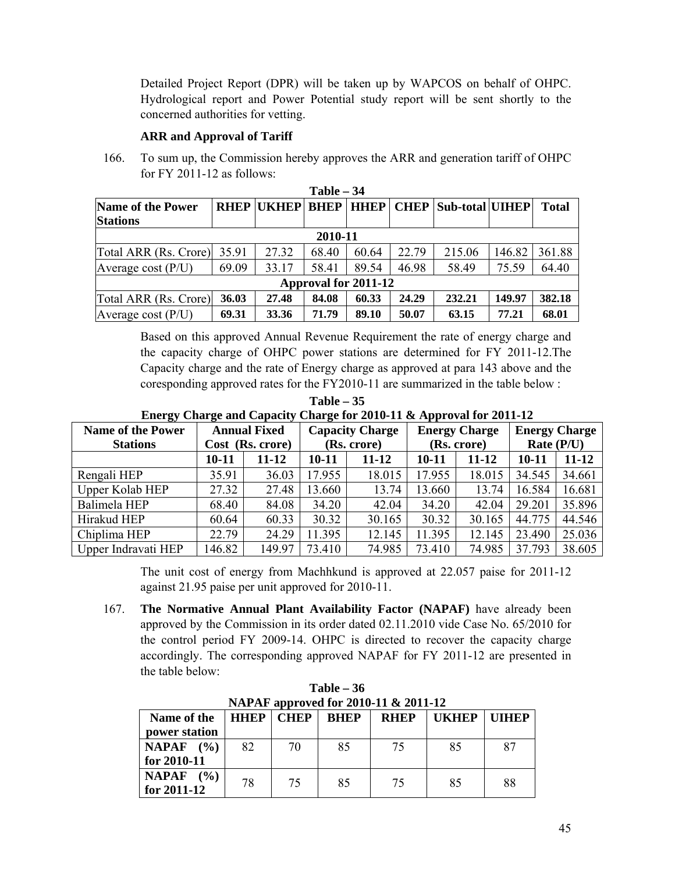Detailed Project Report (DPR) will be taken up by WAPCOS on behalf of OHPC. Hydrological report and Power Potential study report will be sent shortly to the concerned authorities for vetting.

### **ARR and Approval of Tariff**

166. To sum up, the Commission hereby approves the ARR and generation tariff of OHPC for FY 2011-12 as follows: **Table – 34** 

| 1 <i>au</i> re – $J$        |             |              |             |                             |             |                        |        |              |  |
|-----------------------------|-------------|--------------|-------------|-----------------------------|-------------|------------------------|--------|--------------|--|
| <b>Name of the Power</b>    | <b>RHEP</b> | <b>UKHEP</b> | <b>BHEP</b> | <b>HHEP</b>                 | <b>CHEP</b> | <b>Sub-total UIHEP</b> |        | <b>Total</b> |  |
| <b>Stations</b>             |             |              |             |                             |             |                        |        |              |  |
|                             |             |              | 2010-11     |                             |             |                        |        |              |  |
| Total ARR (Rs. Crore) 35.91 |             | 27.32        | 68.40       | 60.64                       | 22.79       | 215.06                 | 146.82 | 361.88       |  |
| Average cost $(P/U)$        | 69.09       | 33.17        | 58.41       | 89.54                       | 46.98       | 58.49                  | 75.59  | 64.40        |  |
|                             |             |              |             | <b>Approval for 2011-12</b> |             |                        |        |              |  |
| Total ARR (Rs. Crore)       | 36.03       | 27.48        | 84.08       | 60.33                       | 24.29       | 232.21                 | 149.97 | 382.18       |  |
| Average cost $(P/U)$        | 69.31       | 33.36        | 71.79       | 89.10                       | 50.07       | 63.15                  | 77.21  | 68.01        |  |

Based on this approved Annual Revenue Requirement the rate of energy charge and the capacity charge of OHPC power stations are determined for FY 2011-12.The Capacity charge and the rate of Energy charge as approved at para 143 above and the coresponding approved rates for the FY2010-11 are summarized in the table below :

**Table – 35 Energy Charge and Capacity Charge for 2010-11 & Approval for 2011-12** 

| <b>Name of the Power</b> | <b>Annual Fixed</b> |           | <b>Capacity Charge</b> |        | <b>Energy Charge</b> |        | <b>Energy Charge</b> |           |
|--------------------------|---------------------|-----------|------------------------|--------|----------------------|--------|----------------------|-----------|
| <b>Stations</b>          | Cost (Rs. crore)    |           | (Rs. crore)            |        | (Rs. crore)          |        | Rate $(P/U)$         |           |
|                          | $10 - 11$           | $11 - 12$ | 10-11                  | 11-12  | 10-11                | 11-12  | $10 - 11$            | $11 - 12$ |
| Rengali HEP              | 35.91               | 36.03     | 17.955                 | 18.015 | 17.955               | 18.015 | 34.545               | 34.661    |
| Upper Kolab HEP          | 27.32               | 27.48     | 13.660                 | 13.74  | 13.660               | 13.74  | 16.584               | 16.681    |
| Balimela HEP             | 68.40               | 84.08     | 34.20                  | 42.04  | 34.20                | 42.04  | 29.201               | 35.896    |
| Hirakud HEP              | 60.64               | 60.33     | 30.32                  | 30.165 | 30.32                | 30.165 | 44.775               | 44.546    |
| Chiplima HEP             | 22.79               | 24.29     | 11.395                 | 12.145 | 11.395               | 12.145 | 23.490               | 25.036    |
| Upper Indravati HEP      | 146.82              | 149.97    | 73.410                 | 74.985 | 73.410               | 74.985 | 37.793               | 38.605    |

The unit cost of energy from Machhkund is approved at 22.057 paise for 2011-12 against 21.95 paise per unit approved for 2010-11.

167. **The Normative Annual Plant Availability Factor (NAPAF)** have already been approved by the Commission in its order dated 02.11.2010 vide Case No. 65/2010 for the control period FY 2009-14. OHPC is directed to recover the capacity charge accordingly. The corresponding approved NAPAF for FY 2011-12 are presented in the table below:

| NAPAF approved for 2010-11 & 2011-12 |                    |    |             |             |              |              |  |  |  |
|--------------------------------------|--------------------|----|-------------|-------------|--------------|--------------|--|--|--|
| Name of the                          | <b>HHEP   CHEP</b> |    | <b>BHEP</b> | <b>RHEP</b> | <b>UKHEP</b> | <b>UIHEP</b> |  |  |  |
| power station                        |                    |    |             |             |              |              |  |  |  |
| NAPAF $(%)$                          | 82                 | 70 | 85          | 75          | 85           | 87           |  |  |  |
| for 2010-11                          |                    |    |             |             |              |              |  |  |  |
| <b>NAPAF</b><br>$($ %)               | 78                 | 75 | 85          | 75          | 85           | 88           |  |  |  |
| for $2011 - 12$                      |                    |    |             |             |              |              |  |  |  |

**Table – 36**